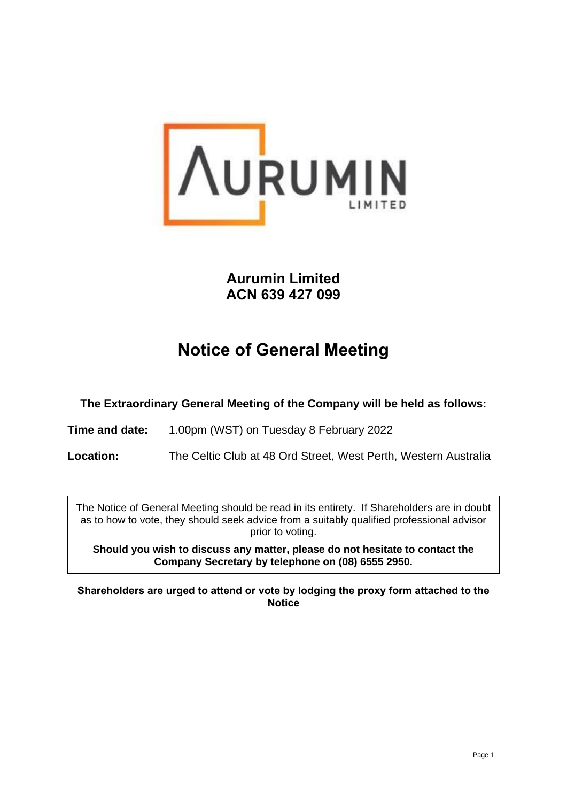

## **Aurumin Limited ACN 639 427 099**

# **Notice of General Meeting**

**The Extraordinary General Meeting of the Company will be held as follows:**

**Time and date:** 1.00pm (WST) on Tuesday 8 February 2022

**Location:** The Celtic Club at 48 Ord Street, West Perth, Western Australia

The Notice of General Meeting should be read in its entirety. If Shareholders are in doubt as to how to vote, they should seek advice from a suitably qualified professional advisor prior to voting.

**Should you wish to discuss any matter, please do not hesitate to contact the Company Secretary by telephone on (08) 6555 2950.**

**Shareholders are urged to attend or vote by lodging the proxy form attached to the Notice**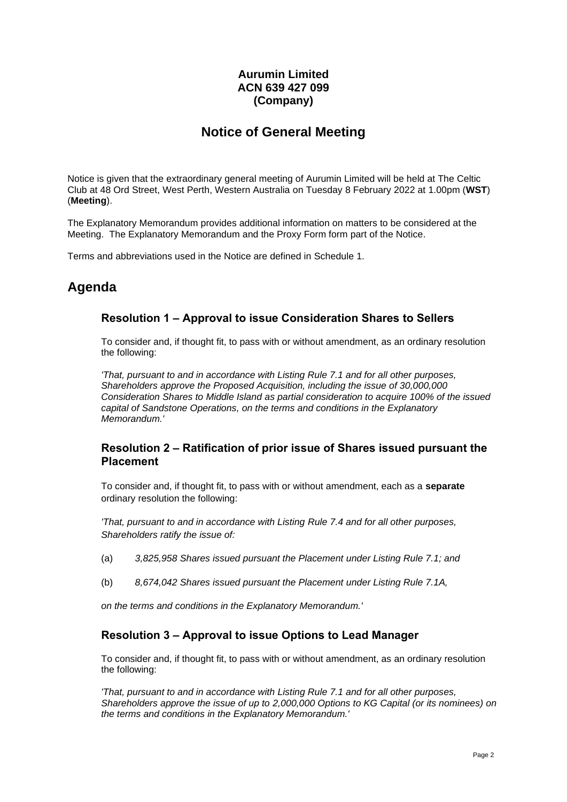### **Aurumin Limited ACN 639 427 099 (Company)**

### **Notice of General Meeting**

Notice is given that the extraordinary general meeting of Aurumin Limited will be held at The Celtic Club at 48 Ord Street, West Perth, Western Australia on Tuesday 8 February 2022 at 1.00pm (**WST**) (**Meeting**).

The Explanatory Memorandum provides additional information on matters to be considered at the Meeting. The Explanatory Memorandum and the Proxy Form form part of the Notice.

Terms and abbreviations used in the Notice are defined in [Schedule](#page-21-0) 1.

### **Agenda**

#### <span id="page-1-0"></span>**Resolution 1 – Approval to issue Consideration Shares to Sellers**

To consider and, if thought fit, to pass with or without amendment, as an ordinary resolution the following:

*'That, pursuant to and in accordance with Listing Rule 7.1 and for all other purposes, Shareholders approve the Proposed Acquisition, including the issue of 30,000,000 Consideration Shares to Middle Island as partial consideration to acquire 100% of the issued capital of Sandstone Operations, on the terms and conditions in the Explanatory Memorandum.'*

#### <span id="page-1-1"></span>**Resolution 2 – Ratification of prior issue of Shares issued pursuant the Placement**

To consider and, if thought fit, to pass with or without amendment, each as a **separate** ordinary resolution the following:

*'That, pursuant to and in accordance with Listing Rule 7.4 and for all other purposes, Shareholders ratify the issue of:*

- <span id="page-1-2"></span>(a) *3,825,958 Shares issued pursuant the Placement under Listing Rule 7.1; and*
- <span id="page-1-3"></span>(b) *8,674,042 Shares issued pursuant the Placement under Listing Rule 7.1A,*

*on the terms and conditions in the Explanatory Memorandum.'*

#### <span id="page-1-4"></span>**Resolution 3 – Approval to issue Options to Lead Manager**

To consider and, if thought fit, to pass with or without amendment, as an ordinary resolution the following:

*'That, pursuant to and in accordance with Listing Rule 7.1 and for all other purposes, Shareholders approve the issue of up to 2,000,000 Options to KG Capital (or its nominees) on the terms and conditions in the Explanatory Memorandum.'*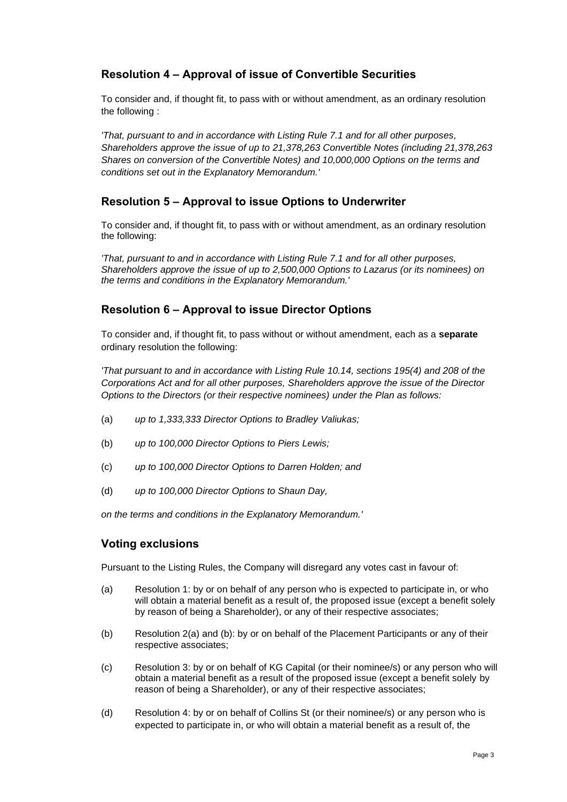### <span id="page-2-0"></span>**Resolution 4 – Approval of issue of Convertible Securities**

To consider and, if thought fit, to pass with or without amendment, as an ordinary resolution the following :

*'That, pursuant to and in accordance with Listing Rule 7.1 and for all other purposes, Shareholders approve the issue of up to 21,378,263 Convertible Notes (including 21,378,263 Shares on conversion of the Convertible Notes) and 10,000,000 Options on the terms and conditions set out in the Explanatory Memorandum.'*

#### <span id="page-2-1"></span>**Resolution 5 – Approval to issue Options to Underwriter**

To consider and, if thought fit, to pass with or without amendment, as an ordinary resolution the following:

*'That, pursuant to and in accordance with Listing Rule 7.1 and for all other purposes, Shareholders approve the issue of up to 2,500,000 Options to Lazarus (or its nominees) on the terms and conditions in the Explanatory Memorandum.'*

### <span id="page-2-2"></span>**Resolution 6 – Approval to issue Director Options**

To consider and, if thought fit, to pass without or without amendment, each as a **separate** ordinary resolution the following:

*'That pursuant to and in accordance with Listing Rule 10.14, sections 195(4) and 208 of the Corporations Act and for all other purposes, Shareholders approve the issue of the Director Options to the Directors (or their respective nominees) under the Plan as follows:*

- <span id="page-2-3"></span>(a) *up to 1,333,333 Director Options to Bradley Valiukas;*
- <span id="page-2-4"></span>(b) *up to 100,000 Director Options to Piers Lewis;*
- <span id="page-2-5"></span>(c) *up to 100,000 Director Options to Darren Holden; and*
- <span id="page-2-6"></span>(d) *up to 100,000 Director Options to Shaun Day,*

*on the terms and conditions in the Explanatory Memorandum.'*

#### **Voting exclusions**

Pursuant to the Listing Rules, the Company will disregard any votes cast in favour of:

- (a) [Resolution 1:](#page-1-0) by or on behalf of any person who is expected to participate in, or who will obtain a material benefit as a result of, the proposed issue (except a benefit solely by reason of being a Shareholder), or any of their respective associates;
- (b) [Resolution 2](#page-1-1)[\(a\)](#page-1-2) and [\(b\):](#page-1-3) by or on behalf of the Placement Participants or any of their respective associates;
- (c) [Resolution 3:](#page-1-4) by or on behalf of KG Capital (or their nominee/s) or any person who will obtain a material benefit as a result of the proposed issue (except a benefit solely by reason of being a Shareholder), or any of their respective associates;
- (d) [Resolution 4:](#page-2-0) by or on behalf of Collins St (or their nominee/s) or any person who is expected to participate in, or who will obtain a material benefit as a result of, the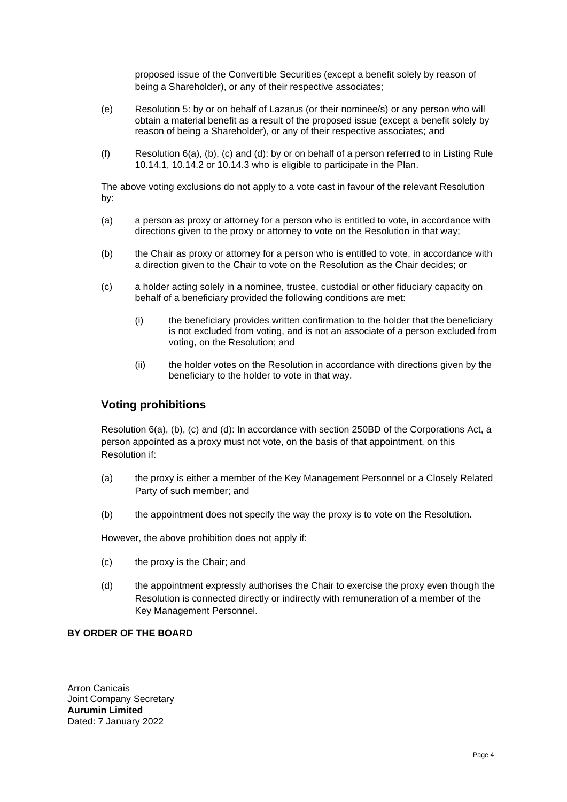proposed issue of the Convertible Securities (except a benefit solely by reason of being a Shareholder), or any of their respective associates;

- (e) [Resolution 5:](#page-2-1) by or on behalf of Lazarus (or their nominee/s) or any person who will obtain a material benefit as a result of the proposed issue (except a benefit solely by reason of being a Shareholder), or any of their respective associates; and
- (f) [Resolution 6](#page-2-2)[\(a\),](#page-2-3) [\(b\),](#page-2-4) [\(c\)](#page-2-5) and [\(d\):](#page-2-6) by or on behalf of a person referred to in Listing Rule 10.14.1, 10.14.2 or 10.14.3 who is eligible to participate in the Plan.

The above voting exclusions do not apply to a vote cast in favour of the relevant Resolution by:

- (a) a person as proxy or attorney for a person who is entitled to vote, in accordance with directions given to the proxy or attorney to vote on the Resolution in that way;
- (b) the Chair as proxy or attorney for a person who is entitled to vote, in accordance with a direction given to the Chair to vote on the Resolution as the Chair decides; or
- (c) a holder acting solely in a nominee, trustee, custodial or other fiduciary capacity on behalf of a beneficiary provided the following conditions are met:
	- (i) the beneficiary provides written confirmation to the holder that the beneficiary is not excluded from voting, and is not an associate of a person excluded from voting, on the Resolution; and
	- (ii) the holder votes on the Resolution in accordance with directions given by the beneficiary to the holder to vote in that way.

### **Voting prohibitions**

[Resolution 6](#page-2-2)[\(a\),](#page-2-3) [\(b\),](#page-2-4) [\(c\)](#page-2-5) and [\(d\):](#page-2-6) In accordance with section 250BD of the Corporations Act, a person appointed as a proxy must not vote, on the basis of that appointment, on this Resolution if:

- (a) the proxy is either a member of the Key Management Personnel or a Closely Related Party of such member; and
- (b) the appointment does not specify the way the proxy is to vote on the Resolution.

However, the above prohibition does not apply if:

- (c) the proxy is the Chair; and
- (d) the appointment expressly authorises the Chair to exercise the proxy even though the Resolution is connected directly or indirectly with remuneration of a member of the Key Management Personnel.

#### **BY ORDER OF THE BOARD**

Arron Canicais Joint Company Secretary **Aurumin Limited** Dated: 7 January 2022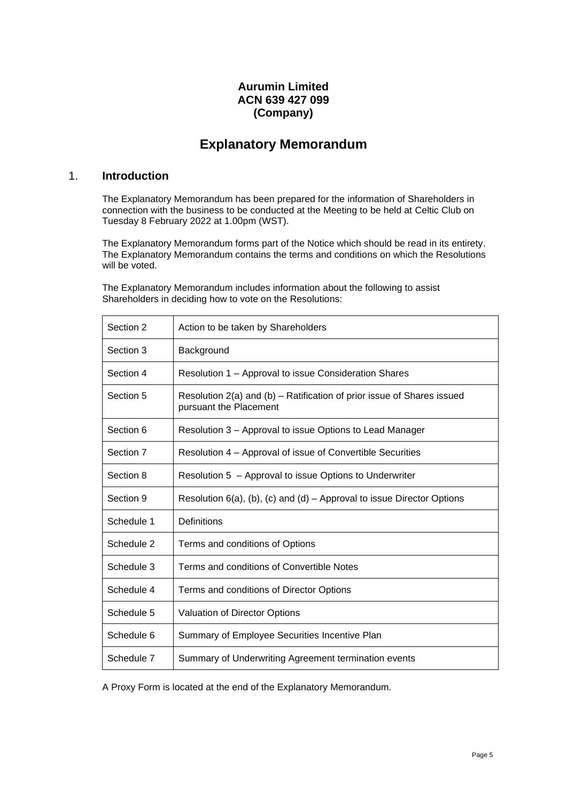### **Aurumin Limited ACN 639 427 099 (Company)**

### **Explanatory Memorandum**

#### 1. **Introduction**

The Explanatory Memorandum has been prepared for the information of Shareholders in connection with the business to be conducted at the Meeting to be held at Celtic Club on Tuesday 8 February 2022 at 1.00pm (WST).

The Explanatory Memorandum forms part of the Notice which should be read in its entirety. The Explanatory Memorandum contains the terms and conditions on which the Resolutions will be voted.

The Explanatory Memorandum includes information about the following to assist Shareholders in deciding how to vote on the Resolutions:

| Section 2  | Action to be taken by Shareholders                                                               |
|------------|--------------------------------------------------------------------------------------------------|
| Section 3  | Background                                                                                       |
| Section 4  | Resolution 1 – Approval to issue Consideration Shares                                            |
| Section 5  | Resolution 2(a) and (b) – Ratification of prior issue of Shares issued<br>pursuant the Placement |
| Section 6  | Resolution 3 – Approval to issue Options to Lead Manager                                         |
| Section 7  | Resolution 4 – Approval of issue of Convertible Securities                                       |
| Section 8  | Resolution 5 - Approval to issue Options to Underwriter                                          |
| Section 9  | Resolution $6(a)$ , (b), (c) and (d) – Approval to issue Director Options                        |
| Schedule 1 | Definitions                                                                                      |
| Schedule 2 | Terms and conditions of Options                                                                  |
| Schedule 3 | Terms and conditions of Convertible Notes                                                        |
| Schedule 4 | Terms and conditions of Director Options                                                         |
| Schedule 5 | <b>Valuation of Director Options</b>                                                             |
| Schedule 6 | Summary of Employee Securities Incentive Plan                                                    |
| Schedule 7 | Summary of Underwriting Agreement termination events                                             |

A Proxy Form is located at the end of the Explanatory Memorandum.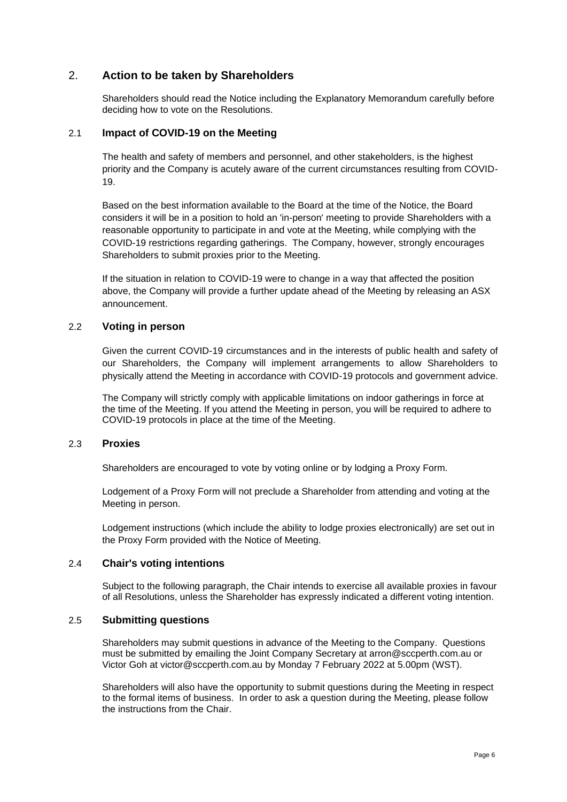#### <span id="page-5-0"></span>2. **Action to be taken by Shareholders**

Shareholders should read the Notice including the Explanatory Memorandum carefully before deciding how to vote on the Resolutions.

#### 2.1 **Impact of COVID-19 on the Meeting**

The health and safety of members and personnel, and other stakeholders, is the highest priority and the Company is acutely aware of the current circumstances resulting from COVID-19.

Based on the best information available to the Board at the time of the Notice, the Board considers it will be in a position to hold an 'in-person' meeting to provide Shareholders with a reasonable opportunity to participate in and vote at the Meeting, while complying with the COVID-19 restrictions regarding gatherings. The Company, however, strongly encourages Shareholders to submit proxies prior to the Meeting.

If the situation in relation to COVID-19 were to change in a way that affected the position above, the Company will provide a further update ahead of the Meeting by releasing an ASX announcement.

#### 2.2 **Voting in person**

Given the current COVID-19 circumstances and in the interests of public health and safety of our Shareholders, the Company will implement arrangements to allow Shareholders to physically attend the Meeting in accordance with COVID-19 protocols and government advice.

The Company will strictly comply with applicable limitations on indoor gatherings in force at the time of the Meeting. If you attend the Meeting in person, you will be required to adhere to COVID-19 protocols in place at the time of the Meeting.

#### 2.3 **Proxies**

Shareholders are encouraged to vote by voting online or by lodging a Proxy Form.

Lodgement of a Proxy Form will not preclude a Shareholder from attending and voting at the Meeting in person.

Lodgement instructions (which include the ability to lodge proxies electronically) are set out in the Proxy Form provided with the Notice of Meeting.

#### 2.4 **Chair's voting intentions**

Subject to the following paragraph, the Chair intends to exercise all available proxies in favour of all Resolutions, unless the Shareholder has expressly indicated a different voting intention.

#### 2.5 **Submitting questions**

Shareholders may submit questions in advance of the Meeting to the Company. Questions must be submitted by emailing the Joint Company Secretary at arron@sccperth.com.au or Victor Goh at victor@sccperth.com.au by Monday 7 February 2022 at 5.00pm (WST).

Shareholders will also have the opportunity to submit questions during the Meeting in respect to the formal items of business. In order to ask a question during the Meeting, please follow the instructions from the Chair.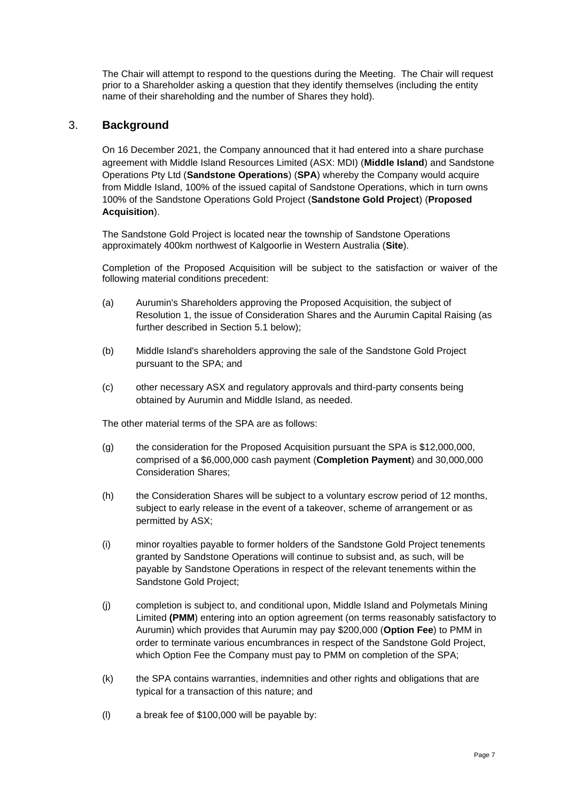The Chair will attempt to respond to the questions during the Meeting. The Chair will request prior to a Shareholder asking a question that they identify themselves (including the entity name of their shareholding and the number of Shares they hold).

#### <span id="page-6-0"></span>3. **Background**

On 16 December 2021, the Company announced that it had entered into a share purchase agreement with Middle Island Resources Limited (ASX: MDI) (**Middle Island**) and Sandstone Operations Pty Ltd (**Sandstone Operations**) (**SPA**) whereby the Company would acquire from Middle Island, 100% of the issued capital of Sandstone Operations, which in turn owns 100% of the Sandstone Operations Gold Project (**Sandstone Gold Project**) (**Proposed Acquisition**).

The Sandstone Gold Project is located near the township of Sandstone Operations approximately 400km northwest of Kalgoorlie in Western Australia (**Site**).

Completion of the Proposed Acquisition will be subject to the satisfaction or waiver of the following material conditions precedent:

- (a) Aurumin's Shareholders approving the Proposed Acquisition, the subject of [Resolution 1,](#page-1-0) the issue of Consideration Shares and the Aurumin Capital Raising (as further described in Section [5.1](#page-8-1) below);
- (b) Middle Island's shareholders approving the sale of the Sandstone Gold Project pursuant to the SPA; and
- (c) other necessary ASX and regulatory approvals and third-party consents being obtained by Aurumin and Middle Island, as needed.

The other material terms of the SPA are as follows:

- (g) the consideration for the Proposed Acquisition pursuant the SPA is \$12,000,000, comprised of a \$6,000,000 cash payment (**Completion Payment**) and 30,000,000 Consideration Shares;
- (h) the Consideration Shares will be subject to a voluntary escrow period of 12 months, subject to early release in the event of a takeover, scheme of arrangement or as permitted by ASX;
- (i) minor royalties payable to former holders of the Sandstone Gold Project tenements granted by Sandstone Operations will continue to subsist and, as such, will be payable by Sandstone Operations in respect of the relevant tenements within the Sandstone Gold Project;
- (j) completion is subject to, and conditional upon, Middle Island and Polymetals Mining Limited **(PMM**) entering into an option agreement (on terms reasonably satisfactory to Aurumin) which provides that Aurumin may pay \$200,000 (**Option Fee**) to PMM in order to terminate various encumbrances in respect of the Sandstone Gold Project, which Option Fee the Company must pay to PMM on completion of the SPA;
- (k) the SPA contains warranties, indemnities and other rights and obligations that are typical for a transaction of this nature; and
- (l) a break fee of \$100,000 will be payable by: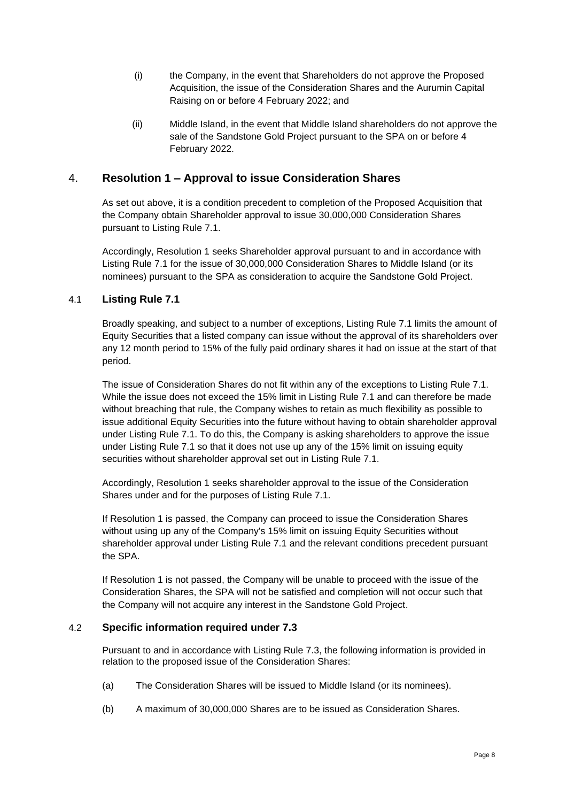- (i) the Company, in the event that Shareholders do not approve the Proposed Acquisition, the issue of the Consideration Shares and the Aurumin Capital Raising on or before 4 February 2022; and
- (ii) Middle Island, in the event that Middle Island shareholders do not approve the sale of the Sandstone Gold Project pursuant to the SPA on or before 4 February 2022.

#### <span id="page-7-0"></span>4. **[Resolution 1](#page-1-0) – [Approval to issue Consideration Shares](#page-1-0)**

As set out above, it is a condition precedent to completion of the Proposed Acquisition that the Company obtain Shareholder approval to issue 30,000,000 Consideration Shares pursuant to Listing Rule 7.1.

Accordingly, [Resolution 1](#page-1-0) seeks Shareholder approval pursuant to and in accordance with Listing Rule 7.1 for the issue of 30,000,000 Consideration Shares to Middle Island (or its nominees) pursuant to the SPA as consideration to acquire the Sandstone Gold Project.

#### <span id="page-7-1"></span>4.1 **Listing Rule 7.1**

Broadly speaking, and subject to a number of exceptions, Listing Rule 7.1 limits the amount of Equity Securities that a listed company can issue without the approval of its shareholders over any 12 month period to 15% of the fully paid ordinary shares it had on issue at the start of that period.

The issue of Consideration Shares do not fit within any of the exceptions to Listing Rule 7.1. While the issue does not exceed the 15% limit in Listing Rule 7.1 and can therefore be made without breaching that rule, the Company wishes to retain as much flexibility as possible to issue additional Equity Securities into the future without having to obtain shareholder approval under Listing Rule 7.1. To do this, the Company is asking shareholders to approve the issue under Listing Rule 7.1 so that it does not use up any of the 15% limit on issuing equity securities without shareholder approval set out in Listing Rule 7.1.

Accordingly, [Resolution 1](#page-1-0) seeks shareholder approval to the issue of the Consideration Shares under and for the purposes of Listing Rule 7.1.

If [Resolution 1](#page-1-0) is passed, the Company can proceed to issue the Consideration Shares without using up any of the Company's 15% limit on issuing Equity Securities without shareholder approval under Listing Rule 7.1 and the relevant conditions precedent pursuant the SPA.

If [Resolution 1](#page-1-0) is not passed, the Company will be unable to proceed with the issue of the Consideration Shares, the SPA will not be satisfied and completion will not occur such that the Company will not acquire any interest in the Sandstone Gold Project.

#### 4.2 **Specific information required under 7.3**

Pursuant to and in accordance with Listing Rule 7.3, the following information is provided in relation to the proposed issue of the Consideration Shares:

- (a) The Consideration Shares will be issued to Middle Island (or its nominees).
- (b) A maximum of 30,000,000 Shares are to be issued as Consideration Shares.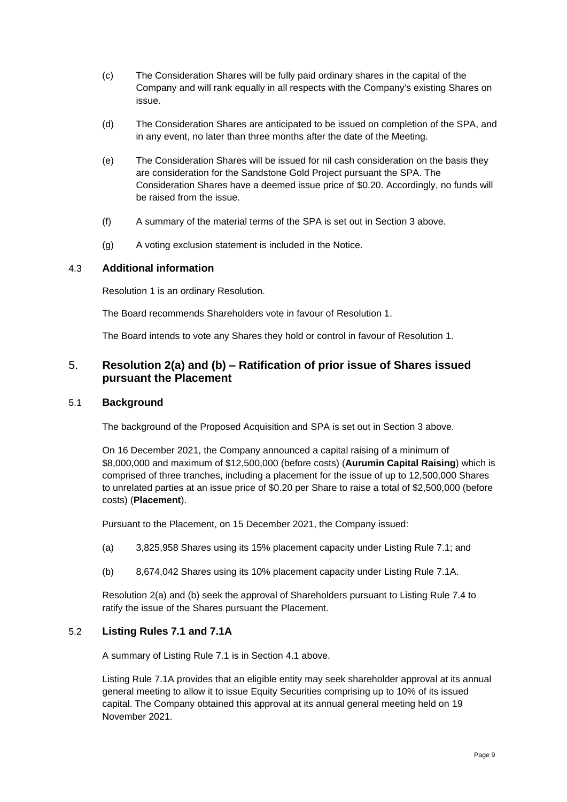- (c) The Consideration Shares will be fully paid ordinary shares in the capital of the Company and will rank equally in all respects with the Company's existing Shares on issue.
- (d) The Consideration Shares are anticipated to be issued on completion of the SPA, and in any event, no later than three months after the date of the Meeting.
- (e) The Consideration Shares will be issued for nil cash consideration on the basis they are consideration for the Sandstone Gold Project pursuant the SPA. The Consideration Shares have a deemed issue price of \$0.20. Accordingly, no funds will be raised from the issue.
- (f) A summary of the material terms of the SPA is set out in Section [3](#page-6-0) above.
- (g) A voting exclusion statement is included in the Notice.

#### 4.3 **Additional information**

[Resolution 1](#page-1-0) is an ordinary Resolution.

The Board recommends Shareholders vote in favour of [Resolution 1.](#page-1-0)

The Board intends to vote any Shares they hold or control in favour of [Resolution 1.](#page-1-0)

#### <span id="page-8-0"></span>5. **[Resolution 2](#page-1-1)[\(a\)](#page-1-2) and [\(b\)](#page-1-3) – [Ratification of prior issue of Shares issued](#page-1-1)  [pursuant the Placement](#page-1-1)**

#### 5.1 **Background**

<span id="page-8-1"></span>The background of the Proposed Acquisition and SPA is set out in Section [3](#page-6-0) above.

On 16 December 2021, the Company announced a capital raising of a minimum of \$8,000,000 and maximum of \$12,500,000 (before costs) (**Aurumin Capital Raising**) which is comprised of three tranches, including a placement for the issue of up to 12,500,000 Shares to unrelated parties at an issue price of \$0.20 per Share to raise a total of \$2,500,000 (before costs) (**Placement**).

Pursuant to the Placement, on 15 December 2021, the Company issued:

- (a) 3,825,958 Shares using its 15% placement capacity under Listing Rule 7.1; and
- (b) 8,674,042 Shares using its 10% placement capacity under Listing Rule 7.1A.

[Resolution 2](#page-1-1)[\(a\)](#page-1-2) and [\(b\)](#page-1-3) seek the approval of Shareholders pursuant to Listing Rule 7.4 to ratify the issue of the Shares pursuant the Placement.

#### 5.2 **Listing Rules 7.1 and 7.1A**

A summary of Listing Rule 7.1 is in Section [4.1](#page-7-1) above.

Listing Rule 7.1A provides that an eligible entity may seek shareholder approval at its annual general meeting to allow it to issue Equity Securities comprising up to 10% of its issued capital. The Company obtained this approval at its annual general meeting held on 19 November 2021.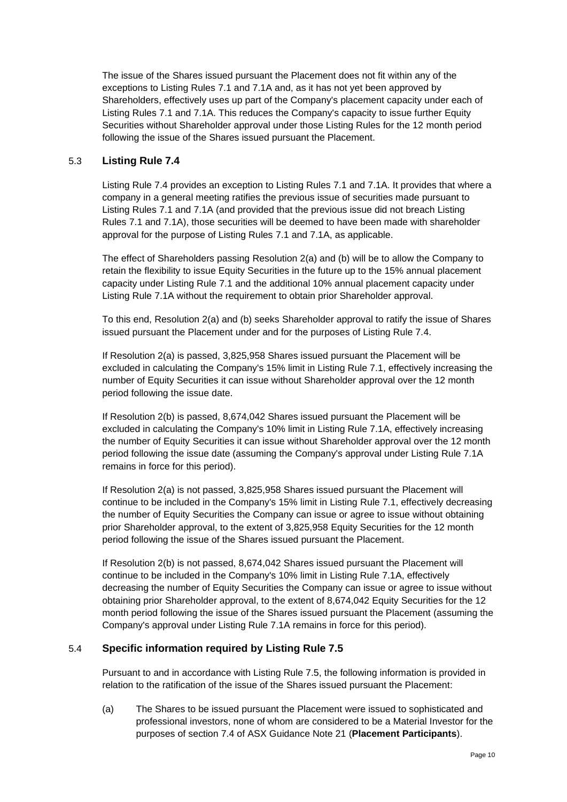The issue of the Shares issued pursuant the Placement does not fit within any of the exceptions to Listing Rules 7.1 and 7.1A and, as it has not yet been approved by Shareholders, effectively uses up part of the Company's placement capacity under each of Listing Rules 7.1 and 7.1A. This reduces the Company's capacity to issue further Equity Securities without Shareholder approval under those Listing Rules for the 12 month period following the issue of the Shares issued pursuant the Placement.

#### 5.3 **Listing Rule 7.4**

Listing Rule 7.4 provides an exception to Listing Rules 7.1 and 7.1A. It provides that where a company in a general meeting ratifies the previous issue of securities made pursuant to Listing Rules 7.1 and 7.1A (and provided that the previous issue did not breach Listing Rules 7.1 and 7.1A), those securities will be deemed to have been made with shareholder approval for the purpose of Listing Rules 7.1 and 7.1A, as applicable.

The effect of Shareholders passing [Resolution 2](#page-1-1)[\(a\)](#page-1-2) and [\(b\)](#page-1-3) will be to allow the Company to retain the flexibility to issue Equity Securities in the future up to the 15% annual placement capacity under Listing Rule 7.1 and the additional 10% annual placement capacity under Listing Rule 7.1A without the requirement to obtain prior Shareholder approval.

To this end, [Resolution 2](#page-1-1)[\(a\)](#page-1-2) and [\(b\)](#page-1-3) seeks Shareholder approval to ratify the issue of Shares issued pursuant the Placement under and for the purposes of Listing Rule 7.4.

If [Resolution 2](#page-1-1)[\(a\)](#page-1-2) is passed, 3,825,958 Shares issued pursuant the Placement will be excluded in calculating the Company's 15% limit in Listing Rule 7.1, effectively increasing the number of Equity Securities it can issue without Shareholder approval over the 12 month period following the issue date.

If [Resolution 2](#page-1-1)[\(b\)](#page-1-3) is passed, 8,674,042 Shares issued pursuant the Placement will be excluded in calculating the Company's 10% limit in Listing Rule 7.1A, effectively increasing the number of Equity Securities it can issue without Shareholder approval over the 12 month period following the issue date (assuming the Company's approval under Listing Rule 7.1A remains in force for this period).

If [Resolution 2](#page-1-1)[\(a\)](#page-1-2) is not passed, 3,825,958 Shares issued pursuant the Placement will continue to be included in the Company's 15% limit in Listing Rule 7.1, effectively decreasing the number of Equity Securities the Company can issue or agree to issue without obtaining prior Shareholder approval, to the extent of 3,825,958 Equity Securities for the 12 month period following the issue of the Shares issued pursuant the Placement.

If [Resolution 2](#page-1-1)[\(b\)](#page-1-3) is not passed, 8,674,042 Shares issued pursuant the Placement will continue to be included in the Company's 10% limit in Listing Rule 7.1A, effectively decreasing the number of Equity Securities the Company can issue or agree to issue without obtaining prior Shareholder approval, to the extent of 8,674,042 Equity Securities for the 12 month period following the issue of the Shares issued pursuant the Placement (assuming the Company's approval under Listing Rule 7.1A remains in force for this period).

#### <span id="page-9-0"></span>5.4 **Specific information required by Listing Rule 7.5**

Pursuant to and in accordance with Listing Rule 7.5, the following information is provided in relation to the ratification of the issue of the Shares issued pursuant the Placement:

(a) The Shares to be issued pursuant the Placement were issued to sophisticated and professional investors, none of whom are considered to be a Material Investor for the purposes of section 7.4 of ASX Guidance Note 21 (**Placement Participants**).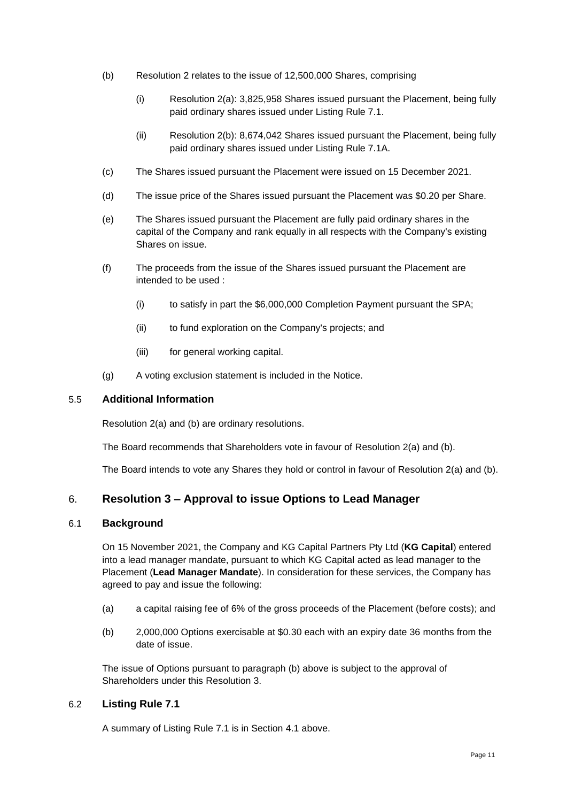- (b) [Resolution 2](#page-1-1) relates to the issue of 12,500,000 Shares, comprising
	- (i) [Resolution 2](#page-1-1)[\(a\):](#page-1-2) 3,825,958 Shares issued pursuant the Placement, being fully paid ordinary shares issued under Listing Rule 7.1.
	- (ii) [Resolution 2](#page-1-1)[\(b\):](#page-1-3) 8,674,042 Shares issued pursuant the Placement, being fully paid ordinary shares issued under Listing Rule 7.1A.
- (c) The Shares issued pursuant the Placement were issued on 15 December 2021.
- (d) The issue price of the Shares issued pursuant the Placement was \$0.20 per Share.
- (e) The Shares issued pursuant the Placement are fully paid ordinary shares in the capital of the Company and rank equally in all respects with the Company's existing Shares on issue.
- (f) The proceeds from the issue of the Shares issued pursuant the Placement are intended to be used :
	- (i) to satisfy in part the \$6,000,000 Completion Payment pursuant the SPA;
	- (ii) to fund exploration on the Company's projects; and
	- (iii) for general working capital.
- (g) A voting exclusion statement is included in the Notice.

#### 5.5 **Additional Information**

[Resolution 2](#page-1-1)[\(a\)](#page-1-2) and [\(b\)](#page-1-3) are ordinary resolutions.

The Board recommends that Shareholders vote in favour of [Resolution 2](#page-1-1)[\(a\)](#page-1-2) and [\(b\).](#page-1-3)

The Board intends to vote any Shares they hold or control in favour of [Resolution 2](#page-1-1)[\(a\)](#page-1-2) and [\(b\).](#page-1-3)

#### <span id="page-10-0"></span>6. **[Resolution 3](#page-1-4) – [Approval to issue Options to Lead Manager](#page-1-4)**

#### <span id="page-10-1"></span>6.1 **Background**

On 15 November 2021, the Company and KG Capital Partners Pty Ltd (**KG Capital**) entered into a lead manager mandate, pursuant to which KG Capital acted as lead manager to the Placement (**Lead Manager Mandate**). In consideration for these services, the Company has agreed to pay and issue the following:

- (a) a capital raising fee of 6% of the gross proceeds of the Placement (before costs); and
- (b) 2,000,000 Options exercisable at \$0.30 each with an expiry date 36 months from the date of issue.

The issue of Options pursuant to paragraph (b) above is subject to the approval of Shareholders under this [Resolution 3.](#page-1-4)

#### 6.2 **Listing Rule 7.1**

A summary of Listing Rule 7.1 is in Section [4.1](#page-7-1) above.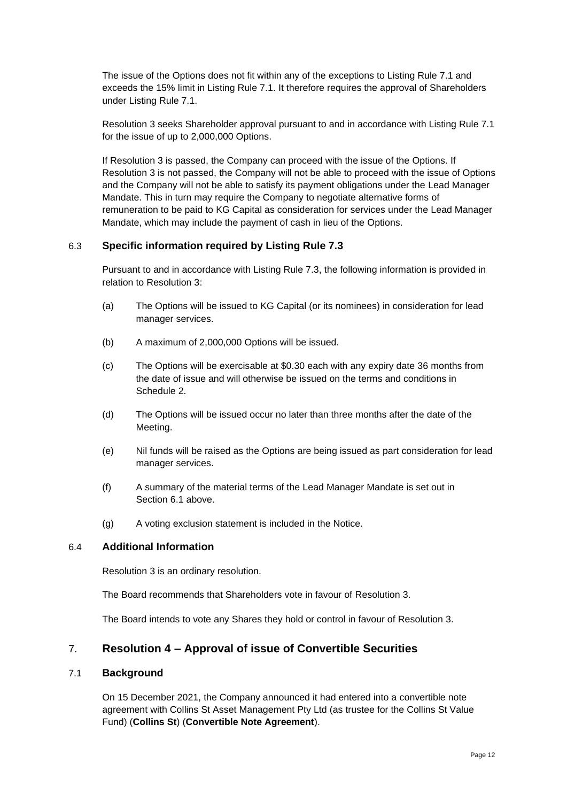The issue of the Options does not fit within any of the exceptions to Listing Rule 7.1 and exceeds the 15% limit in Listing Rule 7.1. It therefore requires the approval of Shareholders under Listing Rule 7.1.

[Resolution 3](#page-1-4) seeks Shareholder approval pursuant to and in accordance with Listing Rule 7.1 for the issue of up to 2,000,000 Options.

If [Resolution 3](#page-1-4) is passed, the Company can proceed with the issue of the Options. If [Resolution 3](#page-1-4) is not passed, the Company will not be able to proceed with the issue of Options and the Company will not be able to satisfy its payment obligations under the Lead Manager Mandate. This in turn may require the Company to negotiate alternative forms of remuneration to be paid to KG Capital as consideration for services under the Lead Manager Mandate, which may include the payment of cash in lieu of the Options.

#### 6.3 **Specific information required by Listing Rule 7.3**

Pursuant to and in accordance with Listing Rule 7.3, the following information is provided in relation to [Resolution 3:](#page-1-4)

- (a) The Options will be issued to KG Capital (or its nominees) in consideration for lead manager services.
- (b) A maximum of 2,000,000 Options will be issued.
- (c) The Options will be exercisable at \$0.30 each with any expiry date 36 months from the date of issue and will otherwise be issued on the terms and conditions in [Schedule](#page-24-0) 2.
- (d) The Options will be issued occur no later than three months after the date of the Meeting.
- (e) Nil funds will be raised as the Options are being issued as part consideration for lead manager services.
- (f) A summary of the material terms of the Lead Manager Mandate is set out in Section [6.1](#page-10-1) above.
- (g) A voting exclusion statement is included in the Notice.

#### 6.4 **Additional Information**

[Resolution 3](#page-1-4) is an ordinary resolution.

The Board recommends that Shareholders vote in favour of [Resolution 3.](#page-1-4)

The Board intends to vote any Shares they hold or control in favour of [Resolution 3.](#page-1-4)

#### <span id="page-11-0"></span>7. **[Resolution 4](#page-2-0) – [Approval of issue of Convertible](#page-2-0) Securities**

#### <span id="page-11-1"></span>7.1 **Background**

On 15 December 2021, the Company announced it had entered into a convertible note agreement with Collins St Asset Management Pty Ltd (as trustee for the Collins St Value Fund) (**Collins St**) (**Convertible Note Agreement**).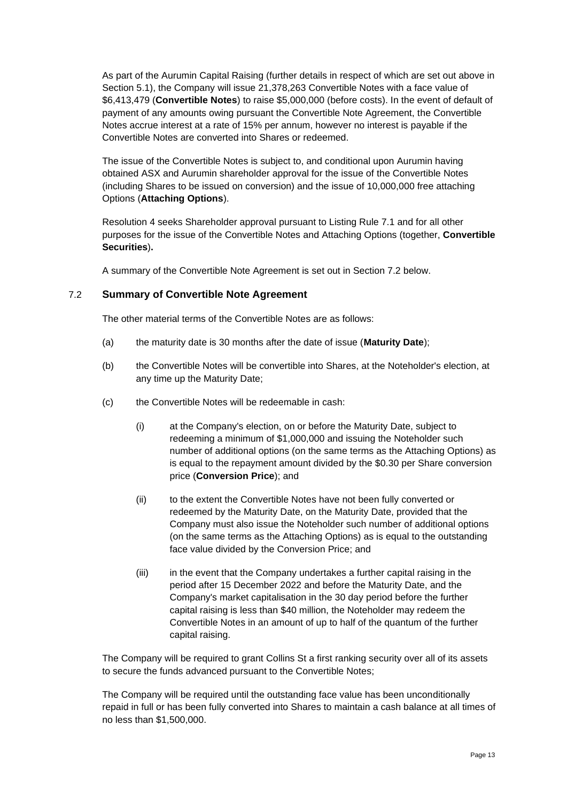As part of the Aurumin Capital Raising (further details in respect of which are set out above in Section [5.1\)](#page-8-1), the Company will issue 21,378,263 Convertible Notes with a face value of \$6,413,479 (**Convertible Notes**) to raise \$5,000,000 (before costs). In the event of default of payment of any amounts owing pursuant the Convertible Note Agreement, the Convertible Notes accrue interest at a rate of 15% per annum, however no interest is payable if the Convertible Notes are converted into Shares or redeemed.

The issue of the Convertible Notes is subject to, and conditional upon Aurumin having obtained ASX and Aurumin shareholder approval for the issue of the Convertible Notes (including Shares to be issued on conversion) and the issue of 10,000,000 free attaching Options (**Attaching Options**).

[Resolution 4](#page-2-0) seeks Shareholder approval pursuant to Listing Rule 7.1 and for all other purposes for the issue of the Convertible Notes and Attaching Options (together, **Convertible Securities**)**.**

A summary of the Convertible Note Agreement is set out in Section [7.2](#page-12-0) below.

#### <span id="page-12-0"></span>7.2 **Summary of Convertible Note Agreement**

The other material terms of the Convertible Notes are as follows:

- (a) the maturity date is 30 months after the date of issue (**Maturity Date**);
- (b) the Convertible Notes will be convertible into Shares, at the Noteholder's election, at any time up the Maturity Date;
- (c) the Convertible Notes will be redeemable in cash:
	- (i) at the Company's election, on or before the Maturity Date, subject to redeeming a minimum of \$1,000,000 and issuing the Noteholder such number of additional options (on the same terms as the Attaching Options) as is equal to the repayment amount divided by the \$0.30 per Share conversion price (**Conversion Price**); and
	- (ii) to the extent the Convertible Notes have not been fully converted or redeemed by the Maturity Date, on the Maturity Date, provided that the Company must also issue the Noteholder such number of additional options (on the same terms as the Attaching Options) as is equal to the outstanding face value divided by the Conversion Price; and
	- (iii) in the event that the Company undertakes a further capital raising in the period after 15 December 2022 and before the Maturity Date, and the Company's market capitalisation in the 30 day period before the further capital raising is less than \$40 million, the Noteholder may redeem the Convertible Notes in an amount of up to half of the quantum of the further capital raising.

The Company will be required to grant Collins St a first ranking security over all of its assets to secure the funds advanced pursuant to the Convertible Notes;

The Company will be required until the outstanding face value has been unconditionally repaid in full or has been fully converted into Shares to maintain a cash balance at all times of no less than \$1,500,000.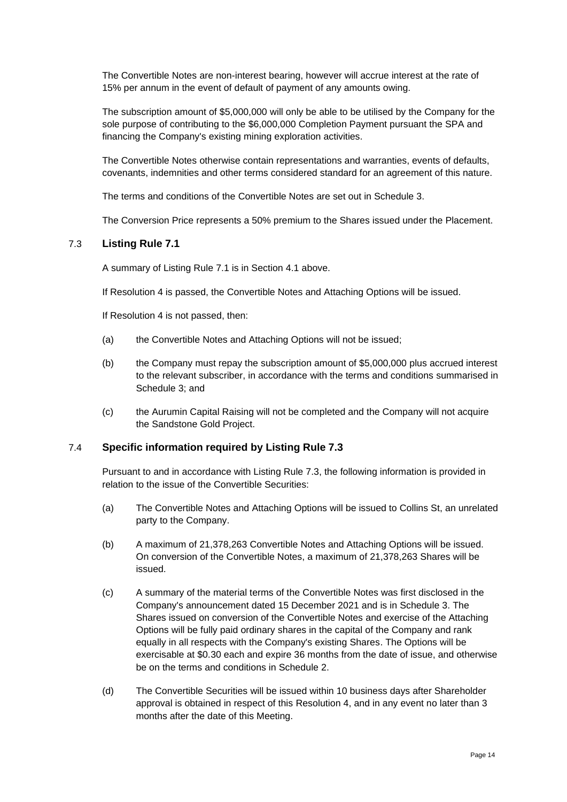The Convertible Notes are non-interest bearing, however will accrue interest at the rate of 15% per annum in the event of default of payment of any amounts owing.

The subscription amount of \$5,000,000 will only be able to be utilised by the Company for the sole purpose of contributing to the \$6,000,000 Completion Payment pursuant the SPA and financing the Company's existing mining exploration activities.

The Convertible Notes otherwise contain representations and warranties, events of defaults, covenants, indemnities and other terms considered standard for an agreement of this nature.

The terms and conditions of the Convertible Notes are set out in [Schedule](#page-26-0) 3.

The Conversion Price represents a 50% premium to the Shares issued under the Placement.

#### 7.3 **Listing Rule 7.1**

A summary of Listing Rule 7.1 is in Section [4.1](#page-7-1) above.

If [Resolution 4](#page-2-0) is passed, the Convertible Notes and Attaching Options will be issued.

If [Resolution 4](#page-2-0) is not passed, then:

- (a) the Convertible Notes and Attaching Options will not be issued;
- (b) the Company must repay the subscription amount of \$5,000,000 plus accrued interest to the relevant subscriber, in accordance with the terms and conditions summarised in [Schedule](#page-26-0) 3; and
- (c) the Aurumin Capital Raising will not be completed and the Company will not acquire the Sandstone Gold Project.

#### 7.4 **Specific information required by Listing Rule 7.3**

Pursuant to and in accordance with Listing Rule 7.3, the following information is provided in relation to the issue of the Convertible Securities:

- (a) The Convertible Notes and Attaching Options will be issued to Collins St, an unrelated party to the Company.
- (b) A maximum of 21,378,263 Convertible Notes and Attaching Options will be issued. On conversion of the Convertible Notes, a maximum of 21,378,263 Shares will be issued.
- (c) A summary of the material terms of the Convertible Notes was first disclosed in the Company's announcement dated 15 December 2021 and is in [Schedule](#page-26-0) 3. The Shares issued on conversion of the Convertible Notes and exercise of the Attaching Options will be fully paid ordinary shares in the capital of the Company and rank equally in all respects with the Company's existing Shares. The Options will be exercisable at \$0.30 each and expire 36 months from the date of issue, and otherwise be on the terms and conditions in [Schedule](#page-24-0) 2.
- (d) The Convertible Securities will be issued within 10 business days after Shareholder approval is obtained in respect of this [Resolution 4,](#page-2-0) and in any event no later than 3 months after the date of this Meeting.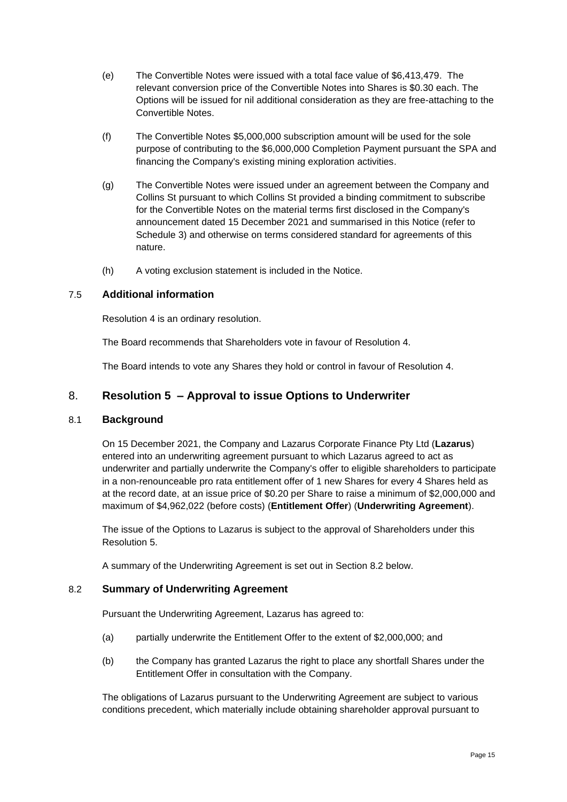- (e) The Convertible Notes were issued with a total face value of \$6,413,479. The relevant conversion price of the Convertible Notes into Shares is \$0.30 each. The Options will be issued for nil additional consideration as they are free-attaching to the Convertible Notes.
- (f) The Convertible Notes \$5,000,000 subscription amount will be used for the sole purpose of contributing to the \$6,000,000 Completion Payment pursuant the SPA and financing the Company's existing mining exploration activities.
- (g) The Convertible Notes were issued under an agreement between the Company and Collins St pursuant to which Collins St provided a binding commitment to subscribe for the Convertible Notes on the material terms first disclosed in the Company's announcement dated 15 December 2021 and summarised in this Notice (refer to [Schedule](#page-26-0) 3) and otherwise on terms considered standard for agreements of this nature.
- (h) A voting exclusion statement is included in the Notice.

#### 7.5 **Additional information**

[Resolution 4](#page-2-0) is an ordinary resolution.

The Board recommends that Shareholders vote in favour of [Resolution 4.](#page-2-0)

The Board intends to vote any Shares they hold or control in favour of [Resolution 4.](#page-2-0)

#### <span id="page-14-0"></span>8. **[Resolution 5](#page-2-1) – Approval to issue [Options to Underwriter](#page-2-1)**

#### <span id="page-14-2"></span>8.1 **Background**

On 15 December 2021, the Company and Lazarus Corporate Finance Pty Ltd (**Lazarus**) entered into an underwriting agreement pursuant to which Lazarus agreed to act as underwriter and partially underwrite the Company's offer to eligible shareholders to participate in a non-renounceable pro rata entitlement offer of 1 new Shares for every 4 Shares held as at the record date, at an issue price of \$0.20 per Share to raise a minimum of \$2,000,000 and maximum of \$4,962,022 (before costs) (**Entitlement Offer**) (**Underwriting Agreement**).

The issue of the Options to Lazarus is subject to the approval of Shareholders under this [Resolution 5.](#page-2-1)

A summary of the Underwriting Agreement is set out in Section [8.2](#page-14-1) below.

#### <span id="page-14-1"></span>8.2 **Summary of Underwriting Agreement**

Pursuant the Underwriting Agreement, Lazarus has agreed to:

- (a) partially underwrite the Entitlement Offer to the extent of \$2,000,000; and
- (b) the Company has granted Lazarus the right to place any shortfall Shares under the Entitlement Offer in consultation with the Company.

The obligations of Lazarus pursuant to the Underwriting Agreement are subject to various conditions precedent, which materially include obtaining shareholder approval pursuant to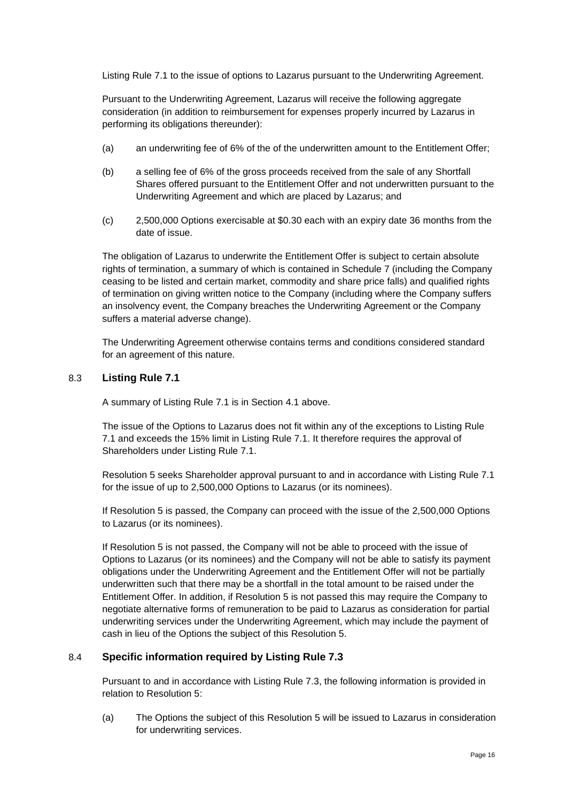Listing Rule 7.1 to the issue of options to Lazarus pursuant to the Underwriting Agreement.

Pursuant to the Underwriting Agreement, Lazarus will receive the following aggregate consideration (in addition to reimbursement for expenses properly incurred by Lazarus in performing its obligations thereunder):

- (a) an underwriting fee of 6% of the of the underwritten amount to the Entitlement Offer;
- (b) a selling fee of 6% of the gross proceeds received from the sale of any Shortfall Shares offered pursuant to the Entitlement Offer and not underwritten pursuant to the Underwriting Agreement and which are placed by Lazarus; and
- (c) 2,500,000 Options exercisable at \$0.30 each with an expiry date 36 months from the date of issue.

The obligation of Lazarus to underwrite the Entitlement Offer is subject to certain absolute rights of termination, a summary of which is contained in [Schedule](#page-51-0) 7 (including the Company ceasing to be listed and certain market, commodity and share price falls) and qualified rights of termination on giving written notice to the Company (including where the Company suffers an insolvency event, the Company breaches the Underwriting Agreement or the Company suffers a material adverse change).

The Underwriting Agreement otherwise contains terms and conditions considered standard for an agreement of this nature.

#### 8.3 **Listing Rule 7.1**

A summary of Listing Rule 7.1 is in Section [4.1](#page-7-1) above.

The issue of the Options to Lazarus does not fit within any of the exceptions to Listing Rule 7.1 and exceeds the 15% limit in Listing Rule 7.1. It therefore requires the approval of Shareholders under Listing Rule 7.1.

[Resolution 5](#page-2-1) seeks Shareholder approval pursuant to and in accordance with Listing Rule 7.1 for the issue of up to 2,500,000 Options to Lazarus (or its nominees).

If [Resolution 5](#page-2-1) is passed, the Company can proceed with the issue of the 2,500,000 Options to Lazarus (or its nominees).

If [Resolution 5](#page-2-1) is not passed, the Company will not be able to proceed with the issue of Options to Lazarus (or its nominees) and the Company will not be able to satisfy its payment obligations under the Underwriting Agreement and the Entitlement Offer will not be partially underwritten such that there may be a shortfall in the total amount to be raised under the Entitlement Offer. In addition, if [Resolution 5](#page-2-1) is not passed this may require the Company to negotiate alternative forms of remuneration to be paid to Lazarus as consideration for partial underwriting services under the Underwriting Agreement, which may include the payment of cash in lieu of the Options the subject of this [Resolution 5.](#page-2-1)

#### 8.4 **Specific information required by Listing Rule 7.3**

Pursuant to and in accordance with Listing Rule 7.3, the following information is provided in relation to [Resolution 5:](#page-2-1)

(a) The Options the subject of this [Resolution 5](#page-2-1) will be issued to Lazarus in consideration for underwriting services.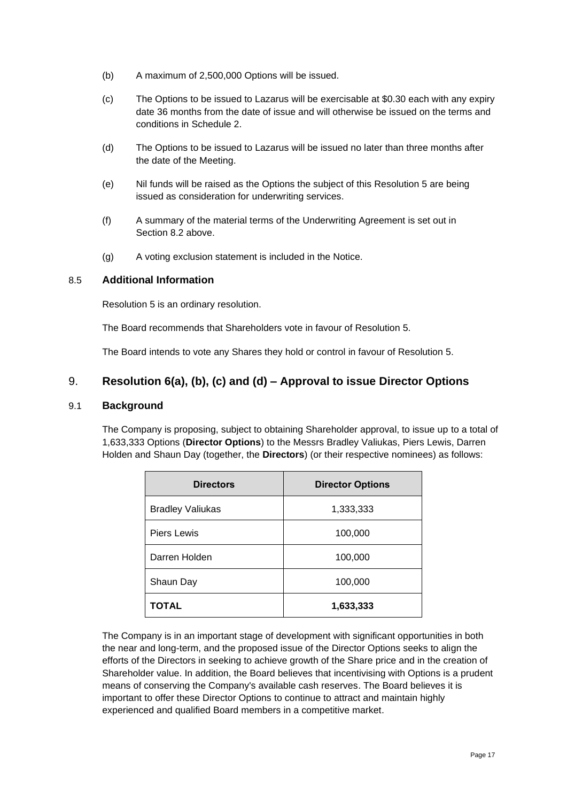- (b) A maximum of 2,500,000 Options will be issued.
- (c) The Options to be issued to Lazarus will be exercisable at \$0.30 each with any expiry date 36 months from the date of issue and will otherwise be issued on the terms and conditions in [Schedule](#page-24-0) 2.
- (d) The Options to be issued to Lazarus will be issued no later than three months after the date of the Meeting.
- (e) Nil funds will be raised as the Options the subject of this [Resolution 5](#page-2-1) are being issued as consideration for underwriting services.
- (f) A summary of the material terms of the Underwriting Agreement is set out in Section [8.2](#page-14-1) above.
- (g) A voting exclusion statement is included in the Notice.

#### 8.5 **Additional Information**

[Resolution 5](#page-2-1) is an ordinary resolution.

The Board recommends that Shareholders vote in favour of [Resolution 5.](#page-2-1)

The Board intends to vote any Shares they hold or control in favour of [Resolution 5.](#page-2-1)

### 9. **[Resolution 6](#page-2-2)[\(a\),](#page-2-3) [\(b\),](#page-2-4) [\(c\)](#page-2-5) and [\(d\)](#page-2-6) – [Approval to issue Director Options](#page-2-2)**

#### <span id="page-16-1"></span>9.1 **Background**

The Company is proposing, subject to obtaining Shareholder approval, to issue up to a total of 1,633,333 Options (**Director Options**) to the Messrs Bradley Valiukas, Piers Lewis, Darren Holden and Shaun Day (together, the **Directors**) (or their respective nominees) as follows:

<span id="page-16-0"></span>

| <b>Directors</b>        | <b>Director Options</b> |
|-------------------------|-------------------------|
| <b>Bradley Valiukas</b> | 1,333,333               |
| <b>Piers Lewis</b>      | 100,000                 |
| Darren Holden           | 100,000                 |
| Shaun Day               | 100,000                 |
| TOTAL                   | 1,633,333               |

The Company is in an important stage of development with significant opportunities in both the near and long-term, and the proposed issue of the Director Options seeks to align the efforts of the Directors in seeking to achieve growth of the Share price and in the creation of Shareholder value. In addition, the Board believes that incentivising with Options is a prudent means of conserving the Company's available cash reserves. The Board believes it is important to offer these Director Options to continue to attract and maintain highly experienced and qualified Board members in a competitive market.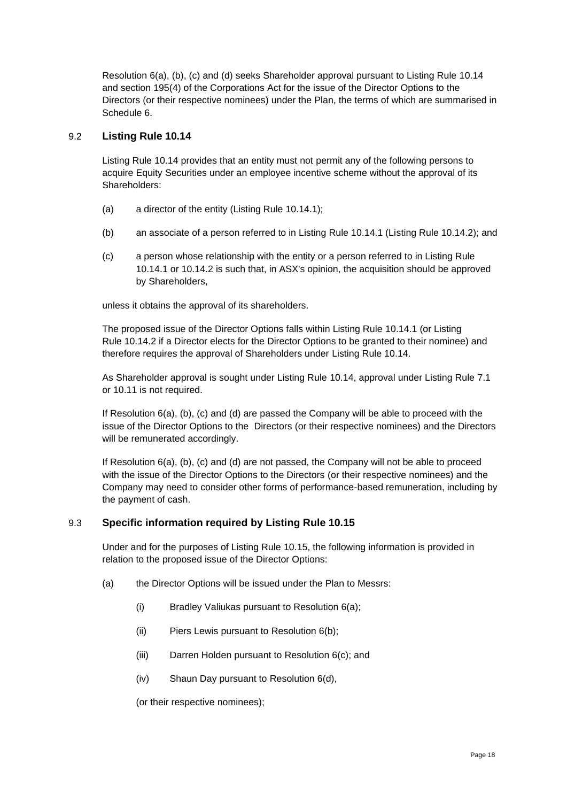[Resolution 6](#page-2-2)[\(a\),](#page-2-3) [\(b\),](#page-2-4) [\(c\)](#page-2-5) and [\(d\)](#page-2-6) seeks Shareholder approval pursuant to Listing Rule 10.14 and section 195(4) of the Corporations Act for the issue of the Director Options to the Directors (or their respective nominees) under the Plan, the terms of which are summarised in [Schedule](#page-47-0) 6.

#### 9.2 **Listing Rule 10.14**

Listing Rule 10.14 provides that an entity must not permit any of the following persons to acquire Equity Securities under an employee incentive scheme without the approval of its Shareholders:

- (a) a director of the entity (Listing Rule 10.14.1);
- (b) an associate of a person referred to in Listing Rule 10.14.1 (Listing Rule 10.14.2); and
- (c) a person whose relationship with the entity or a person referred to in Listing Rule 10.14.1 or 10.14.2 is such that, in ASX's opinion, the acquisition should be approved by Shareholders,

unless it obtains the approval of its shareholders.

The proposed issue of the Director Options falls within Listing Rule 10.14.1 (or Listing Rule 10.14.2 if a Director elects for the Director Options to be granted to their nominee) and therefore requires the approval of Shareholders under Listing Rule 10.14.

As Shareholder approval is sought under Listing Rule 10.14, approval under Listing Rule 7.1 or 10.11 is not required.

If [Resolution 6](#page-2-2)[\(a\),](#page-2-3) [\(b\),](#page-2-4) [\(c\)](#page-2-5) and [\(d\)](#page-2-6) are passed the Company will be able to proceed with the issue of the Director Options to the Directors (or their respective nominees) and the Directors will be remunerated accordingly.

If [Resolution 6](#page-2-2)[\(a\),](#page-2-3) [\(b\),](#page-2-4) [\(c\)](#page-2-5) and [\(d\)](#page-2-6) are not passed, the Company will not be able to proceed with the issue of the Director Options to the Directors (or their respective nominees) and the Company may need to consider other forms of performance-based remuneration, including by the payment of cash.

#### 9.3 **Specific information required by Listing Rule 10.15**

Under and for the purposes of Listing Rule 10.15, the following information is provided in relation to the proposed issue of the Director Options:

- (a) the Director Options will be issued under the Plan to Messrs:
	- (i) Bradley Valiukas pursuant to [Resolution 6](#page-2-2)[\(a\);](#page-2-3)
	- (ii) Piers Lewis pursuant to [Resolution 6](#page-2-2)[\(b\);](#page-2-4)
	- (iii) Darren Holden pursuant to [Resolution 6](#page-2-2)[\(c\);](#page-2-5) and
	- (iv) Shaun Day pursuant to [Resolution 6](#page-2-2)[\(d\),](#page-2-6)

(or their respective nominees);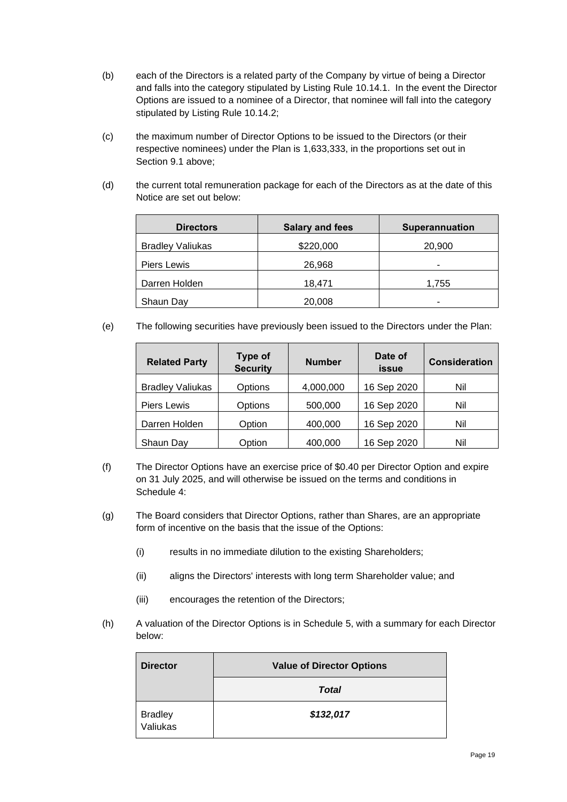- (b) each of the Directors is a related party of the Company by virtue of being a Director and falls into the category stipulated by Listing Rule 10.14.1. In the event the Director Options are issued to a nominee of a Director, that nominee will fall into the category stipulated by Listing Rule 10.14.2;
- (c) the maximum number of Director Options to be issued to the Directors (or their respective nominees) under the Plan is 1,633,333, in the proportions set out in Section [9.1](#page-16-1) above;
- (d) the current total remuneration package for each of the Directors as at the date of this Notice are set out below:

| <b>Directors</b>        | <b>Salary and fees</b> | <b>Superannuation</b> |
|-------------------------|------------------------|-----------------------|
| <b>Bradley Valiukas</b> | \$220,000              | 20,900                |
| Piers Lewis             | 26,968                 | ۰                     |
| Darren Holden           | 18,471                 | 1,755                 |
| Shaun Day               | 20,008                 | ۰                     |

(e) The following securities have previously been issued to the Directors under the Plan:

| <b>Related Party</b>    | <b>Type of</b><br><b>Security</b> | <b>Number</b> | Date of<br>issue | <b>Consideration</b> |  |
|-------------------------|-----------------------------------|---------------|------------------|----------------------|--|
| <b>Bradley Valiukas</b> | Options                           | 4,000,000     | 16 Sep 2020      | Nil                  |  |
| <b>Piers Lewis</b>      | Options                           | 500,000       | 16 Sep 2020      | Nil                  |  |
| Darren Holden           | Option                            | 400,000       | 16 Sep 2020      | Nil                  |  |
| Shaun Day               | Option                            | 400,000       | 16 Sep 2020      | Nil                  |  |

- (f) The Director Options have an exercise price of \$0.40 per Director Option and expire on 31 July 2025, and will otherwise be issued on the terms and conditions in [Schedule](#page-44-0) 4:
- (g) The Board considers that Director Options, rather than Shares, are an appropriate form of incentive on the basis that the issue of the Options:
	- (i) results in no immediate dilution to the existing Shareholders;
	- (ii) aligns the Directors' interests with long term Shareholder value; and
	- (iii) encourages the retention of the Directors;
- (h) A valuation of the Director Options is in [Schedule](#page-46-0) 5, with a summary for each Director below:

| <b>Director</b>            | <b>Value of Director Options</b> |
|----------------------------|----------------------------------|
|                            | <b>Total</b>                     |
| <b>Bradley</b><br>Valiukas | \$132,017                        |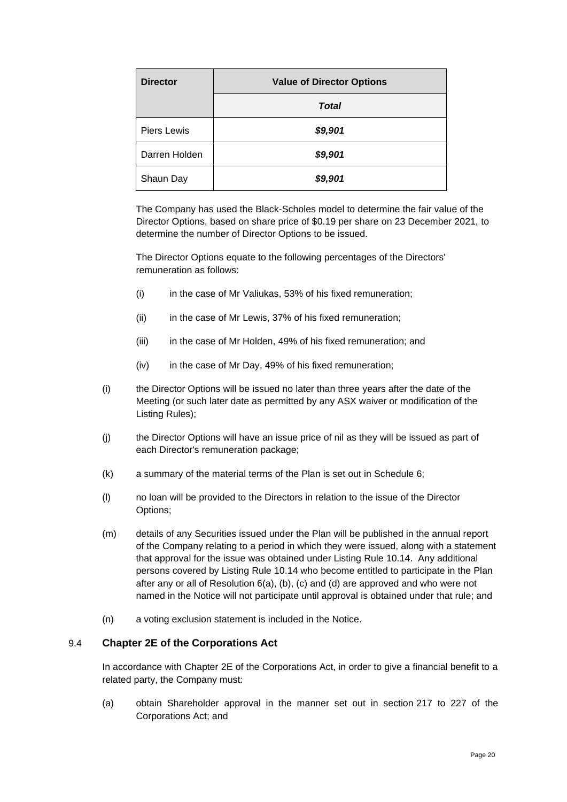| <b>Director</b> | <b>Value of Director Options</b> |
|-----------------|----------------------------------|
|                 | <b>Total</b>                     |
| Piers Lewis     | \$9,901                          |
| Darren Holden   | \$9,901                          |
| Shaun Day       | \$9,901                          |

The Company has used the Black-Scholes model to determine the fair value of the Director Options, based on share price of \$0.19 per share on 23 December 2021, to determine the number of Director Options to be issued.

The Director Options equate to the following percentages of the Directors' remuneration as follows:

- (i) in the case of Mr Valiukas, 53% of his fixed remuneration;
- (ii) in the case of Mr Lewis, 37% of his fixed remuneration;
- (iii) in the case of Mr Holden, 49% of his fixed remuneration; and
- (iv) in the case of Mr Day, 49% of his fixed remuneration;
- (i) the Director Options will be issued no later than three years after the date of the Meeting (or such later date as permitted by any ASX waiver or modification of the Listing Rules);
- (j) the Director Options will have an issue price of nil as they will be issued as part of each Director's remuneration package;
- (k) a summary of the material terms of the Plan is set out in [Schedule](#page-47-0) 6;
- (l) no loan will be provided to the Directors in relation to the issue of the Director Options;
- (m) details of any Securities issued under the Plan will be published in the annual report of the Company relating to a period in which they were issued, along with a statement that approval for the issue was obtained under Listing Rule 10.14. Any additional persons covered by Listing Rule 10.14 who become entitled to participate in the Plan after any or all of [Resolution 6](#page-2-2)[\(a\),](#page-2-3) [\(b\),](#page-2-4) [\(c\)](#page-2-5) and [\(d\)](#page-2-6) are approved and who were not named in the Notice will not participate until approval is obtained under that rule; and
- (n) a voting exclusion statement is included in the Notice.

#### 9.4 **Chapter 2E of the Corporations Act**

In accordance with Chapter 2E of the Corporations Act, in order to give a financial benefit to a related party, the Company must:

(a) obtain Shareholder approval in the manner set out in section 217 to 227 of the Corporations Act; and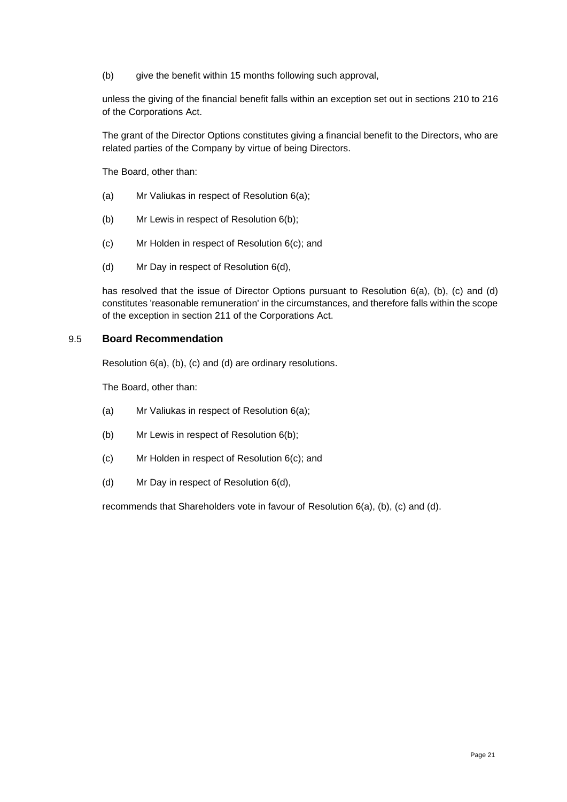(b) give the benefit within 15 months following such approval,

unless the giving of the financial benefit falls within an exception set out in sections 210 to 216 of the Corporations Act.

The grant of the Director Options constitutes giving a financial benefit to the Directors, who are related parties of the Company by virtue of being Directors.

The Board, other than:

- (a) Mr Valiukas in respect of [Resolution 6](#page-2-2)[\(a\);](#page-2-3)
- (b) Mr Lewis in respect of [Resolution 6](#page-2-2)[\(b\);](#page-2-4)
- (c) Mr Holden in respect of [Resolution 6](#page-2-2)[\(c\);](#page-2-5) and
- (d) Mr Day in respect of [Resolution 6](#page-2-2)[\(d\),](#page-2-6)

has resolved that the issue of Director Options pursuant to [Resolution 6](#page-2-2)[\(a\),](#page-2-3) [\(b\),](#page-2-4) [\(c\)](#page-2-5) and [\(d\)](#page-2-6) constitutes 'reasonable remuneration' in the circumstances, and therefore falls within the scope of the exception in section 211 of the Corporations Act.

#### 9.5 **Board Recommendation**

[Resolution 6](#page-2-2)[\(a\),](#page-2-3) [\(b\),](#page-2-4) [\(c\)](#page-2-5) and [\(d\)](#page-2-6) are ordinary resolutions.

The Board, other than:

- (a) Mr Valiukas in respect of [Resolution 6](#page-2-2)[\(a\);](#page-2-3)
- (b) Mr Lewis in respect of [Resolution 6](#page-2-2)[\(b\);](#page-2-4)
- (c) Mr Holden in respect of [Resolution 6](#page-2-2)[\(c\);](#page-2-5) and
- (d) Mr Day in respect of [Resolution 6](#page-2-2)[\(d\),](#page-2-6)

recommends that Shareholders vote in favour of [Resolution 6](#page-2-2)[\(a\),](#page-2-3) [\(b\),](#page-2-4) [\(c\)](#page-2-5) and [\(d\).](#page-2-6)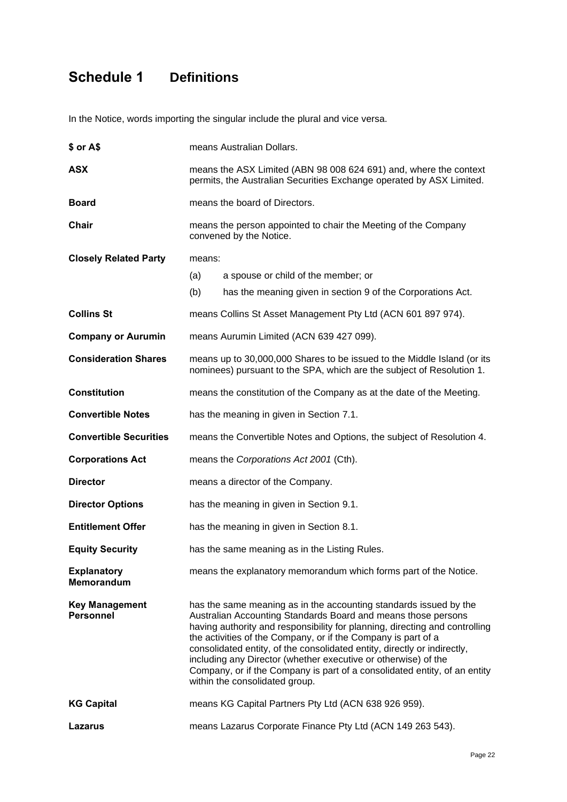# <span id="page-21-0"></span>**Schedule 1 Definitions**

In the Notice, words importing the singular include the plural and vice versa.

| \$ or A\$                                 | means Australian Dollars.                                                                                                                                                                                                                                                                                                                                                                                                                                                                                                                       |                                                                      |  |  |  |  |
|-------------------------------------------|-------------------------------------------------------------------------------------------------------------------------------------------------------------------------------------------------------------------------------------------------------------------------------------------------------------------------------------------------------------------------------------------------------------------------------------------------------------------------------------------------------------------------------------------------|----------------------------------------------------------------------|--|--|--|--|
| <b>ASX</b>                                | means the ASX Limited (ABN 98 008 624 691) and, where the context<br>permits, the Australian Securities Exchange operated by ASX Limited.                                                                                                                                                                                                                                                                                                                                                                                                       |                                                                      |  |  |  |  |
| <b>Board</b>                              | means the board of Directors.                                                                                                                                                                                                                                                                                                                                                                                                                                                                                                                   |                                                                      |  |  |  |  |
| Chair                                     | means the person appointed to chair the Meeting of the Company<br>convened by the Notice.                                                                                                                                                                                                                                                                                                                                                                                                                                                       |                                                                      |  |  |  |  |
| <b>Closely Related Party</b>              | means:                                                                                                                                                                                                                                                                                                                                                                                                                                                                                                                                          |                                                                      |  |  |  |  |
|                                           | (a)                                                                                                                                                                                                                                                                                                                                                                                                                                                                                                                                             | a spouse or child of the member; or                                  |  |  |  |  |
|                                           | (b)                                                                                                                                                                                                                                                                                                                                                                                                                                                                                                                                             | has the meaning given in section 9 of the Corporations Act.          |  |  |  |  |
| <b>Collins St</b>                         |                                                                                                                                                                                                                                                                                                                                                                                                                                                                                                                                                 | means Collins St Asset Management Pty Ltd (ACN 601 897 974).         |  |  |  |  |
| <b>Company or Aurumin</b>                 |                                                                                                                                                                                                                                                                                                                                                                                                                                                                                                                                                 | means Aurumin Limited (ACN 639 427 099).                             |  |  |  |  |
| <b>Consideration Shares</b>               | means up to 30,000,000 Shares to be issued to the Middle Island (or its<br>nominees) pursuant to the SPA, which are the subject of Resolution 1.                                                                                                                                                                                                                                                                                                                                                                                                |                                                                      |  |  |  |  |
| <b>Constitution</b>                       |                                                                                                                                                                                                                                                                                                                                                                                                                                                                                                                                                 | means the constitution of the Company as at the date of the Meeting. |  |  |  |  |
| <b>Convertible Notes</b>                  | has the meaning in given in Section 7.1.                                                                                                                                                                                                                                                                                                                                                                                                                                                                                                        |                                                                      |  |  |  |  |
| <b>Convertible Securities</b>             | means the Convertible Notes and Options, the subject of Resolution 4.                                                                                                                                                                                                                                                                                                                                                                                                                                                                           |                                                                      |  |  |  |  |
| <b>Corporations Act</b>                   | means the Corporations Act 2001 (Cth).                                                                                                                                                                                                                                                                                                                                                                                                                                                                                                          |                                                                      |  |  |  |  |
| <b>Director</b>                           | means a director of the Company.                                                                                                                                                                                                                                                                                                                                                                                                                                                                                                                |                                                                      |  |  |  |  |
| <b>Director Options</b>                   | has the meaning in given in Section 9.1.                                                                                                                                                                                                                                                                                                                                                                                                                                                                                                        |                                                                      |  |  |  |  |
| <b>Entitlement Offer</b>                  | has the meaning in given in Section 8.1.                                                                                                                                                                                                                                                                                                                                                                                                                                                                                                        |                                                                      |  |  |  |  |
| <b>Equity Security</b>                    | has the same meaning as in the Listing Rules.                                                                                                                                                                                                                                                                                                                                                                                                                                                                                                   |                                                                      |  |  |  |  |
| <b>Explanatory</b><br><b>Memorandum</b>   | means the explanatory memorandum which forms part of the Notice.                                                                                                                                                                                                                                                                                                                                                                                                                                                                                |                                                                      |  |  |  |  |
| <b>Key Management</b><br><b>Personnel</b> | has the same meaning as in the accounting standards issued by the<br>Australian Accounting Standards Board and means those persons<br>having authority and responsibility for planning, directing and controlling<br>the activities of the Company, or if the Company is part of a<br>consolidated entity, of the consolidated entity, directly or indirectly,<br>including any Director (whether executive or otherwise) of the<br>Company, or if the Company is part of a consolidated entity, of an entity<br>within the consolidated group. |                                                                      |  |  |  |  |
| <b>KG Capital</b>                         |                                                                                                                                                                                                                                                                                                                                                                                                                                                                                                                                                 | means KG Capital Partners Pty Ltd (ACN 638 926 959).                 |  |  |  |  |
| Lazarus                                   | means Lazarus Corporate Finance Pty Ltd (ACN 149 263 543).                                                                                                                                                                                                                                                                                                                                                                                                                                                                                      |                                                                      |  |  |  |  |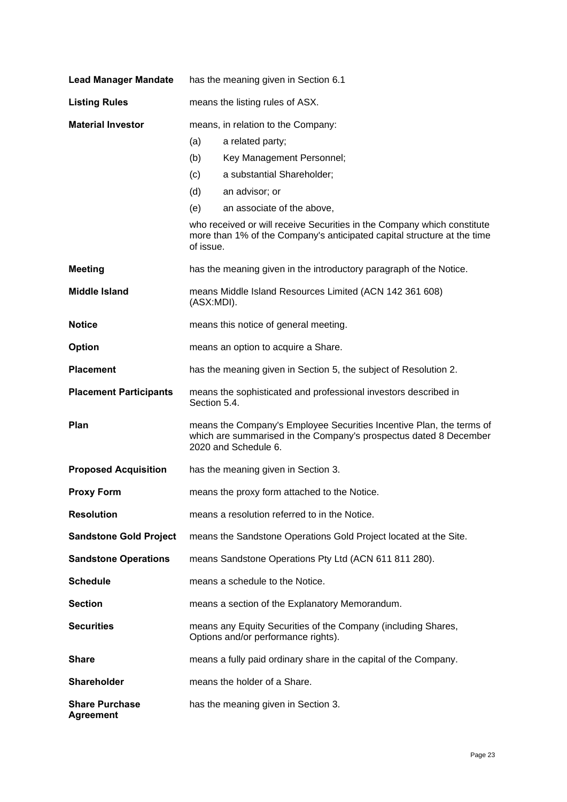| <b>Lead Manager Mandate</b>               | has the meaning given in Section 6.1                                                                                                                              |                                                                                                                                                    |  |  |  |
|-------------------------------------------|-------------------------------------------------------------------------------------------------------------------------------------------------------------------|----------------------------------------------------------------------------------------------------------------------------------------------------|--|--|--|
| <b>Listing Rules</b>                      | means the listing rules of ASX.                                                                                                                                   |                                                                                                                                                    |  |  |  |
| <b>Material Investor</b>                  | means, in relation to the Company:                                                                                                                                |                                                                                                                                                    |  |  |  |
|                                           | (a)                                                                                                                                                               | a related party;                                                                                                                                   |  |  |  |
|                                           | (b)                                                                                                                                                               | Key Management Personnel;                                                                                                                          |  |  |  |
|                                           | (c)                                                                                                                                                               | a substantial Shareholder;                                                                                                                         |  |  |  |
|                                           | (d)                                                                                                                                                               | an advisor; or                                                                                                                                     |  |  |  |
|                                           | (e)                                                                                                                                                               | an associate of the above,                                                                                                                         |  |  |  |
|                                           | of issue.                                                                                                                                                         | who received or will receive Securities in the Company which constitute<br>more than 1% of the Company's anticipated capital structure at the time |  |  |  |
| <b>Meeting</b>                            |                                                                                                                                                                   | has the meaning given in the introductory paragraph of the Notice.                                                                                 |  |  |  |
| <b>Middle Island</b>                      | (ASX:MDI).                                                                                                                                                        | means Middle Island Resources Limited (ACN 142 361 608)                                                                                            |  |  |  |
| <b>Notice</b>                             |                                                                                                                                                                   | means this notice of general meeting.                                                                                                              |  |  |  |
| <b>Option</b>                             |                                                                                                                                                                   | means an option to acquire a Share.                                                                                                                |  |  |  |
| <b>Placement</b>                          |                                                                                                                                                                   | has the meaning given in Section 5, the subject of Resolution 2.                                                                                   |  |  |  |
| <b>Placement Participants</b>             | means the sophisticated and professional investors described in<br>Section 5.4.                                                                                   |                                                                                                                                                    |  |  |  |
| Plan                                      | means the Company's Employee Securities Incentive Plan, the terms of<br>which are summarised in the Company's prospectus dated 8 December<br>2020 and Schedule 6. |                                                                                                                                                    |  |  |  |
| <b>Proposed Acquisition</b>               |                                                                                                                                                                   | has the meaning given in Section 3.                                                                                                                |  |  |  |
| <b>Proxy Form</b>                         |                                                                                                                                                                   | means the proxy form attached to the Notice.                                                                                                       |  |  |  |
| <b>Resolution</b>                         |                                                                                                                                                                   | means a resolution referred to in the Notice.                                                                                                      |  |  |  |
| <b>Sandstone Gold Project</b>             |                                                                                                                                                                   | means the Sandstone Operations Gold Project located at the Site.                                                                                   |  |  |  |
| <b>Sandstone Operations</b>               |                                                                                                                                                                   | means Sandstone Operations Pty Ltd (ACN 611 811 280).                                                                                              |  |  |  |
| <b>Schedule</b>                           |                                                                                                                                                                   | means a schedule to the Notice.                                                                                                                    |  |  |  |
| <b>Section</b>                            | means a section of the Explanatory Memorandum.                                                                                                                    |                                                                                                                                                    |  |  |  |
| <b>Securities</b>                         | means any Equity Securities of the Company (including Shares,<br>Options and/or performance rights).                                                              |                                                                                                                                                    |  |  |  |
| <b>Share</b>                              | means a fully paid ordinary share in the capital of the Company.                                                                                                  |                                                                                                                                                    |  |  |  |
| <b>Shareholder</b>                        | means the holder of a Share.                                                                                                                                      |                                                                                                                                                    |  |  |  |
| <b>Share Purchase</b><br><b>Agreement</b> | has the meaning given in Section 3.                                                                                                                               |                                                                                                                                                    |  |  |  |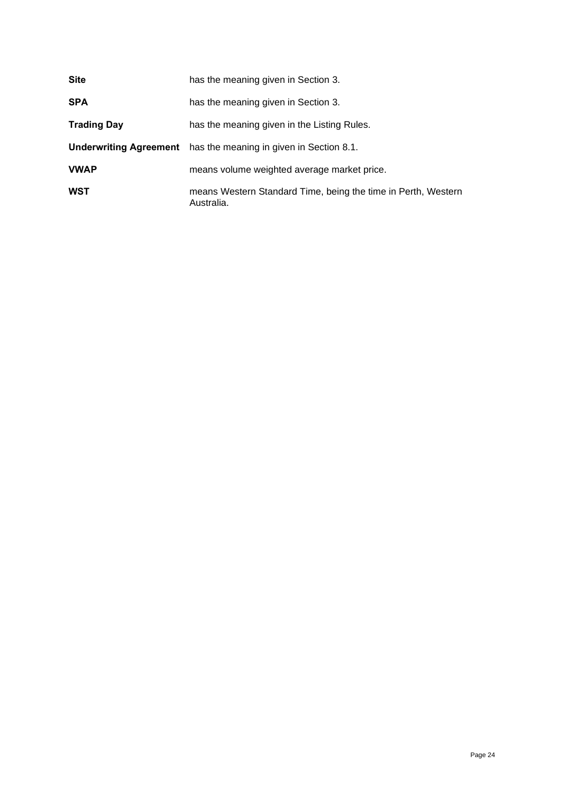| <b>Site</b>        | has the meaning given in Section 3.                                         |
|--------------------|-----------------------------------------------------------------------------|
| <b>SPA</b>         | has the meaning given in Section 3.                                         |
| <b>Trading Day</b> | has the meaning given in the Listing Rules.                                 |
|                    | <b>Underwriting Agreement</b> has the meaning in given in Section 8.1.      |
| <b>VWAP</b>        | means volume weighted average market price.                                 |
| <b>WST</b>         | means Western Standard Time, being the time in Perth, Western<br>Australia. |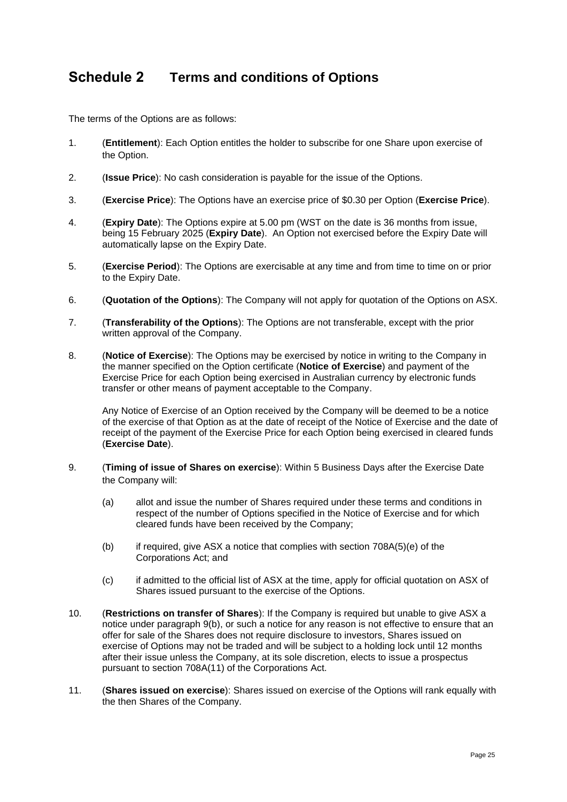### <span id="page-24-0"></span>**Schedule 2 Terms and conditions of Options**

The terms of the Options are as follows:

- 1. (**Entitlement**): Each Option entitles the holder to subscribe for one Share upon exercise of the Option.
- 2. (**Issue Price**): No cash consideration is payable for the issue of the Options.
- 3. (**Exercise Price**): The Options have an exercise price of \$0.30 per Option (**Exercise Price**).
- 4. (**Expiry Date**): The Options expire at 5.00 pm (WST on the date is 36 months from issue, being 15 February 2025 (**Expiry Date**). An Option not exercised before the Expiry Date will automatically lapse on the Expiry Date.
- 5. (**Exercise Period**): The Options are exercisable at any time and from time to time on or prior to the Expiry Date.
- 6. (**Quotation of the Options**): The Company will not apply for quotation of the Options on ASX.
- 7. (**Transferability of the Options**): The Options are not transferable, except with the prior written approval of the Company.
- 8. (**Notice of Exercise**): The Options may be exercised by notice in writing to the Company in the manner specified on the Option certificate (**Notice of Exercise**) and payment of the Exercise Price for each Option being exercised in Australian currency by electronic funds transfer or other means of payment acceptable to the Company.

Any Notice of Exercise of an Option received by the Company will be deemed to be a notice of the exercise of that Option as at the date of receipt of the Notice of Exercise and the date of receipt of the payment of the Exercise Price for each Option being exercised in cleared funds (**Exercise Date**).

- 9. (**Timing of issue of Shares on exercise**): Within 5 Business Days after the Exercise Date the Company will:
	- (a) allot and issue the number of Shares required under these terms and conditions in respect of the number of Options specified in the Notice of Exercise and for which cleared funds have been received by the Company;
	- (b) if required, give ASX a notice that complies with section 708A(5)(e) of the Corporations Act; and
	- (c) if admitted to the official list of ASX at the time, apply for official quotation on ASX of Shares issued pursuant to the exercise of the Options.
- <span id="page-24-1"></span>10. (**Restrictions on transfer of Shares**): If the Company is required but unable to give ASX a notice under paragraph [9\(b\),](#page-24-1) or such a notice for any reason is not effective to ensure that an offer for sale of the Shares does not require disclosure to investors, Shares issued on exercise of Options may not be traded and will be subject to a holding lock until 12 months after their issue unless the Company, at its sole discretion, elects to issue a prospectus pursuant to section 708A(11) of the Corporations Act.
- 11. (**Shares issued on exercise**): Shares issued on exercise of the Options will rank equally with the then Shares of the Company.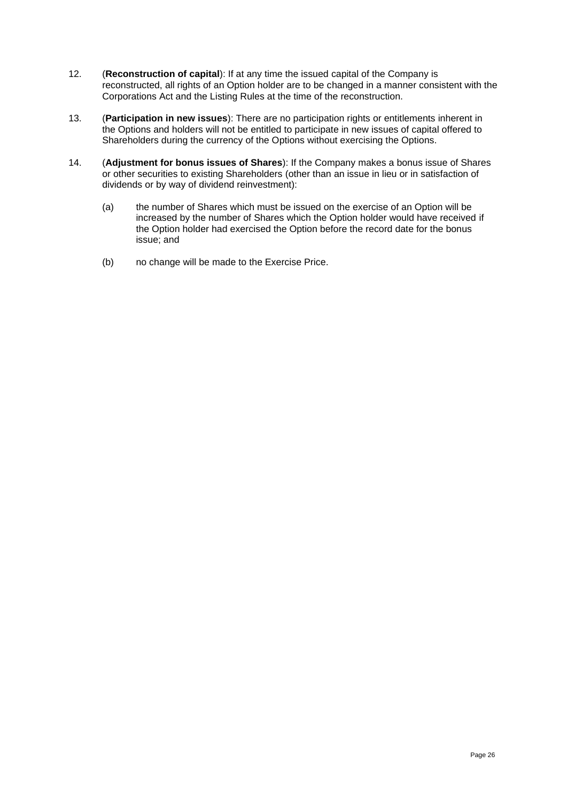- 12. (**Reconstruction of capital**): If at any time the issued capital of the Company is reconstructed, all rights of an Option holder are to be changed in a manner consistent with the Corporations Act and the Listing Rules at the time of the reconstruction.
- 13. (**Participation in new issues**): There are no participation rights or entitlements inherent in the Options and holders will not be entitled to participate in new issues of capital offered to Shareholders during the currency of the Options without exercising the Options.
- 14. (**Adjustment for bonus issues of Shares**): If the Company makes a bonus issue of Shares or other securities to existing Shareholders (other than an issue in lieu or in satisfaction of dividends or by way of dividend reinvestment):
	- (a) the number of Shares which must be issued on the exercise of an Option will be increased by the number of Shares which the Option holder would have received if the Option holder had exercised the Option before the record date for the bonus issue; and
	- (b) no change will be made to the Exercise Price.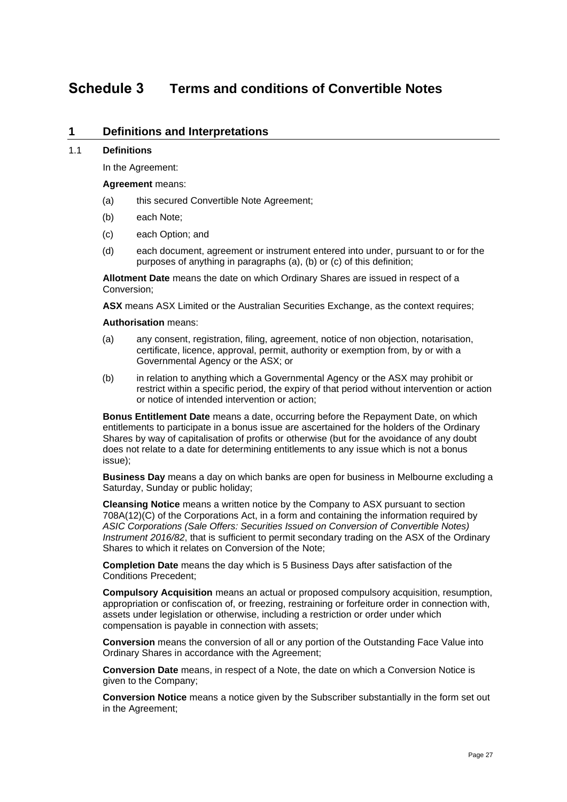### <span id="page-26-0"></span>**Schedule 3 Terms and conditions of Convertible Notes**

#### **1 Definitions and Interpretations**

#### 1.1 **Definitions**

In the Agreement:

#### **Agreement** means:

- <span id="page-26-1"></span>(a) this secured Convertible Note Agreement;
- <span id="page-26-2"></span>(b) each Note;
- <span id="page-26-3"></span>(c) each Option; and
- (d) each document, agreement or instrument entered into under, pursuant to or for the purposes of anything in paragraphs [\(a\),](#page-26-1) [\(b\)](#page-26-2) or [\(c\)](#page-26-3) of this definition;

**Allotment Date** means the date on which Ordinary Shares are issued in respect of a Conversion;

**ASX** means ASX Limited or the Australian Securities Exchange, as the context requires;

#### **Authorisation** means:

- (a) any consent, registration, filing, agreement, notice of non objection, notarisation, certificate, licence, approval, permit, authority or exemption from, by or with a Governmental Agency or the ASX; or
- (b) in relation to anything which a Governmental Agency or the ASX may prohibit or restrict within a specific period, the expiry of that period without intervention or action or notice of intended intervention or action;

**Bonus Entitlement Date** means a date, occurring before the Repayment Date, on which entitlements to participate in a bonus issue are ascertained for the holders of the Ordinary Shares by way of capitalisation of profits or otherwise (but for the avoidance of any doubt does not relate to a date for determining entitlements to any issue which is not a bonus issue);

**Business Day** means a day on which banks are open for business in Melbourne excluding a Saturday, Sunday or public holiday;

**Cleansing Notice** means a written notice by the Company to ASX pursuant to section 708A(12)(C) of the Corporations Act, in a form and containing the information required by *ASIC Corporations (Sale Offers: Securities Issued on Conversion of Convertible Notes) Instrument 2016/82*, that is sufficient to permit secondary trading on the ASX of the Ordinary Shares to which it relates on Conversion of the Note;

**Completion Date** means the day which is 5 Business Days after satisfaction of the Conditions Precedent;

**Compulsory Acquisition** means an actual or proposed compulsory acquisition, resumption, appropriation or confiscation of, or freezing, restraining or forfeiture order in connection with, assets under legislation or otherwise, including a restriction or order under which compensation is payable in connection with assets;

**Conversion** means the conversion of all or any portion of the Outstanding Face Value into Ordinary Shares in accordance with the Agreement;

**Conversion Date** means, in respect of a Note, the date on which a Conversion Notice is given to the Company;

**Conversion Notice** means a notice given by the Subscriber substantially in the form set out in the Agreement;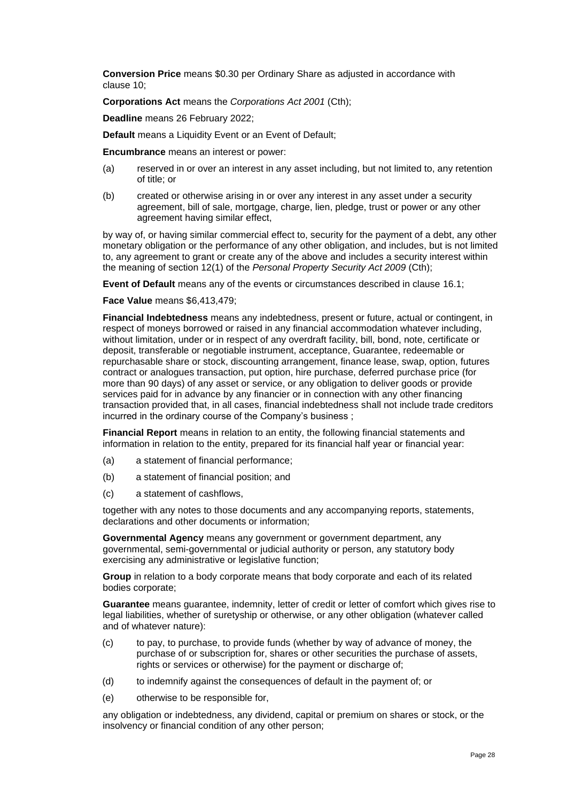**Conversion Price** means \$0.30 per Ordinary Share as adjusted in accordance with clause [10;](#page-35-0)

**Corporations Act** means the *Corporations Act 2001* (Cth);

**Deadline** means 26 February 2022;

**Default** means a Liquidity Event or an Event of Default;

**Encumbrance** means an interest or power:

- (a) reserved in or over an interest in any asset including, but not limited to, any retention of title; or
- (b) created or otherwise arising in or over any interest in any asset under a security agreement, bill of sale, mortgage, charge, lien, pledge, trust or power or any other agreement having similar effect,

by way of, or having similar commercial effect to, security for the payment of a debt, any other monetary obligation or the performance of any other obligation, and includes, but is not limited to, any agreement to grant or create any of the above and includes a security interest within the meaning of section 12(1) of the *Personal Property Security Act 2009* (Cth);

**Event of Default** means any of the events or circumstances described in clause [16.1;](#page-40-0)

**Face Value** means \$6,413,479;

**Financial Indebtedness** means any indebtedness, present or future, actual or contingent, in respect of moneys borrowed or raised in any financial accommodation whatever including, without limitation, under or in respect of any overdraft facility, bill, bond, note, certificate or deposit, transferable or negotiable instrument, acceptance, Guarantee, redeemable or repurchasable share or stock, discounting arrangement, finance lease, swap, option, futures contract or analogues transaction, put option, hire purchase, deferred purchase price (for more than 90 days) of any asset or service, or any obligation to deliver goods or provide services paid for in advance by any financier or in connection with any other financing transaction provided that, in all cases, financial indebtedness shall not include trade creditors incurred in the ordinary course of the Company's business ;

**Financial Report** means in relation to an entity, the following financial statements and information in relation to the entity, prepared for its financial half year or financial year:

- (a) a statement of financial performance;
- (b) a statement of financial position; and
- (c) a statement of cashflows,

together with any notes to those documents and any accompanying reports, statements, declarations and other documents or information;

**Governmental Agency** means any government or government department, any governmental, semi-governmental or judicial authority or person, any statutory body exercising any administrative or legislative function;

**Group** in relation to a body corporate means that body corporate and each of its related bodies corporate;

**Guarantee** means guarantee, indemnity, letter of credit or letter of comfort which gives rise to legal liabilities, whether of suretyship or otherwise, or any other obligation (whatever called and of whatever nature):

- (c) to pay, to purchase, to provide funds (whether by way of advance of money, the purchase of or subscription for, shares or other securities the purchase of assets, rights or services or otherwise) for the payment or discharge of;
- (d) to indemnify against the consequences of default in the payment of; or
- (e) otherwise to be responsible for,

any obligation or indebtedness, any dividend, capital or premium on shares or stock, or the insolvency or financial condition of any other person;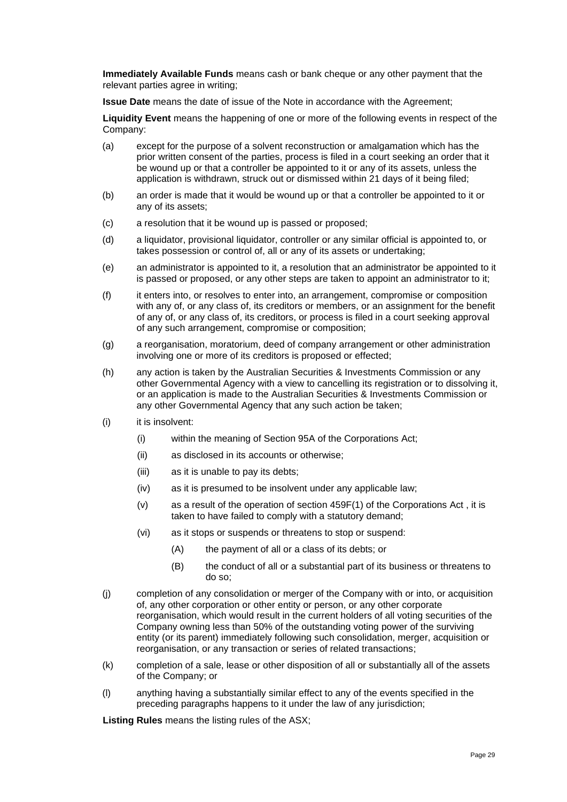**Immediately Available Funds** means cash or bank cheque or any other payment that the relevant parties agree in writing;

**Issue Date** means the date of issue of the Note in accordance with the Agreement;

**Liquidity Event** means the happening of one or more of the following events in respect of the Company:

- (a) except for the purpose of a solvent reconstruction or amalgamation which has the prior written consent of the parties, process is filed in a court seeking an order that it be wound up or that a controller be appointed to it or any of its assets, unless the application is withdrawn, struck out or dismissed within 21 days of it being filed;
- (b) an order is made that it would be wound up or that a controller be appointed to it or any of its assets;
- (c) a resolution that it be wound up is passed or proposed;
- (d) a liquidator, provisional liquidator, controller or any similar official is appointed to, or takes possession or control of, all or any of its assets or undertaking;
- (e) an administrator is appointed to it, a resolution that an administrator be appointed to it is passed or proposed, or any other steps are taken to appoint an administrator to it;
- (f) it enters into, or resolves to enter into, an arrangement, compromise or composition with any of, or any class of, its creditors or members, or an assignment for the benefit of any of, or any class of, its creditors, or process is filed in a court seeking approval of any such arrangement, compromise or composition;
- (g) a reorganisation, moratorium, deed of company arrangement or other administration involving one or more of its creditors is proposed or effected;
- (h) any action is taken by the Australian Securities & Investments Commission or any other Governmental Agency with a view to cancelling its registration or to dissolving it, or an application is made to the Australian Securities & Investments Commission or any other Governmental Agency that any such action be taken;
- (i) it is insolvent:
	- (i) within the meaning of Section 95A of the Corporations Act;
	- (ii) as disclosed in its accounts or otherwise;
	- (iii) as it is unable to pay its debts;
	- (iv) as it is presumed to be insolvent under any applicable law;
	- (v) as a result of the operation of section 459F(1) of the Corporations Act , it is taken to have failed to comply with a statutory demand;
	- (vi) as it stops or suspends or threatens to stop or suspend:
		- (A) the payment of all or a class of its debts; or
		- (B) the conduct of all or a substantial part of its business or threatens to do so;
- (j) completion of any consolidation or merger of the Company with or into, or acquisition of, any other corporation or other entity or person, or any other corporate reorganisation, which would result in the current holders of all voting securities of the Company owning less than 50% of the outstanding voting power of the surviving entity (or its parent) immediately following such consolidation, merger, acquisition or reorganisation, or any transaction or series of related transactions;
- (k) completion of a sale, lease or other disposition of all or substantially all of the assets of the Company; or
- (l) anything having a substantially similar effect to any of the events specified in the preceding paragraphs happens to it under the law of any jurisdiction;

**Listing Rules** means the listing rules of the ASX;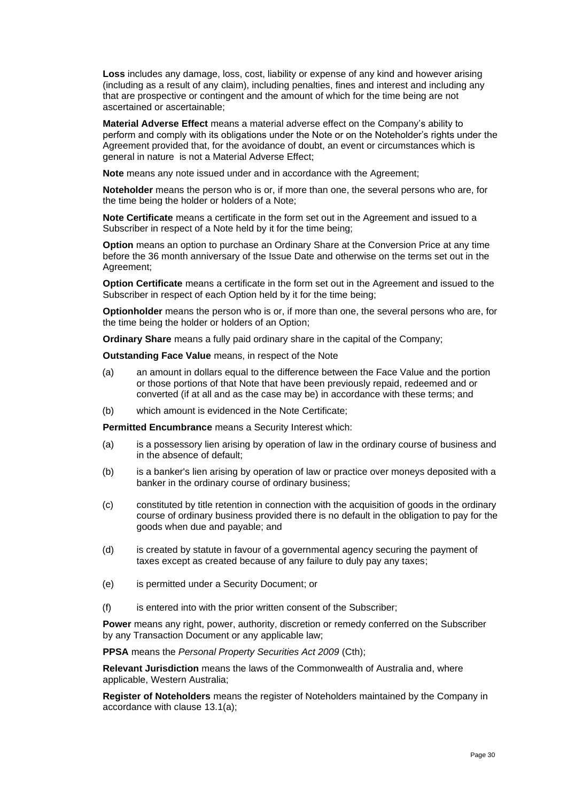**Loss** includes any damage, loss, cost, liability or expense of any kind and however arising (including as a result of any claim), including penalties, fines and interest and including any that are prospective or contingent and the amount of which for the time being are not ascertained or ascertainable;

**Material Adverse Effect** means a material adverse effect on the Company's ability to perform and comply with its obligations under the Note or on the Noteholder's rights under the Agreement provided that, for the avoidance of doubt, an event or circumstances which is general in nature is not a Material Adverse Effect;

**Note** means any note issued under and in accordance with the Agreement;

**Noteholder** means the person who is or, if more than one, the several persons who are, for the time being the holder or holders of a Note;

**Note Certificate** means a certificate in the form set out in the Agreement and issued to a Subscriber in respect of a Note held by it for the time being;

**Option** means an option to purchase an Ordinary Share at the Conversion Price at any time before the 36 month anniversary of the Issue Date and otherwise on the terms set out in the Agreement;

**Option Certificate** means a certificate in the form set out in the Agreement and issued to the Subscriber in respect of each Option held by it for the time being;

**Optionholder** means the person who is or, if more than one, the several persons who are, for the time being the holder or holders of an Option;

**Ordinary Share** means a fully paid ordinary share in the capital of the Company;

**Outstanding Face Value** means, in respect of the Note

- (a) an amount in dollars equal to the difference between the Face Value and the portion or those portions of that Note that have been previously repaid, redeemed and or converted (if at all and as the case may be) in accordance with these terms; and
- (b) which amount is evidenced in the Note Certificate;

**Permitted Encumbrance** means a Security Interest which:

- (a) is a possessory lien arising by operation of law in the ordinary course of business and in the absence of default;
- (b) is a banker's lien arising by operation of law or practice over moneys deposited with a banker in the ordinary course of ordinary business;
- (c) constituted by title retention in connection with the acquisition of goods in the ordinary course of ordinary business provided there is no default in the obligation to pay for the goods when due and payable; and
- (d) is created by statute in favour of a governmental agency securing the payment of taxes except as created because of any failure to duly pay any taxes;
- (e) is permitted under a Security Document; or
- (f) is entered into with the prior written consent of the Subscriber;

**Power** means any right, power, authority, discretion or remedy conferred on the Subscriber by any Transaction Document or any applicable law;

**PPSA** means the *Personal Property Securities Act 2009* (Cth);

**Relevant Jurisdiction** means the laws of the Commonwealth of Australia and, where applicable, Western Australia;

**Register of Noteholders** means the register of Noteholders maintained by the Company in accordance with clause [13.1\(a\);](#page-36-0)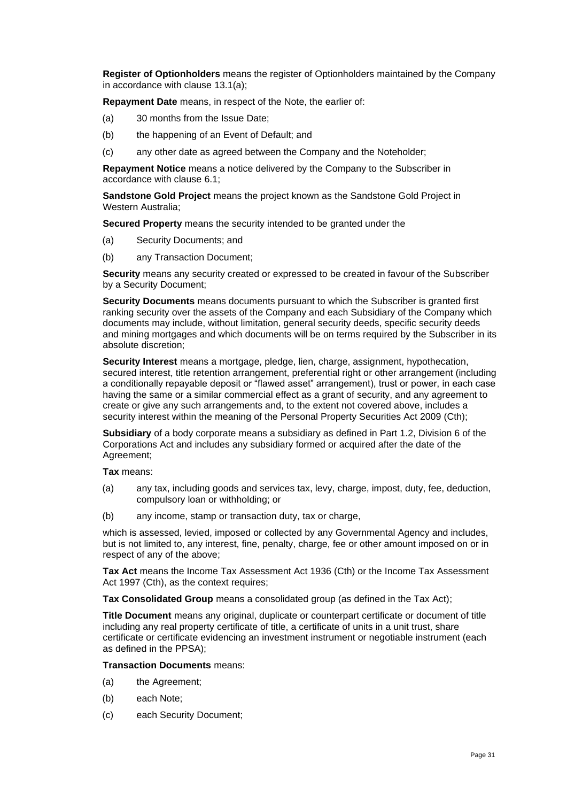**Register of Optionholders** means the register of Optionholders maintained by the Company in accordance with clause [13.1\(a\);](#page-36-0)

**Repayment Date** means, in respect of the Note, the earlier of:

- (a) 30 months from the Issue Date;
- (b) the happening of an Event of Default; and
- (c) any other date as agreed between the Company and the Noteholder;

**Repayment Notice** means a notice delivered by the Company to the Subscriber in accordance with clause [6.1;](#page-32-0)

**Sandstone Gold Project** means the project known as the Sandstone Gold Project in Western Australia;

**Secured Property** means the security intended to be granted under the

- (a) Security Documents; and
- (b) any Transaction Document;

**Security** means any security created or expressed to be created in favour of the Subscriber by a Security Document;

**Security Documents** means documents pursuant to which the Subscriber is granted first ranking security over the assets of the Company and each Subsidiary of the Company which documents may include, without limitation, general security deeds, specific security deeds and mining mortgages and which documents will be on terms required by the Subscriber in its absolute discretion;

**Security Interest** means a mortgage, pledge, lien, charge, assignment, hypothecation, secured interest, title retention arrangement, preferential right or other arrangement (including a conditionally repayable deposit or "flawed asset" arrangement), trust or power, in each case having the same or a similar commercial effect as a grant of security, and any agreement to create or give any such arrangements and, to the extent not covered above, includes a security interest within the meaning of the Personal Property Securities Act 2009 (Cth);

**Subsidiary** of a body corporate means a subsidiary as defined in Part 1.2, Division 6 of the Corporations Act and includes any subsidiary formed or acquired after the date of the Agreement:

**Tax** means:

- (a) any tax, including goods and services tax, levy, charge, impost, duty, fee, deduction, compulsory loan or withholding; or
- (b) any income, stamp or transaction duty, tax or charge,

which is assessed, levied, imposed or collected by any Governmental Agency and includes, but is not limited to, any interest, fine, penalty, charge, fee or other amount imposed on or in respect of any of the above;

**Tax Act** means the Income Tax Assessment Act 1936 (Cth) or the Income Tax Assessment Act 1997 (Cth), as the context requires;

**Tax Consolidated Group** means a consolidated group (as defined in the Tax Act);

**Title Document** means any original, duplicate or counterpart certificate or document of title including any real property certificate of title, a certificate of units in a unit trust, share certificate or certificate evidencing an investment instrument or negotiable instrument (each as defined in the PPSA);

**Transaction Documents** means:

- <span id="page-30-0"></span>(a) the Agreement;
- (b) each Note;
- (c) each Security Document;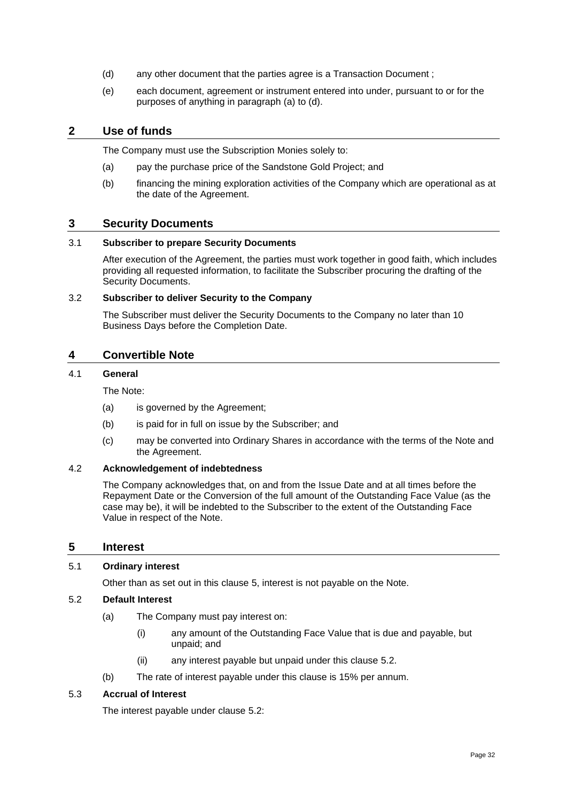- <span id="page-31-0"></span>(d) any other document that the parties agree is a Transaction Document ;
- (e) each document, agreement or instrument entered into under, pursuant to or for the purposes of anything in paragraph [\(a\)](#page-30-0) to [\(d\).](#page-31-0)

#### **2 Use of funds**

The Company must use the Subscription Monies solely to:

- (a) pay the purchase price of the Sandstone Gold Project; and
- (b) financing the mining exploration activities of the Company which are operational as at the date of the Agreement.

#### **3 Security Documents**

#### 3.1 **Subscriber to prepare Security Documents**

After execution of the Agreement, the parties must work together in good faith, which includes providing all requested information, to facilitate the Subscriber procuring the drafting of the Security Documents.

#### 3.2 **Subscriber to deliver Security to the Company**

The Subscriber must deliver the Security Documents to the Company no later than 10 Business Days before the Completion Date.

#### **4 Convertible Note**

#### 4.1 **General**

The Note:

- (a) is governed by the Agreement;
- (b) is paid for in full on issue by the Subscriber; and
- (c) may be converted into Ordinary Shares in accordance with the terms of the Note and the Agreement.

#### 4.2 **Acknowledgement of indebtedness**

The Company acknowledges that, on and from the Issue Date and at all times before the Repayment Date or the Conversion of the full amount of the Outstanding Face Value (as the case may be), it will be indebted to the Subscriber to the extent of the Outstanding Face Value in respect of the Note.

#### <span id="page-31-1"></span>**5 Interest**

#### 5.1 **Ordinary interest**

Other than as set out in this clause [5,](#page-31-1) interest is not payable on the Note.

#### <span id="page-31-2"></span>5.2 **Default Interest**

- (a) The Company must pay interest on:
	- (i) any amount of the Outstanding Face Value that is due and payable, but unpaid; and
	- (ii) any interest payable but unpaid under this clause [5.2.](#page-31-2)
- (b) The rate of interest payable under this clause is 15% per annum.

#### 5.3 **Accrual of Interest**

The interest payable under clause [5.2:](#page-31-2)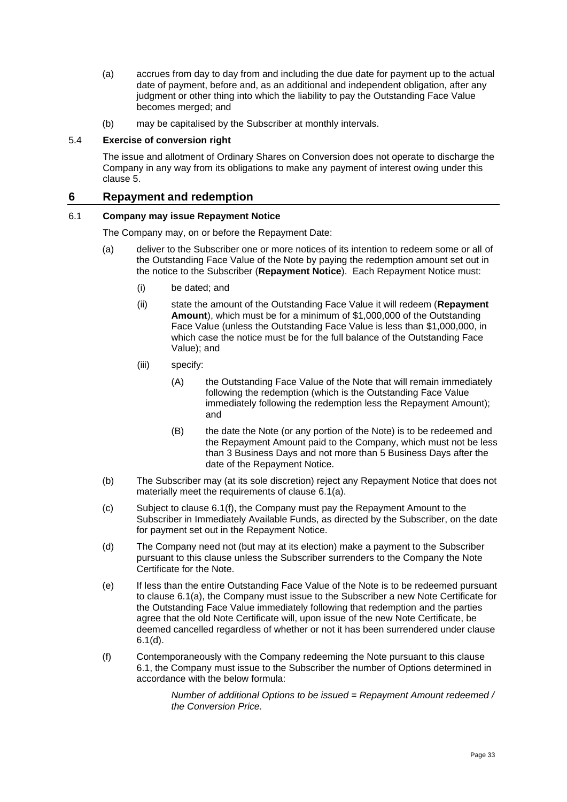- (a) accrues from day to day from and including the due date for payment up to the actual date of payment, before and, as an additional and independent obligation, after any judgment or other thing into which the liability to pay the Outstanding Face Value becomes merged; and
- (b) may be capitalised by the Subscriber at monthly intervals.

#### 5.4 **Exercise of conversion right**

The issue and allotment of Ordinary Shares on Conversion does not operate to discharge the Company in any way from its obligations to make any payment of interest owing under this clause [5.](#page-31-1)

#### **6 Repayment and redemption**

#### <span id="page-32-1"></span><span id="page-32-0"></span>6.1 **Company may issue Repayment Notice**

The Company may, on or before the Repayment Date:

- (a) deliver to the Subscriber one or more notices of its intention to redeem some or all of the Outstanding Face Value of the Note by paying the redemption amount set out in the notice to the Subscriber (**Repayment Notice**). Each Repayment Notice must:
	- (i) be dated; and
	- (ii) state the amount of the Outstanding Face Value it will redeem (**Repayment Amount**), which must be for a minimum of \$1,000,000 of the Outstanding Face Value (unless the Outstanding Face Value is less than \$1,000,000, in which case the notice must be for the full balance of the Outstanding Face Value); and
	- (iii) specify:
		- (A) the Outstanding Face Value of the Note that will remain immediately following the redemption (which is the Outstanding Face Value immediately following the redemption less the Repayment Amount); and
		- (B) the date the Note (or any portion of the Note) is to be redeemed and the Repayment Amount paid to the Company, which must not be less than 3 Business Days and not more than 5 Business Days after the date of the Repayment Notice.
- (b) The Subscriber may (at its sole discretion) reject any Repayment Notice that does not materially meet the requirements of clause [6.1\(a\).](#page-32-1)
- (c) Subject to clause [6.1\(f\),](#page-32-2) the Company must pay the Repayment Amount to the Subscriber in Immediately Available Funds, as directed by the Subscriber, on the date for payment set out in the Repayment Notice.
- <span id="page-32-3"></span>(d) The Company need not (but may at its election) make a payment to the Subscriber pursuant to this clause unless the Subscriber surrenders to the Company the Note Certificate for the Note.
- (e) If less than the entire Outstanding Face Value of the Note is to be redeemed pursuant to clause [6.1\(a\),](#page-32-1) the Company must issue to the Subscriber a new Note Certificate for the Outstanding Face Value immediately following that redemption and the parties agree that the old Note Certificate will, upon issue of the new Note Certificate, be deemed cancelled regardless of whether or not it has been surrendered under clause [6.1\(d\).](#page-32-3)
- <span id="page-32-2"></span>(f) Contemporaneously with the Company redeeming the Note pursuant to this clause [6.1,](#page-32-0) the Company must issue to the Subscriber the number of Options determined in accordance with the below formula:

*Number of additional Options to be issued = Repayment Amount redeemed / the Conversion Price.*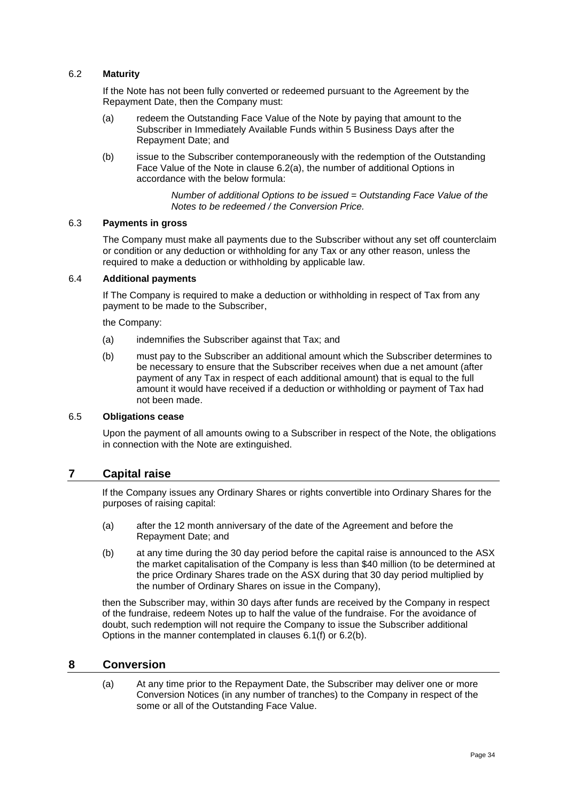#### 6.2 **Maturity**

If the Note has not been fully converted or redeemed pursuant to the Agreement by the Repayment Date, then the Company must:

- <span id="page-33-0"></span>(a) redeem the Outstanding Face Value of the Note by paying that amount to the Subscriber in Immediately Available Funds within 5 Business Days after the Repayment Date; and
- <span id="page-33-1"></span>(b) issue to the Subscriber contemporaneously with the redemption of the Outstanding Face Value of the Note in clause [6.2\(a\),](#page-33-0) the number of additional Options in accordance with the below formula:

*Number of additional Options to be issued = Outstanding Face Value of the Notes to be redeemed / the Conversion Price.*

#### 6.3 **Payments in gross**

The Company must make all payments due to the Subscriber without any set off counterclaim or condition or any deduction or withholding for any Tax or any other reason, unless the required to make a deduction or withholding by applicable law.

#### 6.4 **Additional payments**

If The Company is required to make a deduction or withholding in respect of Tax from any payment to be made to the Subscriber,

the Company:

- (a) indemnifies the Subscriber against that Tax; and
- (b) must pay to the Subscriber an additional amount which the Subscriber determines to be necessary to ensure that the Subscriber receives when due a net amount (after payment of any Tax in respect of each additional amount) that is equal to the full amount it would have received if a deduction or withholding or payment of Tax had not been made.

#### 6.5 **Obligations cease**

Upon the payment of all amounts owing to a Subscriber in respect of the Note, the obligations in connection with the Note are extinguished.

#### **7 Capital raise**

If the Company issues any Ordinary Shares or rights convertible into Ordinary Shares for the purposes of raising capital:

- (a) after the 12 month anniversary of the date of the Agreement and before the Repayment Date; and
- (b) at any time during the 30 day period before the capital raise is announced to the ASX the market capitalisation of the Company is less than \$40 million (to be determined at the price Ordinary Shares trade on the ASX during that 30 day period multiplied by the number of Ordinary Shares on issue in the Company),

then the Subscriber may, within 30 days after funds are received by the Company in respect of the fundraise, redeem Notes up to half the value of the fundraise. For the avoidance of doubt, such redemption will not require the Company to issue the Subscriber additional Options in the manner contemplated in clauses [6.1\(f\)](#page-32-2) or [6.2\(b\).](#page-33-1)

#### <span id="page-33-2"></span>**8 Conversion**

(a) At any time prior to the Repayment Date, the Subscriber may deliver one or more Conversion Notices (in any number of tranches) to the Company in respect of the some or all of the Outstanding Face Value.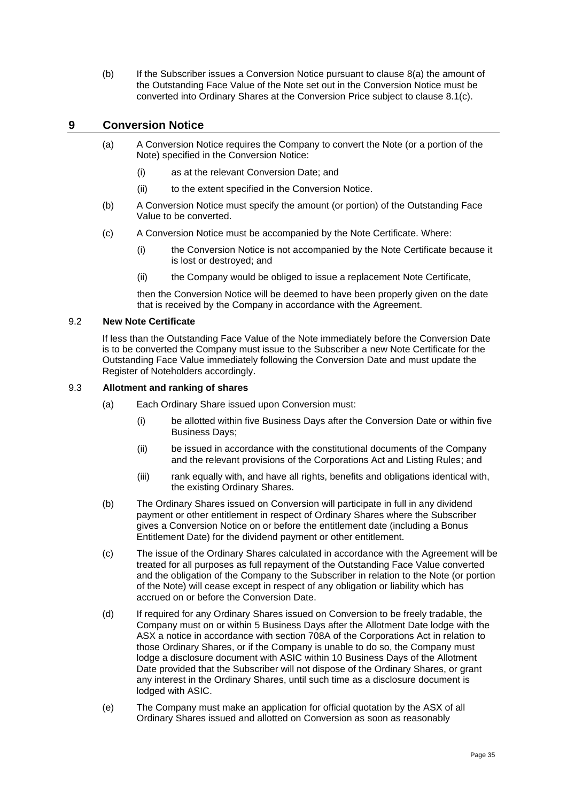(b) If the Subscriber issues a Conversion Notice pursuant to clause [8\(a\)](#page-33-2) the amount of the Outstanding Face Value of the Note set out in the Conversion Notice must be converted into Ordinary Shares at the Conversion Price subject to clause 8.1(c).

#### **9 Conversion Notice**

- (a) A Conversion Notice requires the Company to convert the Note (or a portion of the Note) specified in the Conversion Notice:
	- (i) as at the relevant Conversion Date; and
	- (ii) to the extent specified in the Conversion Notice.
- (b) A Conversion Notice must specify the amount (or portion) of the Outstanding Face Value to be converted.
- (c) A Conversion Notice must be accompanied by the Note Certificate. Where:
	- (i) the Conversion Notice is not accompanied by the Note Certificate because it is lost or destroyed; and
	- (ii) the Company would be obliged to issue a replacement Note Certificate,

then the Conversion Notice will be deemed to have been properly given on the date that is received by the Company in accordance with the Agreement.

#### 9.2 **New Note Certificate**

If less than the Outstanding Face Value of the Note immediately before the Conversion Date is to be converted the Company must issue to the Subscriber a new Note Certificate for the Outstanding Face Value immediately following the Conversion Date and must update the Register of Noteholders accordingly.

#### 9.3 **Allotment and ranking of shares**

- (a) Each Ordinary Share issued upon Conversion must:
	- (i) be allotted within five Business Days after the Conversion Date or within five Business Days;
	- (ii) be issued in accordance with the constitutional documents of the Company and the relevant provisions of the Corporations Act and Listing Rules; and
	- (iii) rank equally with, and have all rights, benefits and obligations identical with, the existing Ordinary Shares.
- (b) The Ordinary Shares issued on Conversion will participate in full in any dividend payment or other entitlement in respect of Ordinary Shares where the Subscriber gives a Conversion Notice on or before the entitlement date (including a Bonus Entitlement Date) for the dividend payment or other entitlement.
- (c) The issue of the Ordinary Shares calculated in accordance with the Agreement will be treated for all purposes as full repayment of the Outstanding Face Value converted and the obligation of the Company to the Subscriber in relation to the Note (or portion of the Note) will cease except in respect of any obligation or liability which has accrued on or before the Conversion Date.
- (d) If required for any Ordinary Shares issued on Conversion to be freely tradable, the Company must on or within 5 Business Days after the Allotment Date lodge with the ASX a notice in accordance with section 708A of the Corporations Act in relation to those Ordinary Shares, or if the Company is unable to do so, the Company must lodge a disclosure document with ASIC within 10 Business Days of the Allotment Date provided that the Subscriber will not dispose of the Ordinary Shares, or grant any interest in the Ordinary Shares, until such time as a disclosure document is lodged with ASIC.
- (e) The Company must make an application for official quotation by the ASX of all Ordinary Shares issued and allotted on Conversion as soon as reasonably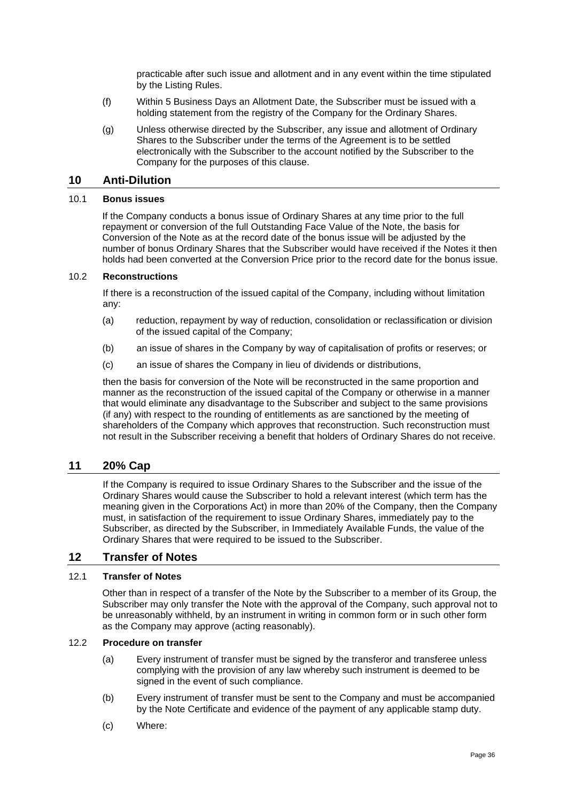practicable after such issue and allotment and in any event within the time stipulated by the Listing Rules.

- (f) Within 5 Business Days an Allotment Date, the Subscriber must be issued with a holding statement from the registry of the Company for the Ordinary Shares.
- (g) Unless otherwise directed by the Subscriber, any issue and allotment of Ordinary Shares to the Subscriber under the terms of the Agreement is to be settled electronically with the Subscriber to the account notified by the Subscriber to the Company for the purposes of this clause.

#### <span id="page-35-0"></span>**10 Anti-Dilution**

#### 10.1 **Bonus issues**

If the Company conducts a bonus issue of Ordinary Shares at any time prior to the full repayment or conversion of the full Outstanding Face Value of the Note, the basis for Conversion of the Note as at the record date of the bonus issue will be adjusted by the number of bonus Ordinary Shares that the Subscriber would have received if the Notes it then holds had been converted at the Conversion Price prior to the record date for the bonus issue.

#### 10.2 **Reconstructions**

If there is a reconstruction of the issued capital of the Company, including without limitation any:

- (a) reduction, repayment by way of reduction, consolidation or reclassification or division of the issued capital of the Company;
- (b) an issue of shares in the Company by way of capitalisation of profits or reserves; or
- (c) an issue of shares the Company in lieu of dividends or distributions,

then the basis for conversion of the Note will be reconstructed in the same proportion and manner as the reconstruction of the issued capital of the Company or otherwise in a manner that would eliminate any disadvantage to the Subscriber and subject to the same provisions (if any) with respect to the rounding of entitlements as are sanctioned by the meeting of shareholders of the Company which approves that reconstruction. Such reconstruction must not result in the Subscriber receiving a benefit that holders of Ordinary Shares do not receive.

#### **11 20% Cap**

If the Company is required to issue Ordinary Shares to the Subscriber and the issue of the Ordinary Shares would cause the Subscriber to hold a relevant interest (which term has the meaning given in the Corporations Act) in more than 20% of the Company, then the Company must, in satisfaction of the requirement to issue Ordinary Shares, immediately pay to the Subscriber, as directed by the Subscriber, in Immediately Available Funds, the value of the Ordinary Shares that were required to be issued to the Subscriber.

#### **12 Transfer of Notes**

#### 12.1 **Transfer of Notes**

Other than in respect of a transfer of the Note by the Subscriber to a member of its Group, the Subscriber may only transfer the Note with the approval of the Company, such approval not to be unreasonably withheld, by an instrument in writing in common form or in such other form as the Company may approve (acting reasonably).

#### 12.2 **Procedure on transfer**

- (a) Every instrument of transfer must be signed by the transferor and transferee unless complying with the provision of any law whereby such instrument is deemed to be signed in the event of such compliance.
- (b) Every instrument of transfer must be sent to the Company and must be accompanied by the Note Certificate and evidence of the payment of any applicable stamp duty.
- (c) Where: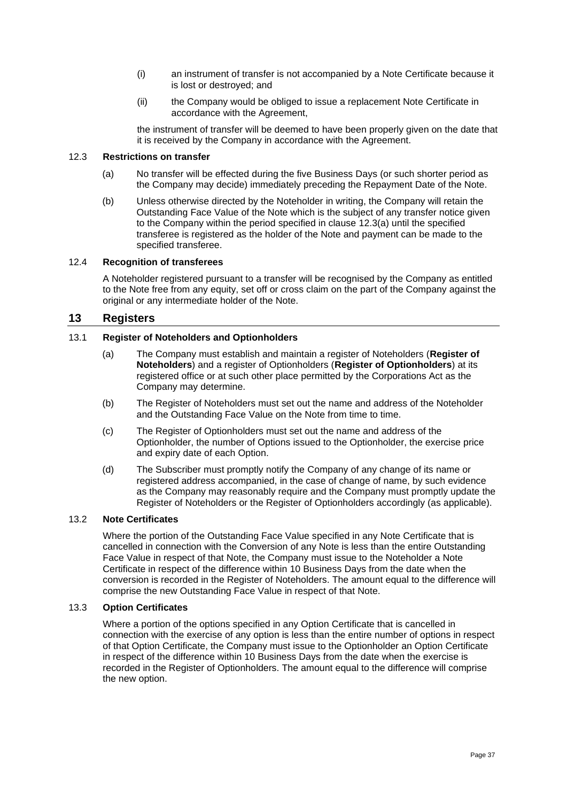- (i) an instrument of transfer is not accompanied by a Note Certificate because it is lost or destroyed; and
- (ii) the Company would be obliged to issue a replacement Note Certificate in accordance with the Agreement,

the instrument of transfer will be deemed to have been properly given on the date that it is received by the Company in accordance with the Agreement.

#### <span id="page-36-1"></span>12.3 **Restrictions on transfer**

- (a) No transfer will be effected during the five Business Days (or such shorter period as the Company may decide) immediately preceding the Repayment Date of the Note.
- (b) Unless otherwise directed by the Noteholder in writing, the Company will retain the Outstanding Face Value of the Note which is the subject of any transfer notice given to the Company within the period specified in clause [12.3\(a\)](#page-36-1) until the specified transferee is registered as the holder of the Note and payment can be made to the specified transferee.

#### 12.4 **Recognition of transferees**

A Noteholder registered pursuant to a transfer will be recognised by the Company as entitled to the Note free from any equity, set off or cross claim on the part of the Company against the original or any intermediate holder of the Note.

#### **13 Registers**

#### <span id="page-36-0"></span>13.1 **Register of Noteholders and Optionholders**

- (a) The Company must establish and maintain a register of Noteholders (**Register of Noteholders**) and a register of Optionholders (**Register of Optionholders**) at its registered office or at such other place permitted by the Corporations Act as the Company may determine.
- (b) The Register of Noteholders must set out the name and address of the Noteholder and the Outstanding Face Value on the Note from time to time.
- (c) The Register of Optionholders must set out the name and address of the Optionholder, the number of Options issued to the Optionholder, the exercise price and expiry date of each Option.
- (d) The Subscriber must promptly notify the Company of any change of its name or registered address accompanied, in the case of change of name, by such evidence as the Company may reasonably require and the Company must promptly update the Register of Noteholders or the Register of Optionholders accordingly (as applicable).

#### 13.2 **Note Certificates**

Where the portion of the Outstanding Face Value specified in any Note Certificate that is cancelled in connection with the Conversion of any Note is less than the entire Outstanding Face Value in respect of that Note, the Company must issue to the Noteholder a Note Certificate in respect of the difference within 10 Business Days from the date when the conversion is recorded in the Register of Noteholders. The amount equal to the difference will comprise the new Outstanding Face Value in respect of that Note.

#### 13.3 **Option Certificates**

Where a portion of the options specified in any Option Certificate that is cancelled in connection with the exercise of any option is less than the entire number of options in respect of that Option Certificate, the Company must issue to the Optionholder an Option Certificate in respect of the difference within 10 Business Days from the date when the exercise is recorded in the Register of Optionholders. The amount equal to the difference will comprise the new option.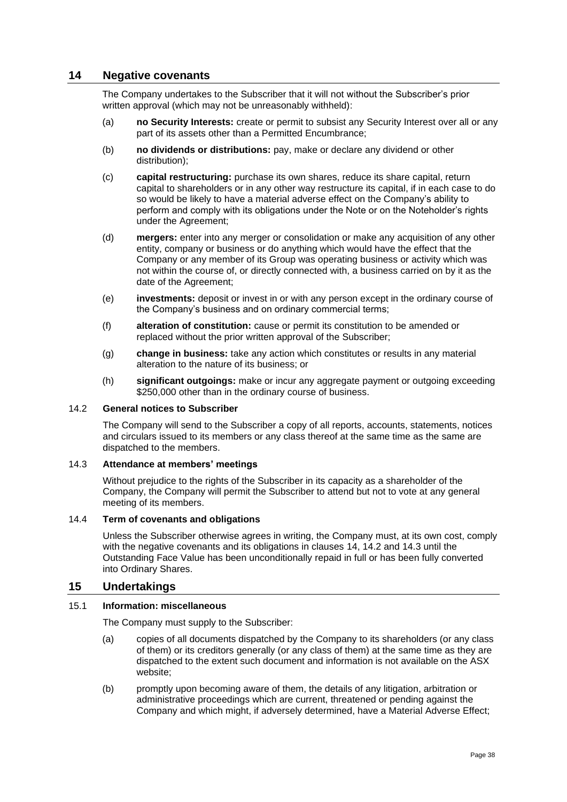#### <span id="page-37-0"></span>**14 Negative covenants**

The Company undertakes to the Subscriber that it will not without the Subscriber's prior written approval (which may not be unreasonably withheld):

- (a) **no Security Interests:** create or permit to subsist any Security Interest over all or any part of its assets other than a Permitted Encumbrance;
- (b) **no dividends or distributions:** pay, make or declare any dividend or other distribution);
- (c) **capital restructuring:** purchase its own shares, reduce its share capital, return capital to shareholders or in any other way restructure its capital, if in each case to do so would be likely to have a material adverse effect on the Company's ability to perform and comply with its obligations under the Note or on the Noteholder's rights under the Agreement;
- (d) **mergers:** enter into any merger or consolidation or make any acquisition of any other entity, company or business or do anything which would have the effect that the Company or any member of its Group was operating business or activity which was not within the course of, or directly connected with, a business carried on by it as the date of the Agreement;
- (e) **investments:** deposit or invest in or with any person except in the ordinary course of the Company's business and on ordinary commercial terms;
- (f) **alteration of constitution:** cause or permit its constitution to be amended or replaced without the prior written approval of the Subscriber;
- (g) **change in business:** take any action which constitutes or results in any material alteration to the nature of its business; or
- (h) **significant outgoings:** make or incur any aggregate payment or outgoing exceeding \$250,000 other than in the ordinary course of business.

#### <span id="page-37-1"></span>14.2 **General notices to Subscriber**

The Company will send to the Subscriber a copy of all reports, accounts, statements, notices and circulars issued to its members or any class thereof at the same time as the same are dispatched to the members.

#### <span id="page-37-2"></span>14.3 **Attendance at members' meetings**

Without prejudice to the rights of the Subscriber in its capacity as a shareholder of the Company, the Company will permit the Subscriber to attend but not to vote at any general meeting of its members.

#### 14.4 **Term of covenants and obligations**

Unless the Subscriber otherwise agrees in writing, the Company must, at its own cost, comply with the negative covenants and its obligations in clauses [14,](#page-37-0) [14.2](#page-37-1) and [14.3](#page-37-2) until the Outstanding Face Value has been unconditionally repaid in full or has been fully converted into Ordinary Shares.

#### <span id="page-37-3"></span>**15 Undertakings**

#### 15.1 **Information: miscellaneous**

The Company must supply to the Subscriber:

- (a) copies of all documents dispatched by the Company to its shareholders (or any class of them) or its creditors generally (or any class of them) at the same time as they are dispatched to the extent such document and information is not available on the ASX website;
- (b) promptly upon becoming aware of them, the details of any litigation, arbitration or administrative proceedings which are current, threatened or pending against the Company and which might, if adversely determined, have a Material Adverse Effect;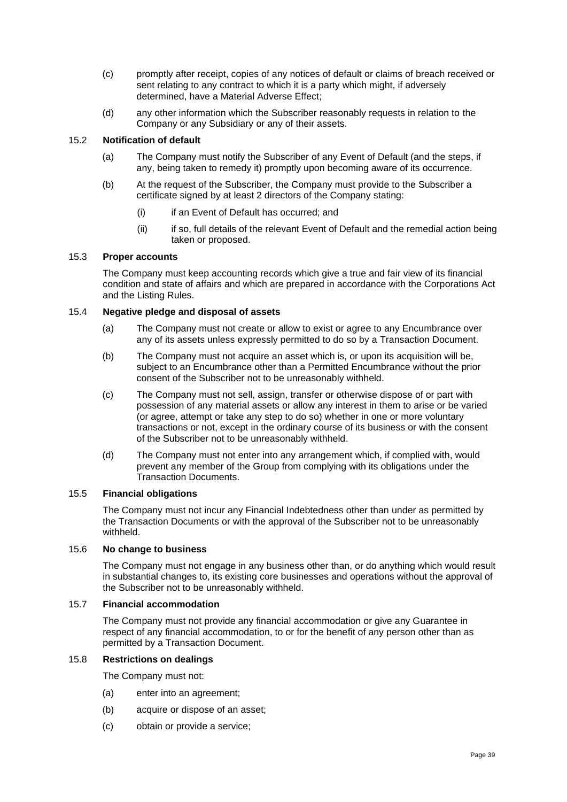- (c) promptly after receipt, copies of any notices of default or claims of breach received or sent relating to any contract to which it is a party which might, if adversely determined, have a Material Adverse Effect;
- (d) any other information which the Subscriber reasonably requests in relation to the Company or any Subsidiary or any of their assets.

#### 15.2 **Notification of default**

- (a) The Company must notify the Subscriber of any Event of Default (and the steps, if any, being taken to remedy it) promptly upon becoming aware of its occurrence.
- (b) At the request of the Subscriber, the Company must provide to the Subscriber a certificate signed by at least 2 directors of the Company stating:
	- (i) if an Event of Default has occurred; and
	- (ii) if so, full details of the relevant Event of Default and the remedial action being taken or proposed.

#### 15.3 **Proper accounts**

The Company must keep accounting records which give a true and fair view of its financial condition and state of affairs and which are prepared in accordance with the Corporations Act and the Listing Rules.

#### 15.4 **Negative pledge and disposal of assets**

- (a) The Company must not create or allow to exist or agree to any Encumbrance over any of its assets unless expressly permitted to do so by a Transaction Document.
- (b) The Company must not acquire an asset which is, or upon its acquisition will be, subject to an Encumbrance other than a Permitted Encumbrance without the prior consent of the Subscriber not to be unreasonably withheld.
- (c) The Company must not sell, assign, transfer or otherwise dispose of or part with possession of any material assets or allow any interest in them to arise or be varied (or agree, attempt or take any step to do so) whether in one or more voluntary transactions or not, except in the ordinary course of its business or with the consent of the Subscriber not to be unreasonably withheld.
- (d) The Company must not enter into any arrangement which, if complied with, would prevent any member of the Group from complying with its obligations under the Transaction Documents.

#### 15.5 **Financial obligations**

The Company must not incur any Financial Indebtedness other than under as permitted by the Transaction Documents or with the approval of the Subscriber not to be unreasonably withheld.

#### 15.6 **No change to business**

The Company must not engage in any business other than, or do anything which would result in substantial changes to, its existing core businesses and operations without the approval of the Subscriber not to be unreasonably withheld.

#### 15.7 **Financial accommodation**

The Company must not provide any financial accommodation or give any Guarantee in respect of any financial accommodation, to or for the benefit of any person other than as permitted by a Transaction Document.

#### 15.8 **Restrictions on dealings**

The Company must not:

- (a) enter into an agreement;
- (b) acquire or dispose of an asset;
- (c) obtain or provide a service;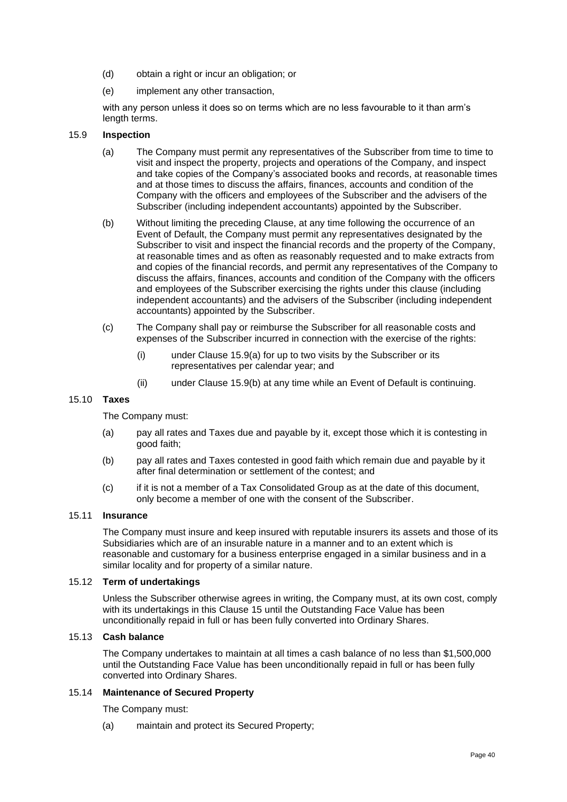- (d) obtain a right or incur an obligation; or
- (e) implement any other transaction,

with any person unless it does so on terms which are no less favourable to it than arm's length terms.

#### <span id="page-39-0"></span>15.9 **Inspection**

- (a) The Company must permit any representatives of the Subscriber from time to time to visit and inspect the property, projects and operations of the Company, and inspect and take copies of the Company's associated books and records, at reasonable times and at those times to discuss the affairs, finances, accounts and condition of the Company with the officers and employees of the Subscriber and the advisers of the Subscriber (including independent accountants) appointed by the Subscriber.
- <span id="page-39-1"></span>(b) Without limiting the preceding Clause, at any time following the occurrence of an Event of Default, the Company must permit any representatives designated by the Subscriber to visit and inspect the financial records and the property of the Company, at reasonable times and as often as reasonably requested and to make extracts from and copies of the financial records, and permit any representatives of the Company to discuss the affairs, finances, accounts and condition of the Company with the officers and employees of the Subscriber exercising the rights under this clause (including independent accountants) and the advisers of the Subscriber (including independent accountants) appointed by the Subscriber.
- (c) The Company shall pay or reimburse the Subscriber for all reasonable costs and expenses of the Subscriber incurred in connection with the exercise of the rights:
	- (i) under Clause [15.9\(a\)](#page-39-0) for up to two visits by the Subscriber or its representatives per calendar year; and
	- (ii) under Clause [15.9\(b\)](#page-39-1) at any time while an Event of Default is continuing.

#### 15.10 **Taxes**

The Company must:

- (a) pay all rates and Taxes due and payable by it, except those which it is contesting in good faith;
- (b) pay all rates and Taxes contested in good faith which remain due and payable by it after final determination or settlement of the contest; and
- (c) if it is not a member of a Tax Consolidated Group as at the date of this document, only become a member of one with the consent of the Subscriber.

#### 15.11 **Insurance**

The Company must insure and keep insured with reputable insurers its assets and those of its Subsidiaries which are of an insurable nature in a manner and to an extent which is reasonable and customary for a business enterprise engaged in a similar business and in a similar locality and for property of a similar nature.

#### 15.12 **Term of undertakings**

Unless the Subscriber otherwise agrees in writing, the Company must, at its own cost, comply with its undertakings in this Clause [15](#page-37-3) until the Outstanding Face Value has been unconditionally repaid in full or has been fully converted into Ordinary Shares.

#### 15.13 **Cash balance**

The Company undertakes to maintain at all times a cash balance of no less than \$1,500,000 until the Outstanding Face Value has been unconditionally repaid in full or has been fully converted into Ordinary Shares.

#### 15.14 **Maintenance of Secured Property**

The Company must:

(a) maintain and protect its Secured Property;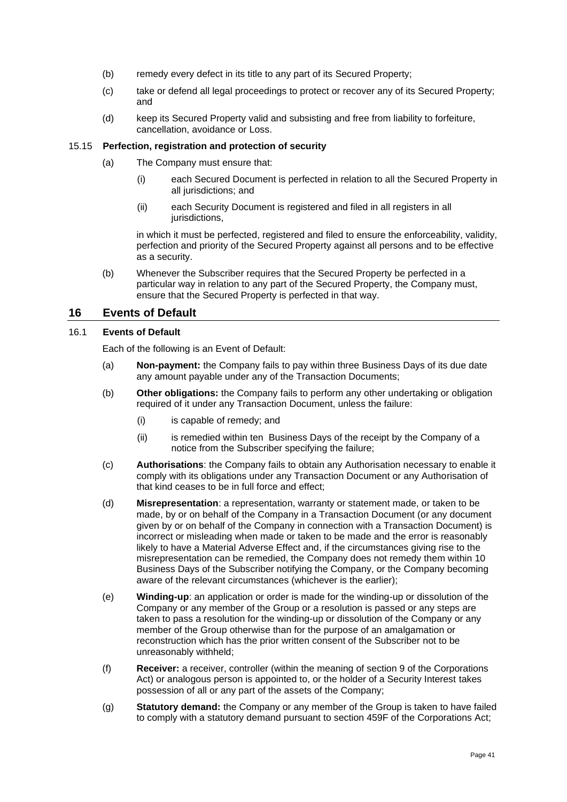- (b) remedy every defect in its title to any part of its Secured Property;
- (c) take or defend all legal proceedings to protect or recover any of its Secured Property; and
- (d) keep its Secured Property valid and subsisting and free from liability to forfeiture, cancellation, avoidance or Loss.

#### 15.15 **Perfection, registration and protection of security**

- (a) The Company must ensure that:
	- (i) each Secured Document is perfected in relation to all the Secured Property in all jurisdictions; and
	- (ii) each Security Document is registered and filed in all registers in all jurisdictions,

in which it must be perfected, registered and filed to ensure the enforceability, validity, perfection and priority of the Secured Property against all persons and to be effective as a security.

(b) Whenever the Subscriber requires that the Secured Property be perfected in a particular way in relation to any part of the Secured Property, the Company must, ensure that the Secured Property is perfected in that way.

#### **16 Events of Default**

#### <span id="page-40-0"></span>16.1 **Events of Default**

Each of the following is an Event of Default:

- (a) **Non-payment:** the Company fails to pay within three Business Days of its due date any amount payable under any of the Transaction Documents;
- (b) **Other obligations:** the Company fails to perform any other undertaking or obligation required of it under any Transaction Document, unless the failure:
	- (i) is capable of remedy; and
	- (ii) is remedied within ten Business Days of the receipt by the Company of a notice from the Subscriber specifying the failure;
- (c) **Authorisations**: the Company fails to obtain any Authorisation necessary to enable it comply with its obligations under any Transaction Document or any Authorisation of that kind ceases to be in full force and effect;
- (d) **Misrepresentation**: a representation, warranty or statement made, or taken to be made, by or on behalf of the Company in a Transaction Document (or any document given by or on behalf of the Company in connection with a Transaction Document) is incorrect or misleading when made or taken to be made and the error is reasonably likely to have a Material Adverse Effect and, if the circumstances giving rise to the misrepresentation can be remedied, the Company does not remedy them within 10 Business Days of the Subscriber notifying the Company, or the Company becoming aware of the relevant circumstances (whichever is the earlier);
- <span id="page-40-1"></span>(e) **Winding-up**: an application or order is made for the winding-up or dissolution of the Company or any member of the Group or a resolution is passed or any steps are taken to pass a resolution for the winding-up or dissolution of the Company or any member of the Group otherwise than for the purpose of an amalgamation or reconstruction which has the prior written consent of the Subscriber not to be unreasonably withheld;
- (f) **Receiver:** a receiver, controller (within the meaning of section 9 of the Corporations Act) or analogous person is appointed to, or the holder of a Security Interest takes possession of all or any part of the assets of the Company;
- (g) **Statutory demand:** the Company or any member of the Group is taken to have failed to comply with a statutory demand pursuant to section 459F of the Corporations Act;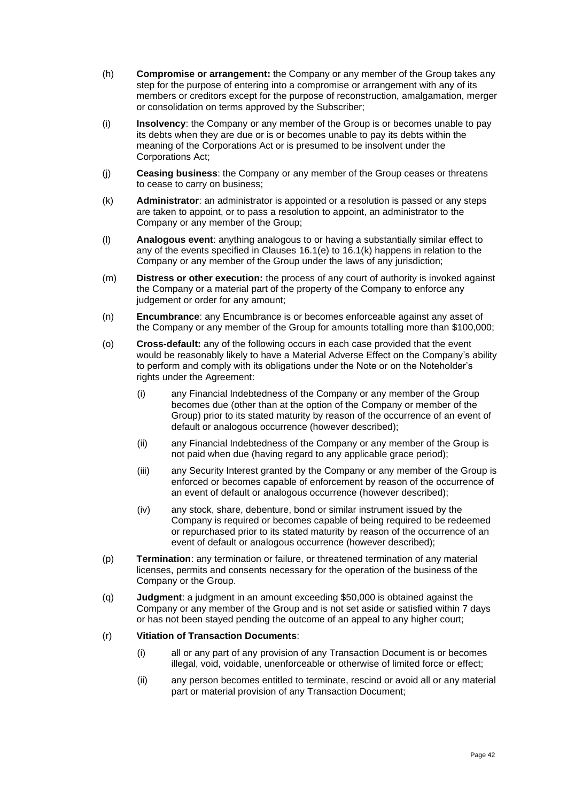- (h) **Compromise or arrangement:** the Company or any member of the Group takes any step for the purpose of entering into a compromise or arrangement with any of its members or creditors except for the purpose of reconstruction, amalgamation, merger or consolidation on terms approved by the Subscriber;
- (i) **Insolvency**: the Company or any member of the Group is or becomes unable to pay its debts when they are due or is or becomes unable to pay its debts within the meaning of the Corporations Act or is presumed to be insolvent under the Corporations Act;
- (j) **Ceasing business**: the Company or any member of the Group ceases or threatens to cease to carry on business;
- <span id="page-41-0"></span>(k) **Administrator**: an administrator is appointed or a resolution is passed or any steps are taken to appoint, or to pass a resolution to appoint, an administrator to the Company or any member of the Group;
- (l) **Analogous event**: anything analogous to or having a substantially similar effect to any of the events specified in Clauses [16.1\(e\)](#page-40-1) to [16.1\(k\)](#page-41-0) happens in relation to the Company or any member of the Group under the laws of any jurisdiction;
- (m) **Distress or other execution:** the process of any court of authority is invoked against the Company or a material part of the property of the Company to enforce any judgement or order for any amount;
- (n) **Encumbrance**: any Encumbrance is or becomes enforceable against any asset of the Company or any member of the Group for amounts totalling more than \$100,000;
- (o) **Cross-default:** any of the following occurs in each case provided that the event would be reasonably likely to have a Material Adverse Effect on the Company's ability to perform and comply with its obligations under the Note or on the Noteholder's rights under the Agreement:
	- (i) any Financial Indebtedness of the Company or any member of the Group becomes due (other than at the option of the Company or member of the Group) prior to its stated maturity by reason of the occurrence of an event of default or analogous occurrence (however described);
	- (ii) any Financial Indebtedness of the Company or any member of the Group is not paid when due (having regard to any applicable grace period);
	- (iii) any Security Interest granted by the Company or any member of the Group is enforced or becomes capable of enforcement by reason of the occurrence of an event of default or analogous occurrence (however described);
	- (iv) any stock, share, debenture, bond or similar instrument issued by the Company is required or becomes capable of being required to be redeemed or repurchased prior to its stated maturity by reason of the occurrence of an event of default or analogous occurrence (however described);
- (p) **Termination**: any termination or failure, or threatened termination of any material licenses, permits and consents necessary for the operation of the business of the Company or the Group.
- (q) **Judgment**: a judgment in an amount exceeding \$50,000 is obtained against the Company or any member of the Group and is not set aside or satisfied within 7 days or has not been stayed pending the outcome of an appeal to any higher court;

#### (r) **Vitiation of Transaction Documents**:

- (i) all or any part of any provision of any Transaction Document is or becomes illegal, void, voidable, unenforceable or otherwise of limited force or effect;
- (ii) any person becomes entitled to terminate, rescind or avoid all or any material part or material provision of any Transaction Document;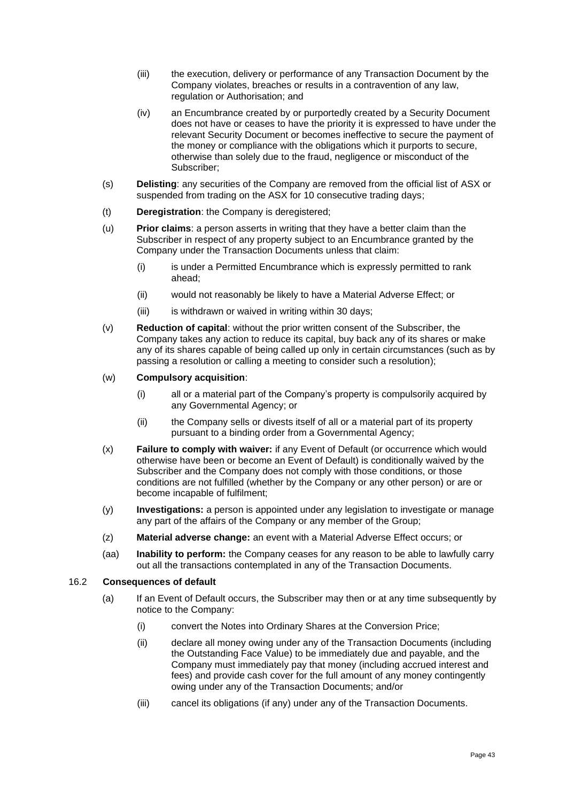- (iii) the execution, delivery or performance of any Transaction Document by the Company violates, breaches or results in a contravention of any law, regulation or Authorisation; and
- (iv) an Encumbrance created by or purportedly created by a Security Document does not have or ceases to have the priority it is expressed to have under the relevant Security Document or becomes ineffective to secure the payment of the money or compliance with the obligations which it purports to secure, otherwise than solely due to the fraud, negligence or misconduct of the Subscriber;
- (s) **Delisting**: any securities of the Company are removed from the official list of ASX or suspended from trading on the ASX for 10 consecutive trading days;
- (t) **Deregistration**: the Company is deregistered;
- (u) **Prior claims**: a person asserts in writing that they have a better claim than the Subscriber in respect of any property subject to an Encumbrance granted by the Company under the Transaction Documents unless that claim:
	- (i) is under a Permitted Encumbrance which is expressly permitted to rank ahead;
	- (ii) would not reasonably be likely to have a Material Adverse Effect; or
	- (iii) is withdrawn or waived in writing within 30 days;
- (v) **Reduction of capital**: without the prior written consent of the Subscriber, the Company takes any action to reduce its capital, buy back any of its shares or make any of its shares capable of being called up only in certain circumstances (such as by passing a resolution or calling a meeting to consider such a resolution);
- (w) **Compulsory acquisition**:
	- (i) all or a material part of the Company's property is compulsorily acquired by any Governmental Agency; or
	- (ii) the Company sells or divests itself of all or a material part of its property pursuant to a binding order from a Governmental Agency;
- (x) **Failure to comply with waiver:** if any Event of Default (or occurrence which would otherwise have been or become an Event of Default) is conditionally waived by the Subscriber and the Company does not comply with those conditions, or those conditions are not fulfilled (whether by the Company or any other person) or are or become incapable of fulfilment;
- (y) **Investigations:** a person is appointed under any legislation to investigate or manage any part of the affairs of the Company or any member of the Group;
- (z) **Material adverse change:** an event with a Material Adverse Effect occurs; or
- (aa) **Inability to perform:** the Company ceases for any reason to be able to lawfully carry out all the transactions contemplated in any of the Transaction Documents.

#### <span id="page-42-0"></span>16.2 **Consequences of default**

- (a) If an Event of Default occurs, the Subscriber may then or at any time subsequently by notice to the Company:
	- (i) convert the Notes into Ordinary Shares at the Conversion Price;
	- (ii) declare all money owing under any of the Transaction Documents (including the Outstanding Face Value) to be immediately due and payable, and the Company must immediately pay that money (including accrued interest and fees) and provide cash cover for the full amount of any money contingently owing under any of the Transaction Documents; and/or
	- (iii) cancel its obligations (if any) under any of the Transaction Documents.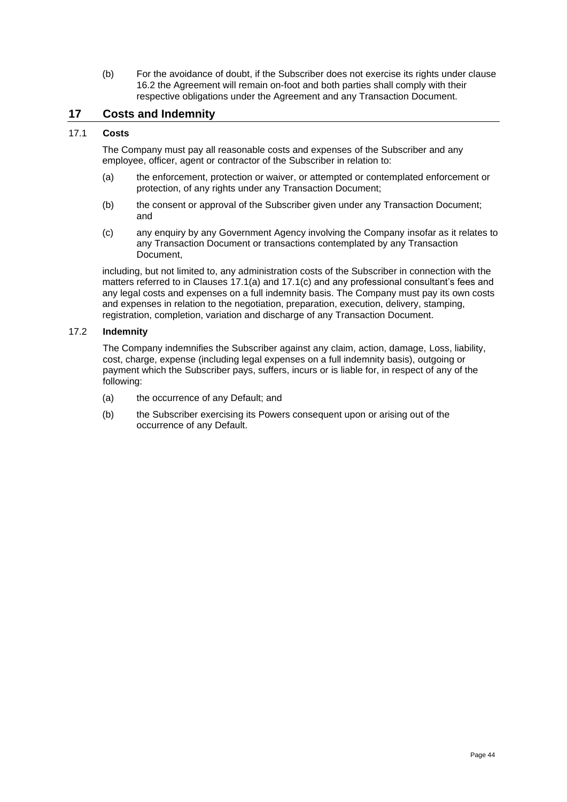(b) For the avoidance of doubt, if the Subscriber does not exercise its rights under clause [16.2](#page-42-0) the Agreement will remain on-foot and both parties shall comply with their respective obligations under the Agreement and any Transaction Document.

#### **17 Costs and Indemnity**

#### 17.1 **Costs**

The Company must pay all reasonable costs and expenses of the Subscriber and any employee, officer, agent or contractor of the Subscriber in relation to:

- <span id="page-43-0"></span>(a) the enforcement, protection or waiver, or attempted or contemplated enforcement or protection, of any rights under any Transaction Document;
- (b) the consent or approval of the Subscriber given under any Transaction Document; and
- <span id="page-43-1"></span>(c) any enquiry by any Government Agency involving the Company insofar as it relates to any Transaction Document or transactions contemplated by any Transaction Document,

including, but not limited to, any administration costs of the Subscriber in connection with the matters referred to in Clauses [17.1\(a\)](#page-43-0) and [17.1\(c\)](#page-43-1) and any professional consultant's fees and any legal costs and expenses on a full indemnity basis. The Company must pay its own costs and expenses in relation to the negotiation, preparation, execution, delivery, stamping, registration, completion, variation and discharge of any Transaction Document.

#### 17.2 **Indemnity**

The Company indemnifies the Subscriber against any claim, action, damage, Loss, liability, cost, charge, expense (including legal expenses on a full indemnity basis), outgoing or payment which the Subscriber pays, suffers, incurs or is liable for, in respect of any of the following:

- (a) the occurrence of any Default; and
- (b) the Subscriber exercising its Powers consequent upon or arising out of the occurrence of any Default.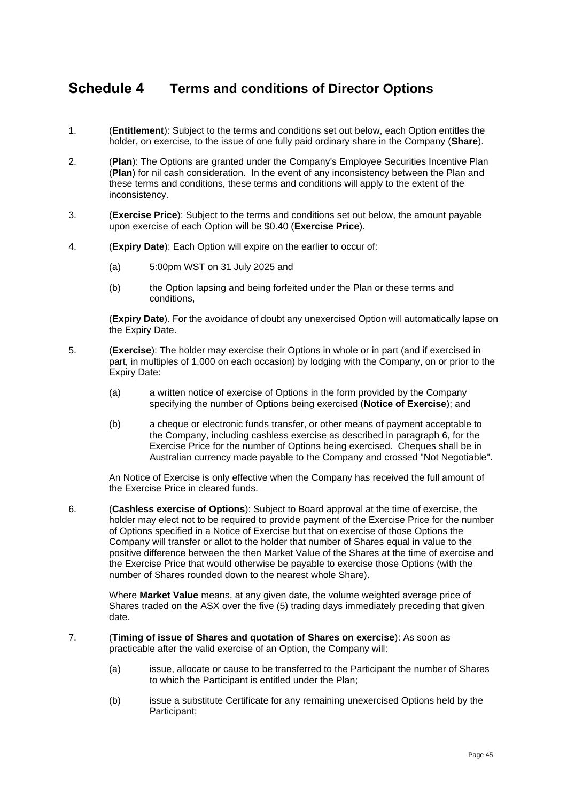### <span id="page-44-0"></span>**Schedule 4 Terms and conditions of Director Options**

- 1. (**Entitlement**): Subject to the terms and conditions set out below, each Option entitles the holder, on exercise, to the issue of one fully paid ordinary share in the Company (**Share**).
- 2. (**Plan**): The Options are granted under the Company's Employee Securities Incentive Plan (**Plan**) for nil cash consideration. In the event of any inconsistency between the Plan and these terms and conditions, these terms and conditions will apply to the extent of the inconsistency.
- 3. (**Exercise Price**): Subject to the terms and conditions set out below, the amount payable upon exercise of each Option will be \$0.40 (**Exercise Price**).
- 4. (**Expiry Date**): Each Option will expire on the earlier to occur of:
	- (a) 5:00pm WST on 31 July 2025 and
	- (b) the Option lapsing and being forfeited under the Plan or these terms and conditions,

(**Expiry Date**). For the avoidance of doubt any unexercised Option will automatically lapse on the Expiry Date.

- 5. (**Exercise**): The holder may exercise their Options in whole or in part (and if exercised in part, in multiples of 1,000 on each occasion) by lodging with the Company, on or prior to the Expiry Date:
	- (a) a written notice of exercise of Options in the form provided by the Company specifying the number of Options being exercised (**Notice of Exercise**); and
	- (b) a cheque or electronic funds transfer, or other means of payment acceptable to the Company, including cashless exercise as described in paragraph [6,](#page-44-1) for the Exercise Price for the number of Options being exercised. Cheques shall be in Australian currency made payable to the Company and crossed "Not Negotiable".

An Notice of Exercise is only effective when the Company has received the full amount of the Exercise Price in cleared funds.

<span id="page-44-1"></span>6. (**Cashless exercise of Options**): Subject to Board approval at the time of exercise, the holder may elect not to be required to provide payment of the Exercise Price for the number of Options specified in a Notice of Exercise but that on exercise of those Options the Company will transfer or allot to the holder that number of Shares equal in value to the positive difference between the then Market Value of the Shares at the time of exercise and the Exercise Price that would otherwise be payable to exercise those Options (with the number of Shares rounded down to the nearest whole Share).

Where **Market Value** means, at any given date, the volume weighted average price of Shares traded on the ASX over the five (5) trading days immediately preceding that given date.

- 7. (**Timing of issue of Shares and quotation of Shares on exercise**): As soon as practicable after the valid exercise of an Option, the Company will:
	- (a) issue, allocate or cause to be transferred to the Participant the number of Shares to which the Participant is entitled under the Plan;
	- (b) issue a substitute Certificate for any remaining unexercised Options held by the Participant;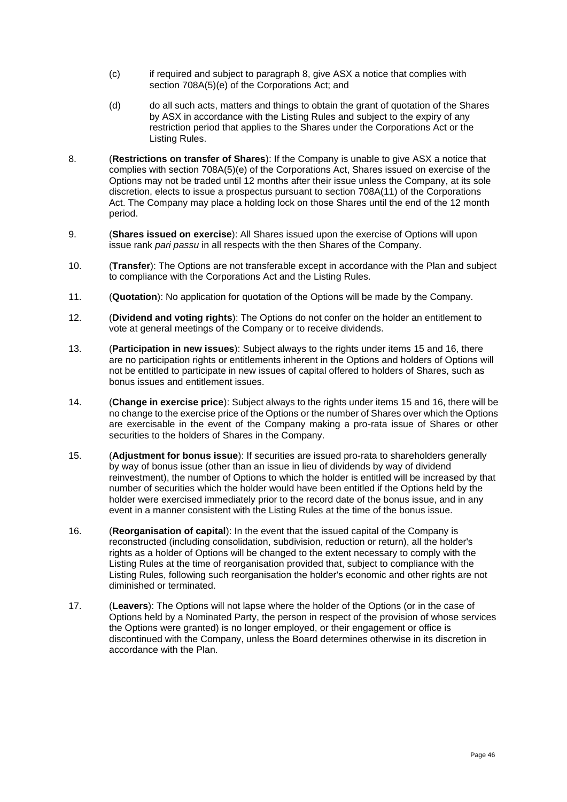- (c) if required and subject to paragraph [8,](#page-45-0) give ASX a notice that complies with section 708A(5)(e) of the Corporations Act; and
- (d) do all such acts, matters and things to obtain the grant of quotation of the Shares by ASX in accordance with the Listing Rules and subject to the expiry of any restriction period that applies to the Shares under the Corporations Act or the Listing Rules.
- <span id="page-45-0"></span>8. (**Restrictions on transfer of Shares**): If the Company is unable to give ASX a notice that complies with section 708A(5)(e) of the Corporations Act, Shares issued on exercise of the Options may not be traded until 12 months after their issue unless the Company, at its sole discretion, elects to issue a prospectus pursuant to section 708A(11) of the Corporations Act. The Company may place a holding lock on those Shares until the end of the 12 month period.
- 9. (**Shares issued on exercise**): All Shares issued upon the exercise of Options will upon issue rank *pari passu* in all respects with the then Shares of the Company.
- 10. (**Transfer**): The Options are not transferable except in accordance with the Plan and subject to compliance with the Corporations Act and the Listing Rules.
- 11. (**Quotation**): No application for quotation of the Options will be made by the Company.
- 12. (**Dividend and voting rights**): The Options do not confer on the holder an entitlement to vote at general meetings of the Company or to receive dividends.
- 13. (**Participation in new issues**): Subject always to the rights under items [15](#page-45-1) and [16,](#page-45-2) there are no participation rights or entitlements inherent in the Options and holders of Options will not be entitled to participate in new issues of capital offered to holders of Shares, such as bonus issues and entitlement issues.
- 14. (**Change in exercise price**): Subject always to the rights under items [15](#page-45-1) and [16,](#page-45-2) there will be no change to the exercise price of the Options or the number of Shares over which the Options are exercisable in the event of the Company making a pro-rata issue of Shares or other securities to the holders of Shares in the Company.
- <span id="page-45-1"></span>15. (**Adjustment for bonus issue**): If securities are issued pro-rata to shareholders generally by way of bonus issue (other than an issue in lieu of dividends by way of dividend reinvestment), the number of Options to which the holder is entitled will be increased by that number of securities which the holder would have been entitled if the Options held by the holder were exercised immediately prior to the record date of the bonus issue, and in any event in a manner consistent with the Listing Rules at the time of the bonus issue.
- <span id="page-45-2"></span>16. (**Reorganisation of capital**): In the event that the issued capital of the Company is reconstructed (including consolidation, subdivision, reduction or return), all the holder's rights as a holder of Options will be changed to the extent necessary to comply with the Listing Rules at the time of reorganisation provided that, subject to compliance with the Listing Rules, following such reorganisation the holder's economic and other rights are not diminished or terminated.
- 17. (**Leavers**): The Options will not lapse where the holder of the Options (or in the case of Options held by a Nominated Party, the person in respect of the provision of whose services the Options were granted) is no longer employed, or their engagement or office is discontinued with the Company, unless the Board determines otherwise in its discretion in accordance with the Plan.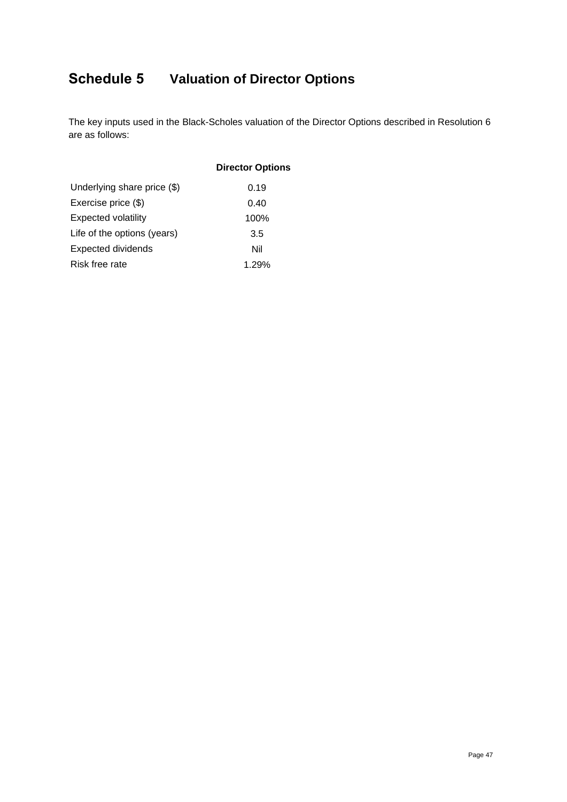# <span id="page-46-0"></span>**Schedule 5 Valuation of Director Options**

The key inputs used in the Black-Scholes valuation of the Director Options described in Resolution 6 are as follows:

|                             | <b>Director Options</b> |
|-----------------------------|-------------------------|
| Underlying share price (\$) | 0.19                    |
| Exercise price (\$)         | 0.40                    |
| <b>Expected volatility</b>  | 100%                    |
| Life of the options (years) | 3.5                     |
| <b>Expected dividends</b>   | Nil                     |
| Risk free rate              | 1.29%                   |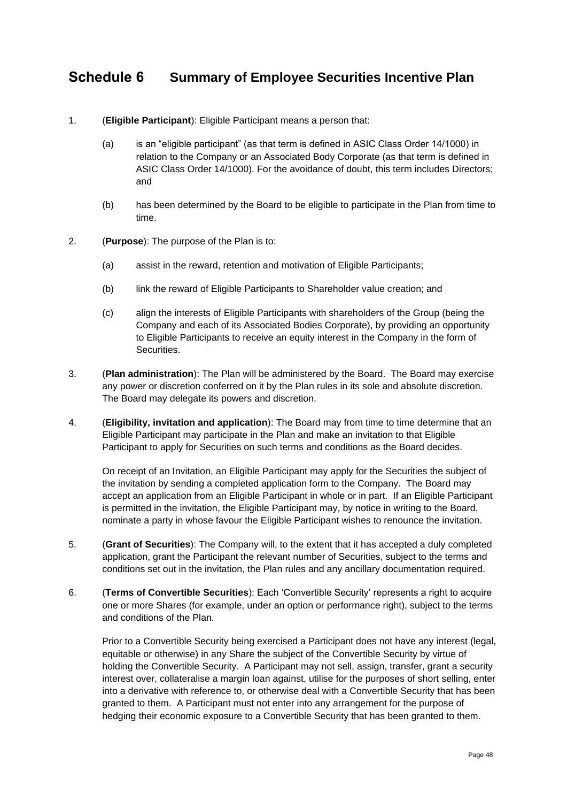### <span id="page-47-0"></span>**Schedule 6 Summary of Employee Securities Incentive Plan**

#### 1. (**Eligible Participant**): Eligible Participant means a person that:

- (a) is an "eligible participant" (as that term is defined in ASIC Class Order 14/1000) in relation to the Company or an Associated Body Corporate (as that term is defined in ASIC Class Order 14/1000). For the avoidance of doubt, this term includes Directors; and
- (b) has been determined by the Board to be eligible to participate in the Plan from time to time.
- 2. (**Purpose**): The purpose of the Plan is to:
	- (a) assist in the reward, retention and motivation of Eligible Participants;
	- (b) link the reward of Eligible Participants to Shareholder value creation; and
	- (c) align the interests of Eligible Participants with shareholders of the Group (being the Company and each of its Associated Bodies Corporate), by providing an opportunity to Eligible Participants to receive an equity interest in the Company in the form of Securities.
- 3. (**Plan administration**): The Plan will be administered by the Board. The Board may exercise any power or discretion conferred on it by the Plan rules in its sole and absolute discretion. The Board may delegate its powers and discretion.
- 4. (**Eligibility, invitation and application**): The Board may from time to time determine that an Eligible Participant may participate in the Plan and make an invitation to that Eligible Participant to apply for Securities on such terms and conditions as the Board decides.

On receipt of an Invitation, an Eligible Participant may apply for the Securities the subject of the invitation by sending a completed application form to the Company. The Board may accept an application from an Eligible Participant in whole or in part. If an Eligible Participant is permitted in the invitation, the Eligible Participant may, by notice in writing to the Board, nominate a party in whose favour the Eligible Participant wishes to renounce the invitation.

- 5. (**Grant of Securities**): The Company will, to the extent that it has accepted a duly completed application, grant the Participant the relevant number of Securities, subject to the terms and conditions set out in the invitation, the Plan rules and any ancillary documentation required.
- 6. (**Terms of Convertible Securities**): Each 'Convertible Security' represents a right to acquire one or more Shares (for example, under an option or performance right), subject to the terms and conditions of the Plan.

Prior to a Convertible Security being exercised a Participant does not have any interest (legal, equitable or otherwise) in any Share the subject of the Convertible Security by virtue of holding the Convertible Security. A Participant may not sell, assign, transfer, grant a security interest over, collateralise a margin loan against, utilise for the purposes of short selling, enter into a derivative with reference to, or otherwise deal with a Convertible Security that has been granted to them. A Participant must not enter into any arrangement for the purpose of hedging their economic exposure to a Convertible Security that has been granted to them.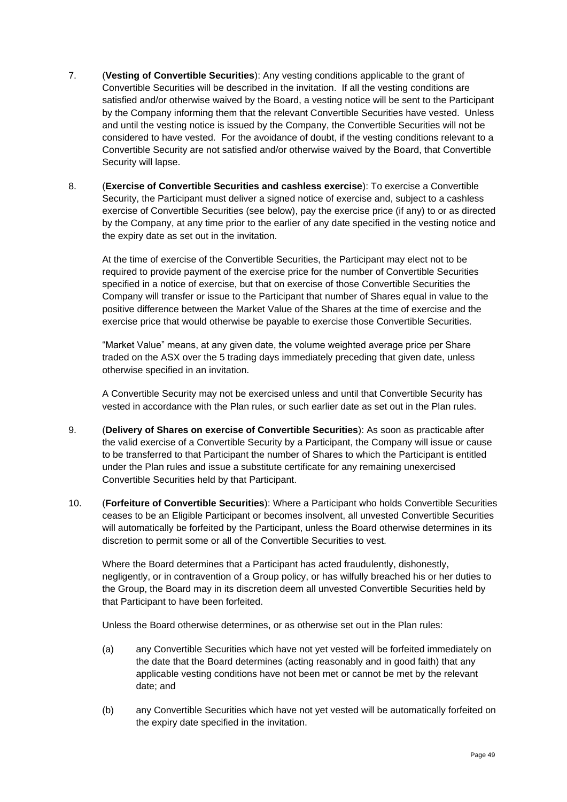- 7. (**Vesting of Convertible Securities**): Any vesting conditions applicable to the grant of Convertible Securities will be described in the invitation. If all the vesting conditions are satisfied and/or otherwise waived by the Board, a vesting notice will be sent to the Participant by the Company informing them that the relevant Convertible Securities have vested. Unless and until the vesting notice is issued by the Company, the Convertible Securities will not be considered to have vested. For the avoidance of doubt, if the vesting conditions relevant to a Convertible Security are not satisfied and/or otherwise waived by the Board, that Convertible Security will lapse.
- 8. (**Exercise of Convertible Securities and cashless exercise**): To exercise a Convertible Security, the Participant must deliver a signed notice of exercise and, subject to a cashless exercise of Convertible Securities (see below), pay the exercise price (if any) to or as directed by the Company, at any time prior to the earlier of any date specified in the vesting notice and the expiry date as set out in the invitation.

At the time of exercise of the Convertible Securities, the Participant may elect not to be required to provide payment of the exercise price for the number of Convertible Securities specified in a notice of exercise, but that on exercise of those Convertible Securities the Company will transfer or issue to the Participant that number of Shares equal in value to the positive difference between the Market Value of the Shares at the time of exercise and the exercise price that would otherwise be payable to exercise those Convertible Securities.

"Market Value" means, at any given date, the volume weighted average price per Share traded on the ASX over the 5 trading days immediately preceding that given date, unless otherwise specified in an invitation.

A Convertible Security may not be exercised unless and until that Convertible Security has vested in accordance with the Plan rules, or such earlier date as set out in the Plan rules.

- 9. (**Delivery of Shares on exercise of Convertible Securities**): As soon as practicable after the valid exercise of a Convertible Security by a Participant, the Company will issue or cause to be transferred to that Participant the number of Shares to which the Participant is entitled under the Plan rules and issue a substitute certificate for any remaining unexercised Convertible Securities held by that Participant.
- 10. (**Forfeiture of Convertible Securities**): Where a Participant who holds Convertible Securities ceases to be an Eligible Participant or becomes insolvent, all unvested Convertible Securities will automatically be forfeited by the Participant, unless the Board otherwise determines in its discretion to permit some or all of the Convertible Securities to vest.

Where the Board determines that a Participant has acted fraudulently, dishonestly, negligently, or in contravention of a Group policy, or has wilfully breached his or her duties to the Group, the Board may in its discretion deem all unvested Convertible Securities held by that Participant to have been forfeited.

Unless the Board otherwise determines, or as otherwise set out in the Plan rules:

- (a) any Convertible Securities which have not yet vested will be forfeited immediately on the date that the Board determines (acting reasonably and in good faith) that any applicable vesting conditions have not been met or cannot be met by the relevant date; and
- (b) any Convertible Securities which have not yet vested will be automatically forfeited on the expiry date specified in the invitation.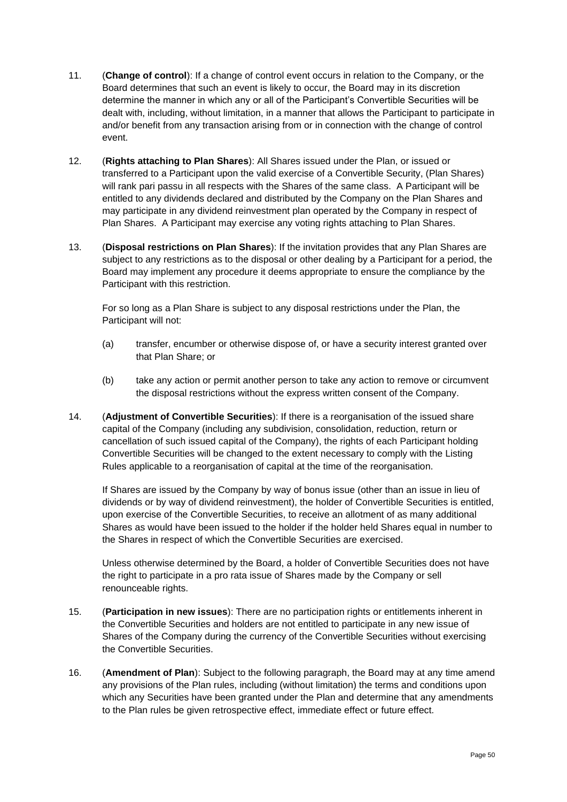- 11. (**Change of control**): If a change of control event occurs in relation to the Company, or the Board determines that such an event is likely to occur, the Board may in its discretion determine the manner in which any or all of the Participant's Convertible Securities will be dealt with, including, without limitation, in a manner that allows the Participant to participate in and/or benefit from any transaction arising from or in connection with the change of control event.
- 12. (**Rights attaching to Plan Shares**): All Shares issued under the Plan, or issued or transferred to a Participant upon the valid exercise of a Convertible Security, (Plan Shares) will rank pari passu in all respects with the Shares of the same class. A Participant will be entitled to any dividends declared and distributed by the Company on the Plan Shares and may participate in any dividend reinvestment plan operated by the Company in respect of Plan Shares. A Participant may exercise any voting rights attaching to Plan Shares.
- 13. (**Disposal restrictions on Plan Shares**): If the invitation provides that any Plan Shares are subject to any restrictions as to the disposal or other dealing by a Participant for a period, the Board may implement any procedure it deems appropriate to ensure the compliance by the Participant with this restriction.

For so long as a Plan Share is subject to any disposal restrictions under the Plan, the Participant will not:

- (a) transfer, encumber or otherwise dispose of, or have a security interest granted over that Plan Share; or
- (b) take any action or permit another person to take any action to remove or circumvent the disposal restrictions without the express written consent of the Company.
- 14. (**Adjustment of Convertible Securities**): If there is a reorganisation of the issued share capital of the Company (including any subdivision, consolidation, reduction, return or cancellation of such issued capital of the Company), the rights of each Participant holding Convertible Securities will be changed to the extent necessary to comply with the Listing Rules applicable to a reorganisation of capital at the time of the reorganisation.

If Shares are issued by the Company by way of bonus issue (other than an issue in lieu of dividends or by way of dividend reinvestment), the holder of Convertible Securities is entitled, upon exercise of the Convertible Securities, to receive an allotment of as many additional Shares as would have been issued to the holder if the holder held Shares equal in number to the Shares in respect of which the Convertible Securities are exercised.

Unless otherwise determined by the Board, a holder of Convertible Securities does not have the right to participate in a pro rata issue of Shares made by the Company or sell renounceable rights.

- 15. (**Participation in new issues**): There are no participation rights or entitlements inherent in the Convertible Securities and holders are not entitled to participate in any new issue of Shares of the Company during the currency of the Convertible Securities without exercising the Convertible Securities.
- 16. (**Amendment of Plan**): Subject to the following paragraph, the Board may at any time amend any provisions of the Plan rules, including (without limitation) the terms and conditions upon which any Securities have been granted under the Plan and determine that any amendments to the Plan rules be given retrospective effect, immediate effect or future effect.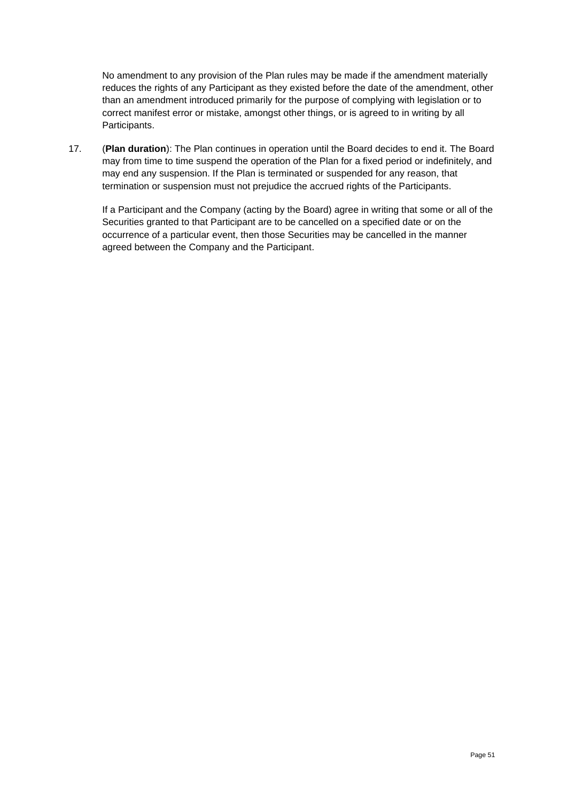No amendment to any provision of the Plan rules may be made if the amendment materially reduces the rights of any Participant as they existed before the date of the amendment, other than an amendment introduced primarily for the purpose of complying with legislation or to correct manifest error or mistake, amongst other things, or is agreed to in writing by all Participants.

17. (**Plan duration**): The Plan continues in operation until the Board decides to end it. The Board may from time to time suspend the operation of the Plan for a fixed period or indefinitely, and may end any suspension. If the Plan is terminated or suspended for any reason, that termination or suspension must not prejudice the accrued rights of the Participants.

If a Participant and the Company (acting by the Board) agree in writing that some or all of the Securities granted to that Participant are to be cancelled on a specified date or on the occurrence of a particular event, then those Securities may be cancelled in the manner agreed between the Company and the Participant.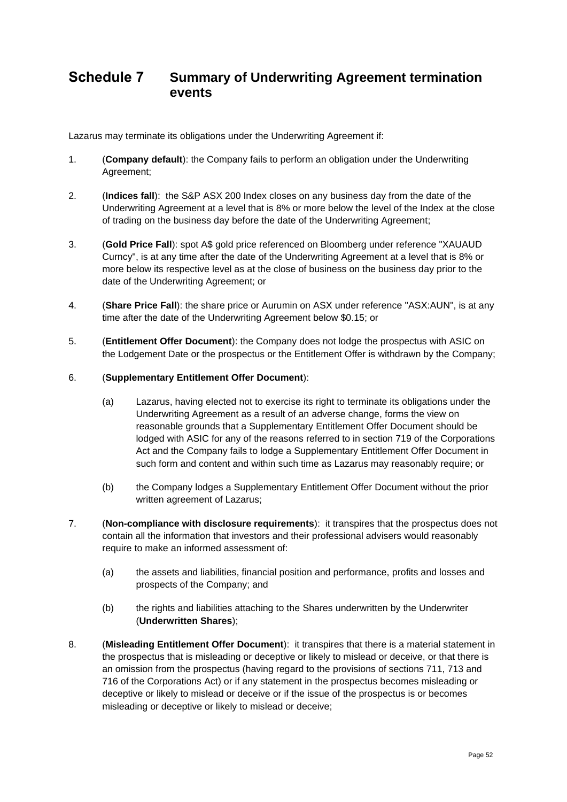### <span id="page-51-0"></span>**Schedule 7 Summary of Underwriting Agreement termination events**

Lazarus may terminate its obligations under the Underwriting Agreement if:

- 1. (**Company default**): the Company fails to perform an obligation under the Underwriting Agreement;
- 2. (**Indices fall**): the S&P ASX 200 Index closes on any business day from the date of the Underwriting Agreement at a level that is 8% or more below the level of the Index at the close of trading on the business day before the date of the Underwriting Agreement;
- 3. (**Gold Price Fall**): spot A\$ gold price referenced on Bloomberg under reference "XAUAUD Curncy", is at any time after the date of the Underwriting Agreement at a level that is 8% or more below its respective level as at the close of business on the business day prior to the date of the Underwriting Agreement; or
- 4. (**Share Price Fall**): the share price or Aurumin on ASX under reference "ASX:AUN", is at any time after the date of the Underwriting Agreement below \$0.15; or
- 5. (**Entitlement Offer Document**): the Company does not lodge the prospectus with ASIC on the Lodgement Date or the prospectus or the Entitlement Offer is withdrawn by the Company;
- 6. (**Supplementary Entitlement Offer Document**):
	- (a) Lazarus, having elected not to exercise its right to terminate its obligations under the Underwriting Agreement as a result of an adverse change, forms the view on reasonable grounds that a Supplementary Entitlement Offer Document should be lodged with ASIC for any of the reasons referred to in section 719 of the Corporations Act and the Company fails to lodge a Supplementary Entitlement Offer Document in such form and content and within such time as Lazarus may reasonably require; or
	- (b) the Company lodges a Supplementary Entitlement Offer Document without the prior written agreement of Lazarus;
- 7. (**Non-compliance with disclosure requirements**): it transpires that the prospectus does not contain all the information that investors and their professional advisers would reasonably require to make an informed assessment of:
	- (a) the assets and liabilities, financial position and performance, profits and losses and prospects of the Company; and
	- (b) the rights and liabilities attaching to the Shares underwritten by the Underwriter (**Underwritten Shares**);
- 8. (**Misleading Entitlement Offer Document**): it transpires that there is a material statement in the prospectus that is misleading or deceptive or likely to mislead or deceive, or that there is an omission from the prospectus (having regard to the provisions of sections 711, 713 and 716 of the Corporations Act) or if any statement in the prospectus becomes misleading or deceptive or likely to mislead or deceive or if the issue of the prospectus is or becomes misleading or deceptive or likely to mislead or deceive;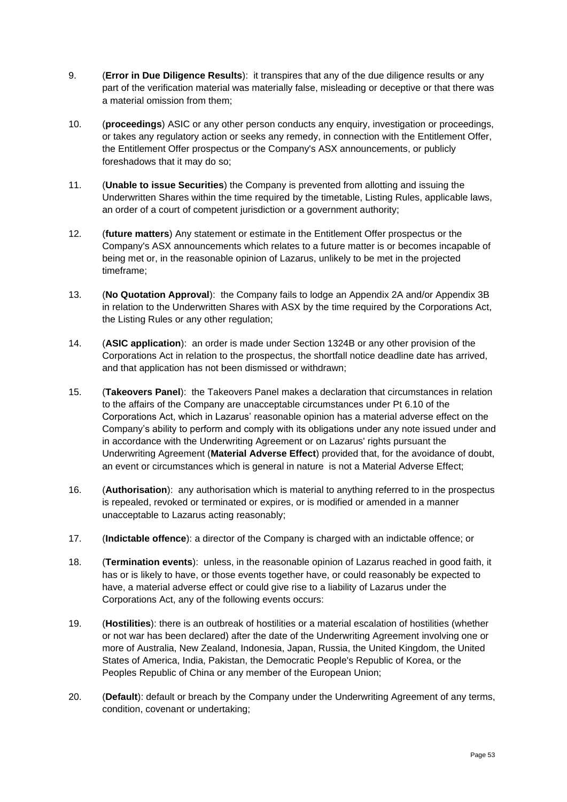- 9. (**Error in Due Diligence Results**): it transpires that any of the due diligence results or any part of the verification material was materially false, misleading or deceptive or that there was a material omission from them;
- 10. (**proceedings**) ASIC or any other person conducts any enquiry, investigation or proceedings, or takes any regulatory action or seeks any remedy, in connection with the Entitlement Offer, the Entitlement Offer prospectus or the Company's ASX announcements, or publicly foreshadows that it may do so;
- 11. (**Unable to issue Securities**) the Company is prevented from allotting and issuing the Underwritten Shares within the time required by the timetable, Listing Rules, applicable laws, an order of a court of competent jurisdiction or a government authority;
- 12. (**future matters**) Any statement or estimate in the Entitlement Offer prospectus or the Company's ASX announcements which relates to a future matter is or becomes incapable of being met or, in the reasonable opinion of Lazarus, unlikely to be met in the projected timeframe;
- 13. (**No Quotation Approval**): the Company fails to lodge an Appendix 2A and/or Appendix 3B in relation to the Underwritten Shares with ASX by the time required by the Corporations Act, the Listing Rules or any other regulation;
- 14. (**ASIC application**): an order is made under Section 1324B or any other provision of the Corporations Act in relation to the prospectus, the shortfall notice deadline date has arrived, and that application has not been dismissed or withdrawn;
- 15. (**Takeovers Panel**): the Takeovers Panel makes a declaration that circumstances in relation to the affairs of the Company are unacceptable circumstances under Pt 6.10 of the Corporations Act, which in Lazarus' reasonable opinion has a material adverse effect on the Company's ability to perform and comply with its obligations under any note issued under and in accordance with the Underwriting Agreement or on Lazarus' rights pursuant the Underwriting Agreement (**Material Adverse Effect**) provided that, for the avoidance of doubt, an event or circumstances which is general in nature is not a Material Adverse Effect;
- 16. (**Authorisation**): any authorisation which is material to anything referred to in the prospectus is repealed, revoked or terminated or expires, or is modified or amended in a manner unacceptable to Lazarus acting reasonably;
- 17. (**Indictable offence**): a director of the Company is charged with an indictable offence; or
- 18. (**Termination events**): unless, in the reasonable opinion of Lazarus reached in good faith, it has or is likely to have, or those events together have, or could reasonably be expected to have, a material adverse effect or could give rise to a liability of Lazarus under the Corporations Act, any of the following events occurs:
- 19. (**Hostilities**): there is an outbreak of hostilities or a material escalation of hostilities (whether or not war has been declared) after the date of the Underwriting Agreement involving one or more of Australia, New Zealand, Indonesia, Japan, Russia, the United Kingdom, the United States of America, India, Pakistan, the Democratic People's Republic of Korea, or the Peoples Republic of China or any member of the European Union;
- 20. (**Default**): default or breach by the Company under the Underwriting Agreement of any terms, condition, covenant or undertaking;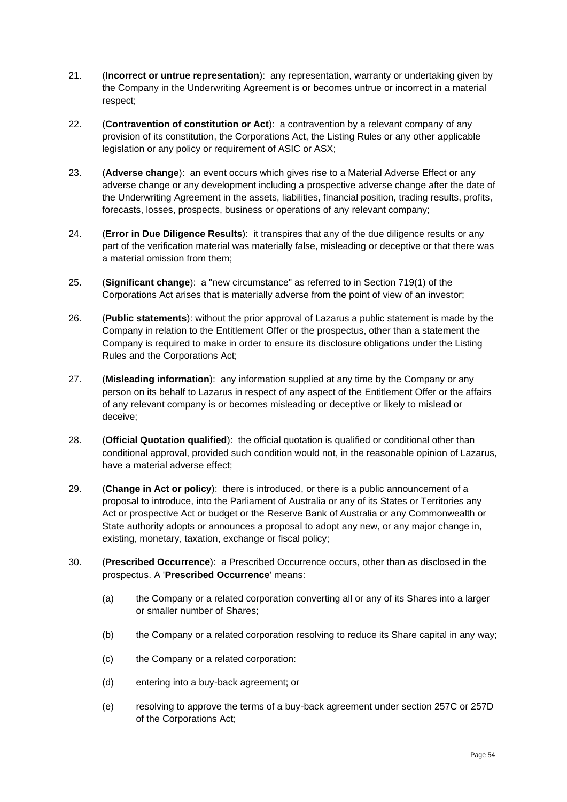- 21. (**Incorrect or untrue representation**): any representation, warranty or undertaking given by the Company in the Underwriting Agreement is or becomes untrue or incorrect in a material respect;
- 22. (**Contravention of constitution or Act**): a contravention by a relevant company of any provision of its constitution, the Corporations Act, the Listing Rules or any other applicable legislation or any policy or requirement of ASIC or ASX;
- 23. (**Adverse change**): an event occurs which gives rise to a Material Adverse Effect or any adverse change or any development including a prospective adverse change after the date of the Underwriting Agreement in the assets, liabilities, financial position, trading results, profits, forecasts, losses, prospects, business or operations of any relevant company;
- 24. (**Error in Due Diligence Results**): it transpires that any of the due diligence results or any part of the verification material was materially false, misleading or deceptive or that there was a material omission from them;
- 25. (**Significant change**): a "new circumstance" as referred to in Section 719(1) of the Corporations Act arises that is materially adverse from the point of view of an investor;
- 26. (**Public statements**): without the prior approval of Lazarus a public statement is made by the Company in relation to the Entitlement Offer or the prospectus, other than a statement the Company is required to make in order to ensure its disclosure obligations under the Listing Rules and the Corporations Act;
- 27. (**Misleading information**): any information supplied at any time by the Company or any person on its behalf to Lazarus in respect of any aspect of the Entitlement Offer or the affairs of any relevant company is or becomes misleading or deceptive or likely to mislead or deceive;
- 28. (**Official Quotation qualified**): the official quotation is qualified or conditional other than conditional approval, provided such condition would not, in the reasonable opinion of Lazarus, have a material adverse effect;
- 29. (**Change in Act or policy**): there is introduced, or there is a public announcement of a proposal to introduce, into the Parliament of Australia or any of its States or Territories any Act or prospective Act or budget or the Reserve Bank of Australia or any Commonwealth or State authority adopts or announces a proposal to adopt any new, or any major change in, existing, monetary, taxation, exchange or fiscal policy;
- 30. (**Prescribed Occurrence**):a Prescribed Occurrence occurs, other than as disclosed in the prospectus. A '**Prescribed Occurrence**' means:
	- (a) the Company or a related corporation converting all or any of its Shares into a larger or smaller number of Shares;
	- (b) the Company or a related corporation resolving to reduce its Share capital in any way;
	- (c) the Company or a related corporation:
	- (d) entering into a buy-back agreement; or
	- (e) resolving to approve the terms of a buy-back agreement under section 257C or 257D of the Corporations Act;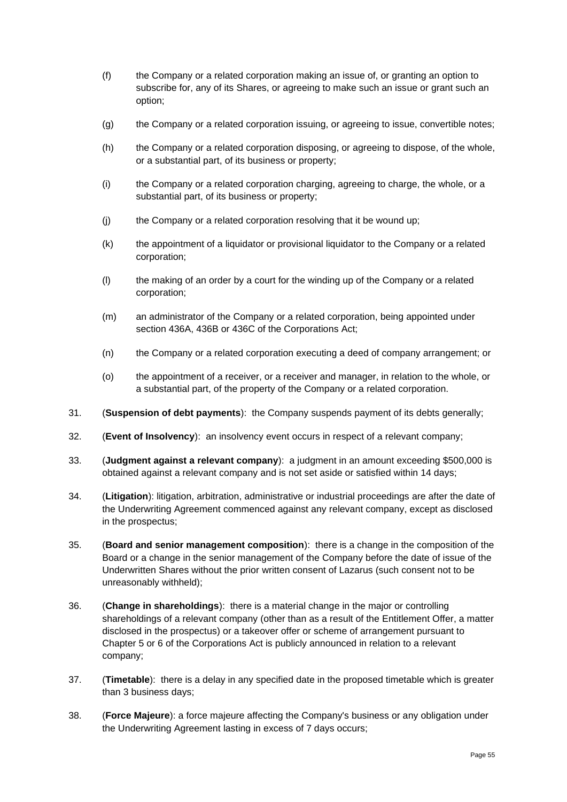- (f) the Company or a related corporation making an issue of, or granting an option to subscribe for, any of its Shares, or agreeing to make such an issue or grant such an option;
- (g) the Company or a related corporation issuing, or agreeing to issue, convertible notes;
- (h) the Company or a related corporation disposing, or agreeing to dispose, of the whole, or a substantial part, of its business or property;
- (i) the Company or a related corporation charging, agreeing to charge, the whole, or a substantial part, of its business or property;
- (j) the Company or a related corporation resolving that it be wound up;
- (k) the appointment of a liquidator or provisional liquidator to the Company or a related corporation;
- (l) the making of an order by a court for the winding up of the Company or a related corporation;
- (m) an administrator of the Company or a related corporation, being appointed under section 436A, 436B or 436C of the Corporations Act;
- (n) the Company or a related corporation executing a deed of company arrangement; or
- (o) the appointment of a receiver, or a receiver and manager, in relation to the whole, or a substantial part, of the property of the Company or a related corporation.
- 31. (**Suspension of debt payments**): the Company suspends payment of its debts generally;
- 32. (**Event of Insolvency**): an insolvency event occurs in respect of a relevant company;
- 33. (**Judgment against a relevant company**): a judgment in an amount exceeding \$500,000 is obtained against a relevant company and is not set aside or satisfied within 14 days;
- 34. (**Litigation**): litigation, arbitration, administrative or industrial proceedings are after the date of the Underwriting Agreement commenced against any relevant company, except as disclosed in the prospectus;
- 35. (**Board and senior management composition**): there is a change in the composition of the Board or a change in the senior management of the Company before the date of issue of the Underwritten Shares without the prior written consent of Lazarus (such consent not to be unreasonably withheld);
- 36. (**Change in shareholdings**): there is a material change in the major or controlling shareholdings of a relevant company (other than as a result of the Entitlement Offer, a matter disclosed in the prospectus) or a takeover offer or scheme of arrangement pursuant to Chapter 5 or 6 of the Corporations Act is publicly announced in relation to a relevant company;
- 37. (**Timetable**): there is a delay in any specified date in the proposed timetable which is greater than 3 business days;
- 38. (**Force Majeure**): a force majeure affecting the Company's business or any obligation under the Underwriting Agreement lasting in excess of 7 days occurs;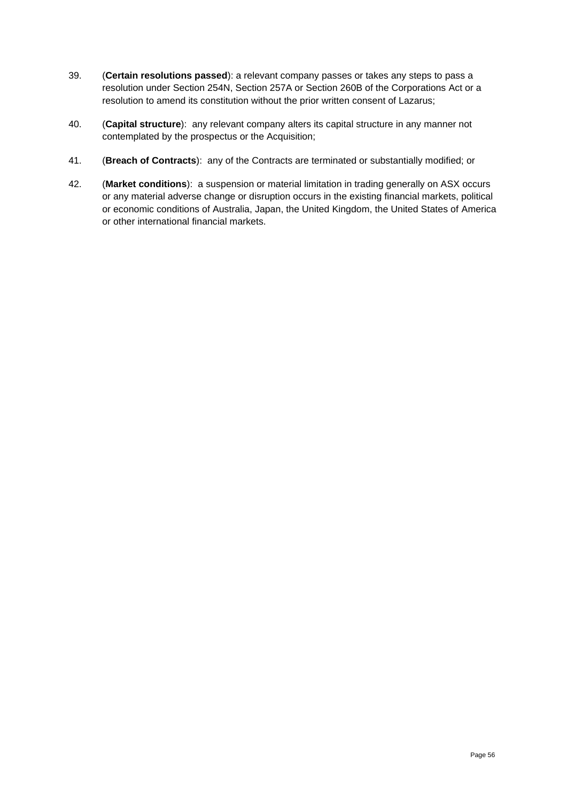- 39. (**Certain resolutions passed**): a relevant company passes or takes any steps to pass a resolution under Section 254N, Section 257A or Section 260B of the Corporations Act or a resolution to amend its constitution without the prior written consent of Lazarus;
- 40. (**Capital structure**): any relevant company alters its capital structure in any manner not contemplated by the prospectus or the Acquisition;
- 41. (**Breach of Contracts**): any of the Contracts are terminated or substantially modified; or
- 42. (**Market conditions**): a suspension or material limitation in trading generally on ASX occurs or any material adverse change or disruption occurs in the existing financial markets, political or economic conditions of Australia, Japan, the United Kingdom, the United States of America or other international financial markets.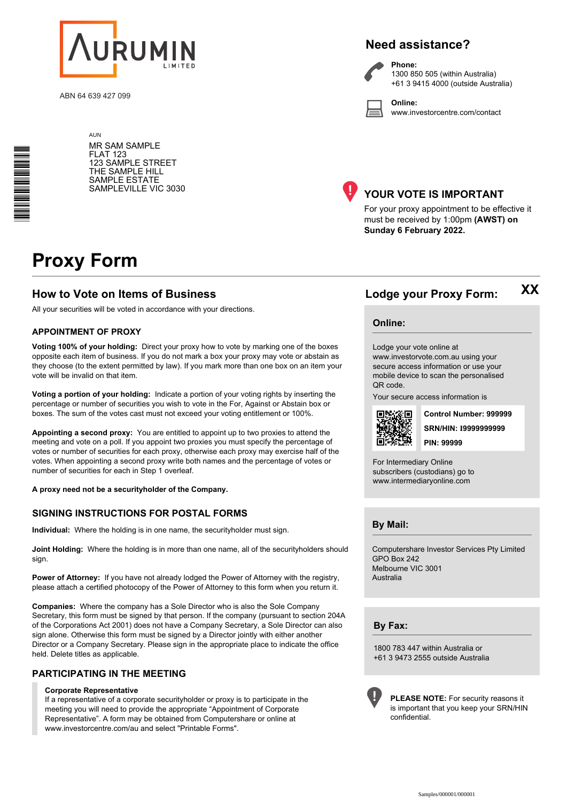

ABN 64 639 427 099

### **Need assistance?**

**Phone:**

**Online:**



1300 850 505 (within Australia) +61 3 9415 4000 (outside Australia)

www.investorcentre.com/contact

**AUN** MR SAM SAMPLE FLAT 123 123 SAMPLE STREET THE SAMPLE HILL SAMPLE ESTATE SAMPLEVILLE VIC 3030



#### **YOUR VOTE IS IMPORTANT**

For your proxy appointment to be effective it must be received by 1:00pm **(AWST) on Sunday 6 February 2022.**

# **Proxy Form**

\*<br>\* London<br>Timografia

#### **How to Vote on Items of Business Lodge your Proxy Form:**

All your securities will be voted in accordance with your directions.

#### **APPOINTMENT OF PROXY**

**Voting 100% of your holding:** Direct your proxy how to vote by marking one of the boxes opposite each item of business. If you do not mark a box your proxy may vote or abstain as they choose (to the extent permitted by law). If you mark more than one box on an item your vote will be invalid on that item.

**Voting a portion of your holding:** Indicate a portion of your voting rights by inserting the percentage or number of securities you wish to vote in the For, Against or Abstain box or boxes. The sum of the votes cast must not exceed your voting entitlement or 100%.

**Appointing a second proxy:** You are entitled to appoint up to two proxies to attend the meeting and vote on a poll. If you appoint two proxies you must specify the percentage of votes or number of securities for each proxy, otherwise each proxy may exercise half of the votes. When appointing a second proxy write both names and the percentage of votes or number of securities for each in Step 1 overleaf.

**A proxy need not be a securityholder of the Company.**

#### **SIGNING INSTRUCTIONS FOR POSTAL FORMS**

**Individual:** Where the holding is in one name, the securityholder must sign.

**Joint Holding:** Where the holding is in more than one name, all of the securityholders should sign.

**Power of Attorney:** If you have not already lodged the Power of Attorney with the registry, please attach a certified photocopy of the Power of Attorney to this form when you return it.

**Companies:** Where the company has a Sole Director who is also the Sole Company Secretary, this form must be signed by that person. If the company (pursuant to section 204A of the Corporations Act 2001) does not have a Company Secretary, a Sole Director can also sign alone. Otherwise this form must be signed by a Director jointly with either another Director or a Company Secretary. Please sign in the appropriate place to indicate the office held. Delete titles as applicable.

#### **PARTICIPATING IN THE MEETING**

#### **Corporate Representative**

If a representative of a corporate securityholder or proxy is to participate in the meeting you will need to provide the appropriate "Appointment of Corporate Representative". A form may be obtained from Computershare or online at www.investorcentre.com/au and select "Printable Forms".

**Online:**

Lodge your vote online at

www.investorvote.com.au using your secure access information or use your mobile device to scan the personalised QR code.

Your secure access information is



**SRN/HIN: I9999999999 Control Number: 999999 PIN: 99999**

**XX**

For Intermediary Online subscribers (custodians) go to www.intermediaryonline.com

**By Mail:**

Computershare Investor Services Pty Limited GPO Box 242 Melbourne VIC 3001 Australia

**By Fax:**

1800 783 447 within Australia or +61 3 9473 2555 outside Australia



**PLEASE NOTE:** For security reasons it is important that you keep your SRN/HIN confidential.